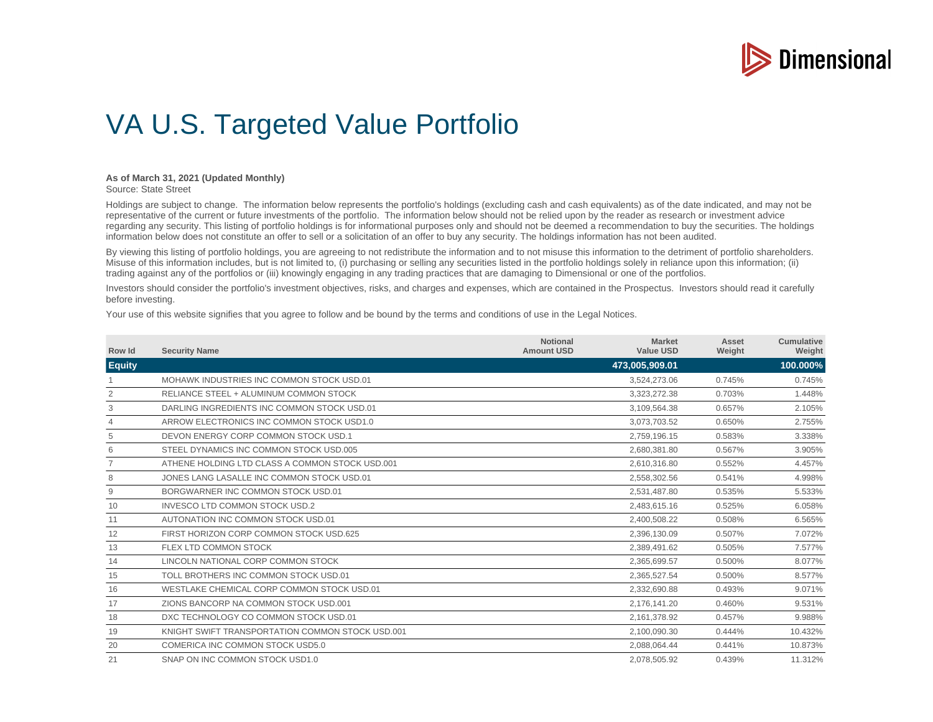

## VA U.S. Targeted Value Portfolio

## **As of March 31, 2021 (Updated Monthly)**

Source: State Street

Holdings are subject to change. The information below represents the portfolio's holdings (excluding cash and cash equivalents) as of the date indicated, and may not be representative of the current or future investments of the portfolio. The information below should not be relied upon by the reader as research or investment advice regarding any security. This listing of portfolio holdings is for informational purposes only and should not be deemed a recommendation to buy the securities. The holdings information below does not constitute an offer to sell or a solicitation of an offer to buy any security. The holdings information has not been audited.

By viewing this listing of portfolio holdings, you are agreeing to not redistribute the information and to not misuse this information to the detriment of portfolio shareholders. Misuse of this information includes, but is not limited to, (i) purchasing or selling any securities listed in the portfolio holdings solely in reliance upon this information; (ii) trading against any of the portfolios or (iii) knowingly engaging in any trading practices that are damaging to Dimensional or one of the portfolios.

Investors should consider the portfolio's investment objectives, risks, and charges and expenses, which are contained in the Prospectus. Investors should read it carefully before investing.

Your use of this website signifies that you agree to follow and be bound by the terms and conditions of use in the Legal Notices.

| Row Id         | <b>Security Name</b>                             | <b>Notional</b><br><b>Amount USD</b> | <b>Market</b><br><b>Value USD</b> | Asset<br>Weight | Cumulative<br>Weight |
|----------------|--------------------------------------------------|--------------------------------------|-----------------------------------|-----------------|----------------------|
| <b>Equity</b>  |                                                  |                                      | 473,005,909.01                    |                 | 100.000%             |
|                | MOHAWK INDUSTRIES INC COMMON STOCK USD.01        |                                      | 3.524.273.06                      | 0.745%          | 0.745%               |
| 2              | RELIANCE STEEL + ALUMINUM COMMON STOCK           |                                      | 3,323,272.38                      | 0.703%          | 1.448%               |
| 3              | DARLING INGREDIENTS INC COMMON STOCK USD.01      |                                      | 3,109,564.38                      | 0.657%          | 2.105%               |
| $\overline{4}$ | ARROW ELECTRONICS INC COMMON STOCK USD1.0        |                                      | 3,073,703.52                      | 0.650%          | 2.755%               |
| 5              | DEVON ENERGY CORP COMMON STOCK USD.1             |                                      | 2.759.196.15                      | 0.583%          | 3.338%               |
| 6              | STEEL DYNAMICS INC COMMON STOCK USD.005          |                                      | 2,680,381.80                      | 0.567%          | 3.905%               |
| $\overline{7}$ | ATHENE HOLDING LTD CLASS A COMMON STOCK USD.001  |                                      | 2,610,316.80                      | 0.552%          | 4.457%               |
| 8              | JONES LANG LASALLE INC COMMON STOCK USD.01       |                                      | 2,558,302.56                      | 0.541%          | 4.998%               |
| 9              | BORGWARNER INC COMMON STOCK USD.01               |                                      | 2,531,487.80                      | 0.535%          | 5.533%               |
| 10             | <b>INVESCO LTD COMMON STOCK USD.2</b>            |                                      | 2,483,615.16                      | 0.525%          | 6.058%               |
| 11             | AUTONATION INC COMMON STOCK USD.01               |                                      | 2,400,508.22                      | 0.508%          | 6.565%               |
| 12             | FIRST HORIZON CORP COMMON STOCK USD.625          |                                      | 2.396.130.09                      | 0.507%          | 7.072%               |
| 13             | FLEX LTD COMMON STOCK                            |                                      | 2.389.491.62                      | 0.505%          | 7.577%               |
| 14             | LINCOLN NATIONAL CORP COMMON STOCK               |                                      | 2,365,699.57                      | 0.500%          | 8.077%               |
| 15             | TOLL BROTHERS INC COMMON STOCK USD.01            |                                      | 2,365,527.54                      | 0.500%          | 8.577%               |
| 16             | WESTLAKE CHEMICAL CORP COMMON STOCK USD.01       |                                      | 2,332,690.88                      | 0.493%          | 9.071%               |
| 17             | ZIONS BANCORP NA COMMON STOCK USD.001            |                                      | 2,176,141.20                      | 0.460%          | 9.531%               |
| 18             | DXC TECHNOLOGY CO COMMON STOCK USD.01            |                                      | 2,161,378.92                      | 0.457%          | 9.988%               |
| 19             | KNIGHT SWIFT TRANSPORTATION COMMON STOCK USD,001 |                                      | 2,100,090.30                      | 0.444%          | 10.432%              |
| 20             | COMERICA INC COMMON STOCK USD5.0                 |                                      | 2,088,064.44                      | 0.441%          | 10.873%              |
| 21             | SNAP ON INC COMMON STOCK USD1.0                  |                                      | 2,078,505.92                      | 0.439%          | 11.312%              |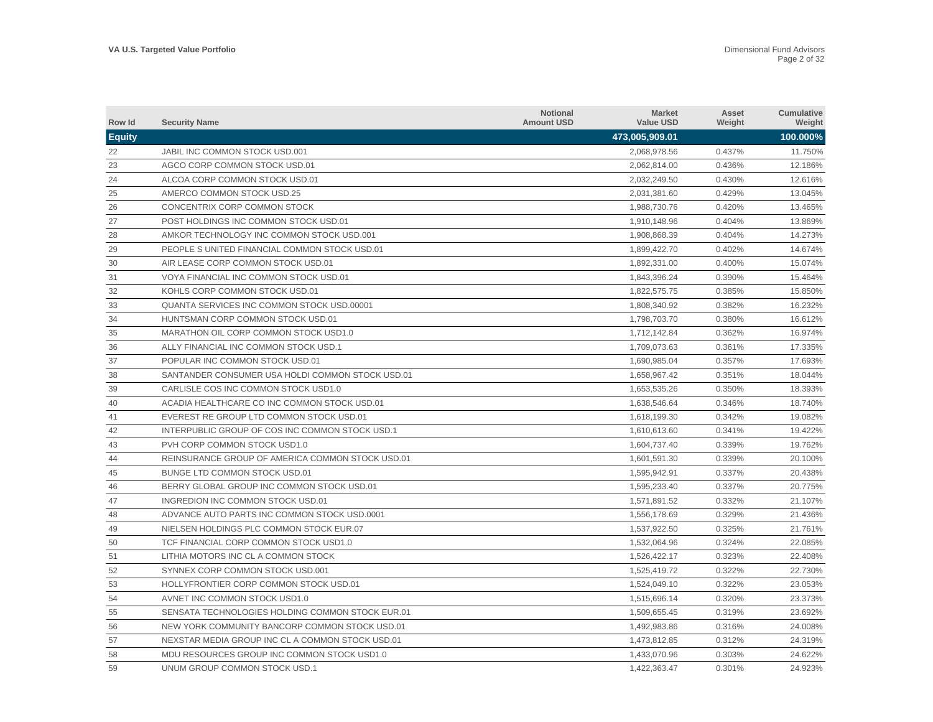| Row Id        | <b>Security Name</b>                              | <b>Notional</b><br><b>Amount USD</b> | <b>Market</b><br><b>Value USD</b> | Asset<br>Weight | <b>Cumulative</b><br>Weight |
|---------------|---------------------------------------------------|--------------------------------------|-----------------------------------|-----------------|-----------------------------|
| <b>Equity</b> |                                                   |                                      | 473,005,909.01                    |                 | 100.000%                    |
| 22            | JABIL INC COMMON STOCK USD.001                    |                                      | 2,068,978.56                      | 0.437%          | 11.750%                     |
| 23            | AGCO CORP COMMON STOCK USD.01                     |                                      | 2,062,814.00                      | 0.436%          | 12.186%                     |
| 24            | ALCOA CORP COMMON STOCK USD.01                    |                                      | 2,032,249.50                      | 0.430%          | 12.616%                     |
| 25            | AMERCO COMMON STOCK USD.25                        |                                      | 2,031,381.60                      | 0.429%          | 13.045%                     |
| 26            | CONCENTRIX CORP COMMON STOCK                      |                                      | 1,988,730.76                      | 0.420%          | 13.465%                     |
| 27            | POST HOLDINGS INC COMMON STOCK USD.01             |                                      | 1,910,148.96                      | 0.404%          | 13.869%                     |
| 28            | AMKOR TECHNOLOGY INC COMMON STOCK USD.001         |                                      | 1,908,868.39                      | 0.404%          | 14.273%                     |
| 29            | PEOPLE S UNITED FINANCIAL COMMON STOCK USD.01     |                                      | 1.899.422.70                      | 0.402%          | 14.674%                     |
| 30            | AIR LEASE CORP COMMON STOCK USD.01                |                                      | 1.892.331.00                      | 0.400%          | 15.074%                     |
| 31            | VOYA FINANCIAL INC COMMON STOCK USD.01            |                                      | 1,843,396.24                      | 0.390%          | 15.464%                     |
| 32            | KOHLS CORP COMMON STOCK USD.01                    |                                      | 1,822,575.75                      | 0.385%          | 15.850%                     |
| 33            | <b>QUANTA SERVICES INC COMMON STOCK USD.00001</b> |                                      | 1,808,340.92                      | 0.382%          | 16.232%                     |
| 34            | HUNTSMAN CORP COMMON STOCK USD.01                 |                                      | 1,798,703.70                      | 0.380%          | 16.612%                     |
| 35            | MARATHON OIL CORP COMMON STOCK USD1.0             |                                      | 1,712,142.84                      | 0.362%          | 16.974%                     |
| 36            | ALLY FINANCIAL INC COMMON STOCK USD.1             |                                      | 1,709,073.63                      | 0.361%          | 17.335%                     |
| 37            | POPULAR INC COMMON STOCK USD.01                   |                                      | 1,690,985.04                      | 0.357%          | 17.693%                     |
| 38            | SANTANDER CONSUMER USA HOLDI COMMON STOCK USD.01  |                                      | 1,658,967.42                      | 0.351%          | 18.044%                     |
| 39            | CARLISLE COS INC COMMON STOCK USD1.0              |                                      | 1,653,535.26                      | 0.350%          | 18.393%                     |
| 40            | ACADIA HEALTHCARE CO INC COMMON STOCK USD.01      |                                      | 1,638,546.64                      | 0.346%          | 18.740%                     |
| 41            | EVEREST RE GROUP LTD COMMON STOCK USD.01          |                                      | 1,618,199.30                      | 0.342%          | 19.082%                     |
| 42            | INTERPUBLIC GROUP OF COS INC COMMON STOCK USD.1   |                                      | 1,610,613.60                      | 0.341%          | 19.422%                     |
| 43            | PVH CORP COMMON STOCK USD1.0                      |                                      | 1,604,737.40                      | 0.339%          | 19.762%                     |
| 44            | REINSURANCE GROUP OF AMERICA COMMON STOCK USD.01  |                                      | 1.601.591.30                      | 0.339%          | 20.100%                     |
| 45            | BUNGE LTD COMMON STOCK USD.01                     |                                      | 1,595,942.91                      | 0.337%          | 20.438%                     |
| 46            | BERRY GLOBAL GROUP INC COMMON STOCK USD.01        |                                      | 1,595,233.40                      | 0.337%          | 20.775%                     |
| 47            | INGREDION INC COMMON STOCK USD.01                 |                                      | 1,571,891.52                      | 0.332%          | 21.107%                     |
| 48            | ADVANCE AUTO PARTS INC COMMON STOCK USD.0001      |                                      | 1,556,178.69                      | 0.329%          | 21.436%                     |
| 49            | NIELSEN HOLDINGS PLC COMMON STOCK EUR.07          |                                      | 1,537,922.50                      | 0.325%          | 21.761%                     |
| 50            | TCF FINANCIAL CORP COMMON STOCK USD1.0            |                                      | 1,532,064.96                      | 0.324%          | 22.085%                     |
| 51            | LITHIA MOTORS INC CL A COMMON STOCK               |                                      | 1,526,422.17                      | 0.323%          | 22.408%                     |
| 52            | SYNNEX CORP COMMON STOCK USD.001                  |                                      | 1,525,419.72                      | 0.322%          | 22.730%                     |
| 53            | HOLLYFRONTIER CORP COMMON STOCK USD.01            |                                      | 1,524,049.10                      | 0.322%          | 23.053%                     |
| 54            | AVNET INC COMMON STOCK USD1.0                     |                                      | 1,515,696.14                      | 0.320%          | 23.373%                     |
| 55            | SENSATA TECHNOLOGIES HOLDING COMMON STOCK EUR.01  |                                      | 1,509,655.45                      | 0.319%          | 23.692%                     |
| 56            | NEW YORK COMMUNITY BANCORP COMMON STOCK USD.01    |                                      | 1,492,983.86                      | 0.316%          | 24.008%                     |
| 57            | NEXSTAR MEDIA GROUP INC CL A COMMON STOCK USD.01  |                                      | 1,473,812.85                      | 0.312%          | 24.319%                     |
| 58            | MDU RESOURCES GROUP INC COMMON STOCK USD1.0       |                                      | 1.433.070.96                      | 0.303%          | 24.622%                     |
| 59            | UNUM GROUP COMMON STOCK USD.1                     |                                      | 1,422,363.47                      | 0.301%          | 24.923%                     |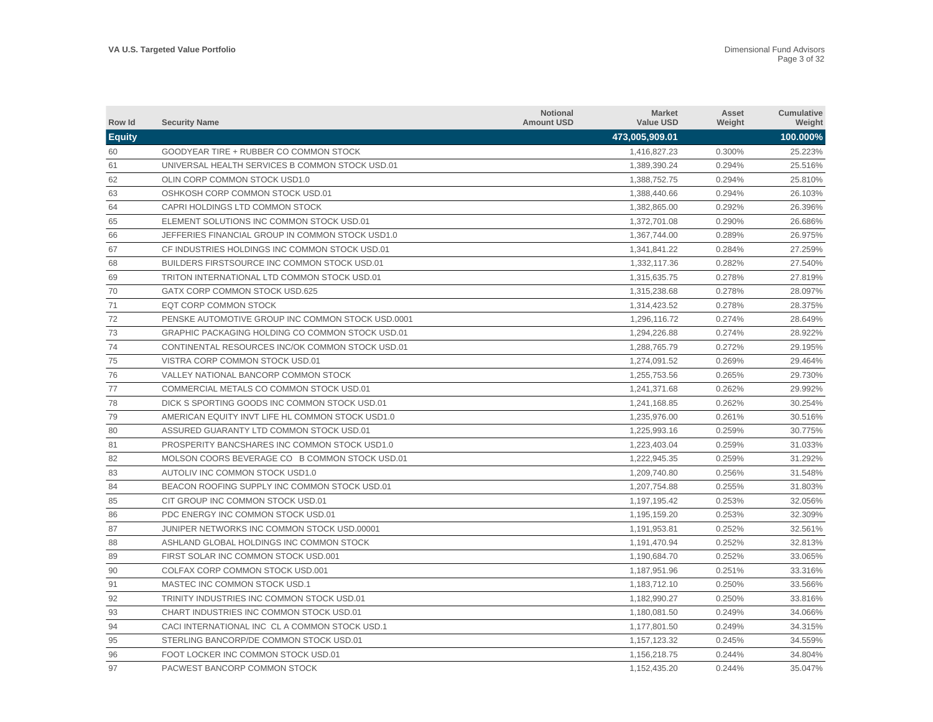| Row Id        | <b>Security Name</b>                              | Notional<br><b>Amount USD</b> | <b>Market</b><br><b>Value USD</b> | Asset<br>Weight | Cumulative<br>Weight |
|---------------|---------------------------------------------------|-------------------------------|-----------------------------------|-----------------|----------------------|
| <b>Equity</b> |                                                   |                               | 473,005,909.01                    |                 | 100.000%             |
| 60            | GOODYEAR TIRE + RUBBER CO COMMON STOCK            |                               | 1,416,827.23                      | 0.300%          | 25.223%              |
| 61            | UNIVERSAL HEALTH SERVICES B COMMON STOCK USD.01   |                               | 1,389,390.24                      | 0.294%          | 25.516%              |
| 62            | OLIN CORP COMMON STOCK USD1.0                     |                               | 1,388,752.75                      | 0.294%          | 25.810%              |
| 63            | OSHKOSH CORP COMMON STOCK USD.01                  |                               | 1,388,440.66                      | 0.294%          | 26.103%              |
| 64            | CAPRI HOLDINGS LTD COMMON STOCK                   |                               | 1,382,865.00                      | 0.292%          | 26.396%              |
| 65            | ELEMENT SOLUTIONS INC COMMON STOCK USD.01         |                               | 1,372,701.08                      | 0.290%          | 26.686%              |
| 66            | JEFFERIES FINANCIAL GROUP IN COMMON STOCK USD1.0  |                               | 1,367,744.00                      | 0.289%          | 26.975%              |
| 67            | CF INDUSTRIES HOLDINGS INC COMMON STOCK USD.01    |                               | 1,341,841.22                      | 0.284%          | 27.259%              |
| 68            | BUILDERS FIRSTSOURCE INC COMMON STOCK USD.01      |                               | 1.332.117.36                      | 0.282%          | 27.540%              |
| 69            | TRITON INTERNATIONAL LTD COMMON STOCK USD.01      |                               | 1.315.635.75                      | 0.278%          | 27.819%              |
| 70            | GATX CORP COMMON STOCK USD.625                    |                               | 1,315,238.68                      | 0.278%          | 28.097%              |
| 71            | EQT CORP COMMON STOCK                             |                               | 1,314,423.52                      | 0.278%          | 28.375%              |
| 72            | PENSKE AUTOMOTIVE GROUP INC COMMON STOCK USD.0001 |                               | 1,296,116.72                      | 0.274%          | 28.649%              |
| 73            | GRAPHIC PACKAGING HOLDING CO COMMON STOCK USD.01  |                               | 1,294,226.88                      | 0.274%          | 28.922%              |
| 74            | CONTINENTAL RESOURCES INC/OK COMMON STOCK USD.01  |                               | 1,288,765.79                      | 0.272%          | 29.195%              |
| 75            | VISTRA CORP COMMON STOCK USD.01                   |                               | 1,274,091.52                      | 0.269%          | 29.464%              |
| 76            | VALLEY NATIONAL BANCORP COMMON STOCK              |                               | 1,255,753.56                      | 0.265%          | 29.730%              |
| 77            | COMMERCIAL METALS CO COMMON STOCK USD.01          |                               | 1,241,371.68                      | 0.262%          | 29.992%              |
| 78            | DICK S SPORTING GOODS INC COMMON STOCK USD.01     |                               | 1,241,168.85                      | 0.262%          | 30.254%              |
| 79            | AMERICAN EQUITY INVT LIFE HL COMMON STOCK USD1.0  |                               | 1,235,976.00                      | 0.261%          | 30.516%              |
| 80            | ASSURED GUARANTY LTD COMMON STOCK USD.01          |                               | 1.225.993.16                      | 0.259%          | 30.775%              |
| 81            | PROSPERITY BANCSHARES INC COMMON STOCK USD1.0     |                               | 1.223.403.04                      | 0.259%          | 31.033%              |
| 82            | MOLSON COORS BEVERAGE CO B COMMON STOCK USD.01    |                               | 1.222.945.35                      | 0.259%          | 31.292%              |
| 83            | AUTOLIV INC COMMON STOCK USD1.0                   |                               | 1,209,740.80                      | 0.256%          | 31.548%              |
| 84            | BEACON ROOFING SUPPLY INC COMMON STOCK USD.01     |                               | 1,207,754.88                      | 0.255%          | 31.803%              |
| 85            | CIT GROUP INC COMMON STOCK USD.01                 |                               | 1,197,195.42                      | 0.253%          | 32.056%              |
| 86            | PDC ENERGY INC COMMON STOCK USD.01                |                               | 1,195,159.20                      | 0.253%          | 32.309%              |
| 87            | JUNIPER NETWORKS INC COMMON STOCK USD.00001       |                               | 1,191,953.81                      | 0.252%          | 32.561%              |
| 88            | ASHLAND GLOBAL HOLDINGS INC COMMON STOCK          |                               | 1,191,470.94                      | 0.252%          | 32.813%              |
| 89            | FIRST SOLAR INC COMMON STOCK USD.001              |                               | 1,190,684.70                      | 0.252%          | 33.065%              |
| 90            | COLFAX CORP COMMON STOCK USD.001                  |                               | 1,187,951.96                      | 0.251%          | 33.316%              |
| 91            | MASTEC INC COMMON STOCK USD.1                     |                               | 1,183,712.10                      | 0.250%          | 33.566%              |
| 92            | TRINITY INDUSTRIES INC COMMON STOCK USD.01        |                               | 1,182,990.27                      | 0.250%          | 33.816%              |
| 93            | CHART INDUSTRIES INC COMMON STOCK USD.01          |                               | 1,180,081.50                      | 0.249%          | 34.066%              |
| 94            | CACI INTERNATIONAL INC CL A COMMON STOCK USD.1    |                               | 1,177,801.50                      | 0.249%          | 34.315%              |
| 95            | STERLING BANCORP/DE COMMON STOCK USD.01           |                               | 1,157,123.32                      | 0.245%          | 34.559%              |
| 96            | FOOT LOCKER INC COMMON STOCK USD.01               |                               | 1,156,218.75                      | 0.244%          | 34.804%              |
| 97            | PACWEST BANCORP COMMON STOCK                      |                               | 1,152,435.20                      | 0.244%          | 35.047%              |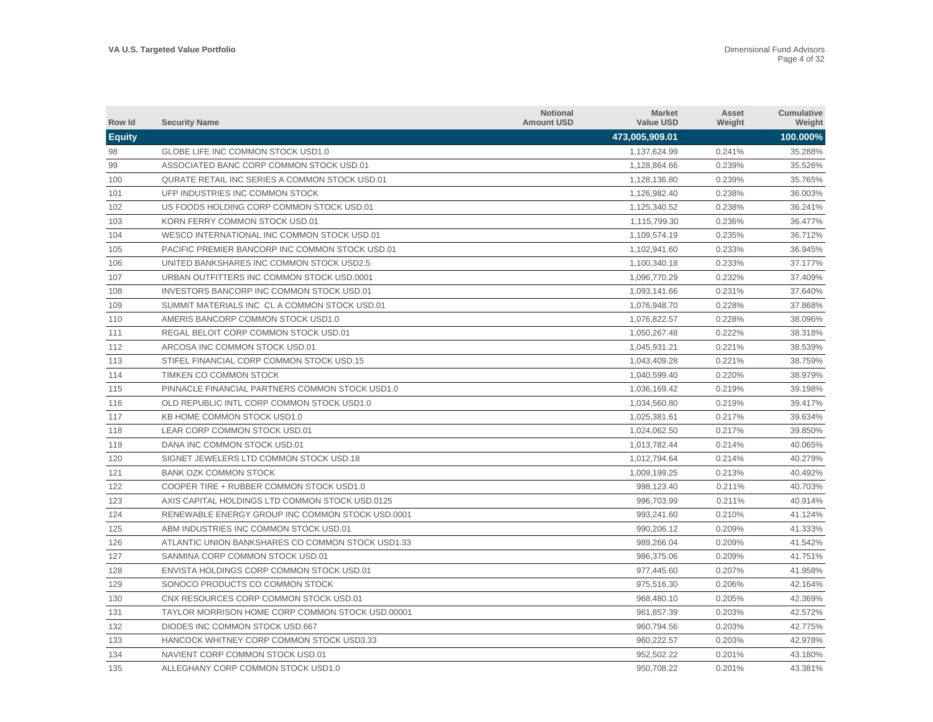| Row Id        | <b>Security Name</b>                              | <b>Notional</b><br><b>Amount USD</b> | <b>Market</b><br><b>Value USD</b> | Asset<br>Weight | Cumulative<br>Weight |
|---------------|---------------------------------------------------|--------------------------------------|-----------------------------------|-----------------|----------------------|
| <b>Equity</b> |                                                   |                                      | 473,005,909.01                    |                 | 100.000%             |
| 98            | GLOBE LIFE INC COMMON STOCK USD1.0                |                                      | 1,137,624.99                      | 0.241%          | 35.288%              |
| 99            | ASSOCIATED BANC CORP COMMON STOCK USD.01          |                                      | 1,128,864.66                      | 0.239%          | 35.526%              |
| 100           | QURATE RETAIL INC SERIES A COMMON STOCK USD.01    |                                      | 1,128,136.80                      | 0.239%          | 35.765%              |
| 101           | UFP INDUSTRIES INC COMMON STOCK                   |                                      | 1,126,982.40                      | 0.238%          | 36.003%              |
| 102           | US FOODS HOLDING CORP COMMON STOCK USD.01         |                                      | 1,125,340.52                      | 0.238%          | 36.241%              |
| 103           | KORN FERRY COMMON STOCK USD.01                    |                                      | 1,115,799.30                      | 0.236%          | 36.477%              |
| 104           | WESCO INTERNATIONAL INC COMMON STOCK USD.01       |                                      | 1,109,574.19                      | 0.235%          | 36.712%              |
| 105           | PACIFIC PREMIER BANCORP INC COMMON STOCK USD.01   |                                      | 1,102,941.60                      | 0.233%          | 36.945%              |
| 106           | UNITED BANKSHARES INC COMMON STOCK USD2.5         |                                      | 1,100,340.18                      | 0.233%          | 37.177%              |
| 107           | URBAN OUTFITTERS INC COMMON STOCK USD.0001        |                                      | 1.096.770.29                      | 0.232%          | 37.409%              |
| 108           | INVESTORS BANCORP INC COMMON STOCK USD.01         |                                      | 1,093,141.66                      | 0.231%          | 37.640%              |
| 109           | SUMMIT MATERIALS INC CL A COMMON STOCK USD.01     |                                      | 1,076,948.70                      | 0.228%          | 37.868%              |
| 110           | AMERIS BANCORP COMMON STOCK USD1.0                |                                      | 1,076,822.57                      | 0.228%          | 38.096%              |
| 111           | REGAL BELOIT CORP COMMON STOCK USD.01             |                                      | 1,050,267.48                      | 0.222%          | 38.318%              |
| 112           | ARCOSA INC COMMON STOCK USD.01                    |                                      | 1,045,931.21                      | 0.221%          | 38.539%              |
| 113           | STIFEL FINANCIAL CORP COMMON STOCK USD.15         |                                      | 1,043,409.28                      | 0.221%          | 38.759%              |
| 114           | TIMKEN CO COMMON STOCK                            |                                      | 1,040,599.40                      | 0.220%          | 38.979%              |
| 115           | PINNACLE FINANCIAL PARTNERS COMMON STOCK USD1.0   |                                      | 1,036,169.42                      | 0.219%          | 39.198%              |
| 116           | OLD REPUBLIC INTL CORP COMMON STOCK USD1.0        |                                      | 1,034,560.80                      | 0.219%          | 39.417%              |
| 117           | KB HOME COMMON STOCK USD1.0                       |                                      | 1,025,381.61                      | 0.217%          | 39.634%              |
| 118           | LEAR CORP COMMON STOCK USD.01                     |                                      | 1,024,062.50                      | 0.217%          | 39.850%              |
| 119           | DANA INC COMMON STOCK USD.01                      |                                      | 1.013.782.44                      | 0.214%          | 40.065%              |
| 120           | SIGNET JEWELERS LTD COMMON STOCK USD.18           |                                      | 1.012.794.64                      | 0.214%          | 40.279%              |
| 121           | <b>BANK OZK COMMON STOCK</b>                      |                                      | 1.009.199.25                      | 0.213%          | 40.492%              |
| 122           | COOPER TIRE + RUBBER COMMON STOCK USD1.0          |                                      | 998,123.40                        | 0.211%          | 40.703%              |
| 123           | AXIS CAPITAL HOLDINGS LTD COMMON STOCK USD.0125   |                                      | 996,703.99                        | 0.211%          | 40.914%              |
| 124           | RENEWABLE ENERGY GROUP INC COMMON STOCK USD.0001  |                                      | 993.241.60                        | 0.210%          | 41.124%              |
| 125           | ABM INDUSTRIES INC COMMON STOCK USD.01            |                                      | 990,206.12                        | 0.209%          | 41.333%              |
| 126           | ATLANTIC UNION BANKSHARES CO COMMON STOCK USD1.33 |                                      | 989,266.04                        | 0.209%          | 41.542%              |
| 127           | SANMINA CORP COMMON STOCK USD.01                  |                                      | 986,375.06                        | 0.209%          | 41.751%              |
| 128           | ENVISTA HOLDINGS CORP COMMON STOCK USD.01         |                                      | 977,445.60                        | 0.207%          | 41.958%              |
| 129           | SONOCO PRODUCTS CO COMMON STOCK                   |                                      | 975,516.30                        | 0.206%          | 42.164%              |
| 130           | CNX RESOURCES CORP COMMON STOCK USD.01            |                                      | 968,480.10                        | 0.205%          | 42.369%              |
| 131           | TAYLOR MORRISON HOME CORP COMMON STOCK USD.00001  |                                      | 961,857.39                        | 0.203%          | 42.572%              |
| 132           | DIODES INC COMMON STOCK USD.667                   |                                      | 960,794.56                        | 0.203%          | 42.775%              |
| 133           | <b>HANCOCK WHITNEY CORP COMMON STOCK USD3.33</b>  |                                      | 960.222.57                        | 0.203%          | 42.978%              |
| 134           | NAVIENT CORP COMMON STOCK USD.01                  |                                      | 952.502.22                        | 0.201%          | 43.180%              |
| 135           | ALLEGHANY CORP COMMON STOCK USD1.0                |                                      | 950.708.22                        | 0.201%          | 43.381%              |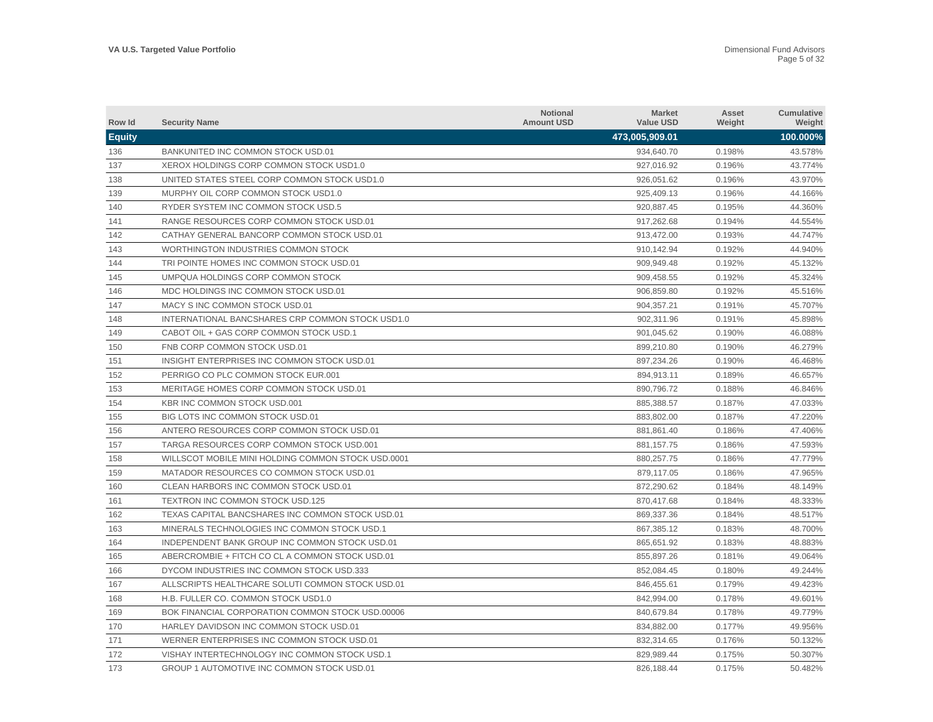| Row Id        | <b>Security Name</b>                               | <b>Notional</b><br><b>Amount USD</b> | <b>Market</b><br><b>Value USD</b> | Asset<br>Weight | Cumulative<br>Weight |
|---------------|----------------------------------------------------|--------------------------------------|-----------------------------------|-----------------|----------------------|
| <b>Equity</b> |                                                    |                                      | 473,005,909.01                    |                 | 100.000%             |
| 136           | BANKUNITED INC COMMON STOCK USD.01                 |                                      | 934,640.70                        | 0.198%          | 43.578%              |
| 137           | XEROX HOLDINGS CORP COMMON STOCK USD1.0            |                                      | 927,016.92                        | 0.196%          | 43.774%              |
| 138           | UNITED STATES STEEL CORP COMMON STOCK USD1.0       |                                      | 926,051.62                        | 0.196%          | 43.970%              |
| 139           | MURPHY OIL CORP COMMON STOCK USD1.0                |                                      | 925,409.13                        | 0.196%          | 44.166%              |
| 140           | RYDER SYSTEM INC COMMON STOCK USD.5                |                                      | 920,887.45                        | 0.195%          | 44.360%              |
| 141           | RANGE RESOURCES CORP COMMON STOCK USD.01           |                                      | 917,262.68                        | 0.194%          | 44.554%              |
| 142           | CATHAY GENERAL BANCORP COMMON STOCK USD.01         |                                      | 913,472.00                        | 0.193%          | 44.747%              |
| 143           | WORTHINGTON INDUSTRIES COMMON STOCK                |                                      | 910.142.94                        | 0.192%          | 44.940%              |
| 144           | TRI POINTE HOMES INC COMMON STOCK USD.01           |                                      | 909,949.48                        | 0.192%          | 45.132%              |
| 145           | UMPQUA HOLDINGS CORP COMMON STOCK                  |                                      | 909.458.55                        | 0.192%          | 45.324%              |
| 146           | MDC HOLDINGS INC COMMON STOCK USD.01               |                                      | 906,859.80                        | 0.192%          | 45.516%              |
| 147           | MACY S INC COMMON STOCK USD.01                     |                                      | 904,357.21                        | 0.191%          | 45.707%              |
| 148           | INTERNATIONAL BANCSHARES CRP COMMON STOCK USD1.0   |                                      | 902,311.96                        | 0.191%          | 45.898%              |
| 149           | CABOT OIL + GAS CORP COMMON STOCK USD.1            |                                      | 901,045.62                        | 0.190%          | 46.088%              |
| 150           | FNB CORP COMMON STOCK USD.01                       |                                      | 899,210.80                        | 0.190%          | 46.279%              |
| 151           | INSIGHT ENTERPRISES INC COMMON STOCK USD.01        |                                      | 897,234.26                        | 0.190%          | 46.468%              |
| 152           | PERRIGO CO PLC COMMON STOCK EUR.001                |                                      | 894.913.11                        | 0.189%          | 46.657%              |
| 153           | MERITAGE HOMES CORP COMMON STOCK USD.01            |                                      | 890.796.72                        | 0.188%          | 46.846%              |
| 154           | KBR INC COMMON STOCK USD.001                       |                                      | 885,388.57                        | 0.187%          | 47.033%              |
| 155           | BIG LOTS INC COMMON STOCK USD.01                   |                                      | 883,802.00                        | 0.187%          | 47.220%              |
| 156           | ANTERO RESOURCES CORP COMMON STOCK USD.01          |                                      | 881,861.40                        | 0.186%          | 47.406%              |
| 157           | TARGA RESOURCES CORP COMMON STOCK USD.001          |                                      | 881,157.75                        | 0.186%          | 47.593%              |
| 158           | WILLSCOT MOBILE MINI HOLDING COMMON STOCK USD.0001 |                                      | 880,257.75                        | 0.186%          | 47.779%              |
| 159           | MATADOR RESOURCES CO COMMON STOCK USD.01           |                                      | 879,117.05                        | 0.186%          | 47.965%              |
| 160           | CLEAN HARBORS INC COMMON STOCK USD.01              |                                      | 872,290.62                        | 0.184%          | 48.149%              |
| 161           | TEXTRON INC COMMON STOCK USD.125                   |                                      | 870,417.68                        | 0.184%          | 48.333%              |
| 162           | TEXAS CAPITAL BANCSHARES INC COMMON STOCK USD.01   |                                      | 869.337.36                        | 0.184%          | 48.517%              |
| 163           | MINERALS TECHNOLOGIES INC COMMON STOCK USD.1       |                                      | 867,385.12                        | 0.183%          | 48.700%              |
| 164           | INDEPENDENT BANK GROUP INC COMMON STOCK USD.01     |                                      | 865.651.92                        | 0.183%          | 48.883%              |
| 165           | ABERCROMBIE + FITCH CO CL A COMMON STOCK USD.01    |                                      | 855,897.26                        | 0.181%          | 49.064%              |
| 166           | DYCOM INDUSTRIES INC COMMON STOCK USD.333          |                                      | 852,084.45                        | 0.180%          | 49.244%              |
| 167           | ALLSCRIPTS HEALTHCARE SOLUTI COMMON STOCK USD.01   |                                      | 846,455.61                        | 0.179%          | 49.423%              |
| 168           | H.B. FULLER CO. COMMON STOCK USD1.0                |                                      | 842,994.00                        | 0.178%          | 49.601%              |
| 169           | BOK FINANCIAL CORPORATION COMMON STOCK USD.00006   |                                      | 840,679.84                        | 0.178%          | 49.779%              |
| 170           | HARLEY DAVIDSON INC COMMON STOCK USD.01            |                                      | 834,882.00                        | 0.177%          | 49.956%              |
| 171           | WERNER ENTERPRISES INC COMMON STOCK USD.01         |                                      | 832,314.65                        | 0.176%          | 50.132%              |
| 172           | VISHAY INTERTECHNOLOGY INC COMMON STOCK USD.1      |                                      | 829.989.44                        | 0.175%          | 50.307%              |
| 173           | GROUP 1 AUTOMOTIVE INC COMMON STOCK USD.01         |                                      | 826,188.44                        | 0.175%          | 50.482%              |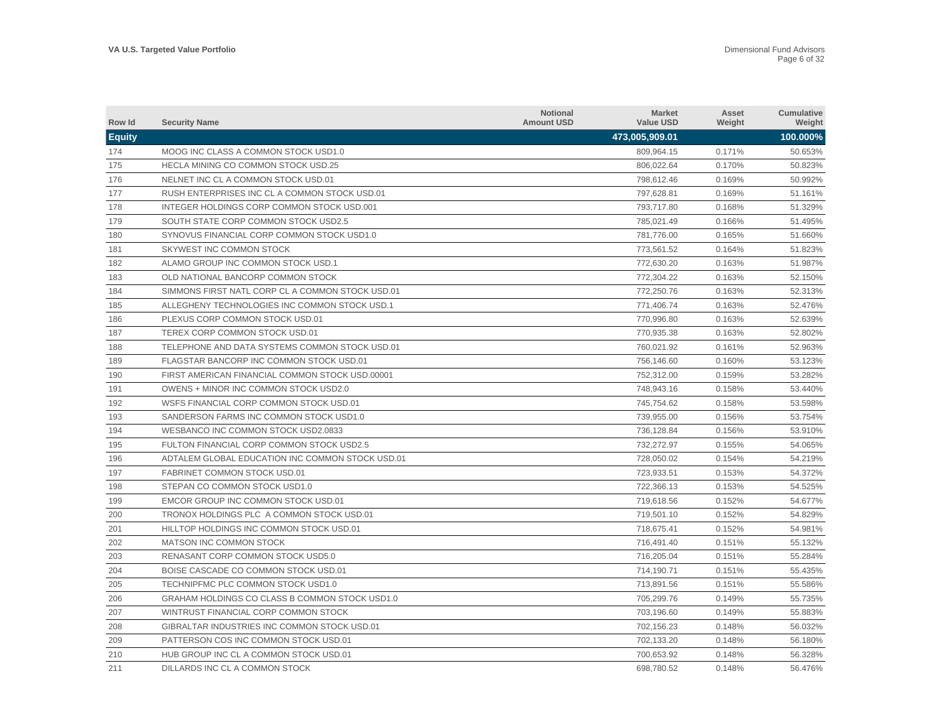| Row Id        | <b>Security Name</b>                             | <b>Notional</b><br><b>Amount USD</b> | <b>Market</b><br><b>Value USD</b> | Asset<br>Weight | Cumulative<br>Weight |
|---------------|--------------------------------------------------|--------------------------------------|-----------------------------------|-----------------|----------------------|
| <b>Equity</b> |                                                  |                                      | 473,005,909.01                    |                 | 100.000%             |
| 174           | MOOG INC CLASS A COMMON STOCK USD1.0             |                                      | 809,964.15                        | 0.171%          | 50.653%              |
| 175           | HECLA MINING CO COMMON STOCK USD.25              |                                      | 806,022.64                        | 0.170%          | 50.823%              |
| 176           | NELNET INC CL A COMMON STOCK USD.01              |                                      | 798,612.46                        | 0.169%          | 50.992%              |
| 177           | RUSH ENTERPRISES INC CL A COMMON STOCK USD.01    |                                      | 797,628.81                        | 0.169%          | 51.161%              |
| 178           | INTEGER HOLDINGS CORP COMMON STOCK USD.001       |                                      | 793,717.80                        | 0.168%          | 51.329%              |
| 179           | SOUTH STATE CORP COMMON STOCK USD2.5             |                                      | 785,021.49                        | 0.166%          | 51.495%              |
| 180           | SYNOVUS FINANCIAL CORP COMMON STOCK USD1.0       |                                      | 781,776.00                        | 0.165%          | 51.660%              |
| 181           | SKYWEST INC COMMON STOCK                         |                                      | 773,561.52                        | 0.164%          | 51.823%              |
| 182           | ALAMO GROUP INC COMMON STOCK USD.1               |                                      | 772.630.20                        | 0.163%          | 51.987%              |
| 183           | OLD NATIONAL BANCORP COMMON STOCK                |                                      | 772.304.22                        | 0.163%          | 52.150%              |
| 184           | SIMMONS FIRST NATL CORP CL A COMMON STOCK USD.01 |                                      | 772,250.76                        | 0.163%          | 52.313%              |
| 185           | ALLEGHENY TECHNOLOGIES INC COMMON STOCK USD.1    |                                      | 771,406.74                        | 0.163%          | 52.476%              |
| 186           | PLEXUS CORP COMMON STOCK USD.01                  |                                      | 770,996.80                        | 0.163%          | 52.639%              |
| 187           | TEREX CORP COMMON STOCK USD.01                   |                                      | 770,935.38                        | 0.163%          | 52.802%              |
| 188           | TELEPHONE AND DATA SYSTEMS COMMON STOCK USD.01   |                                      | 760,021.92                        | 0.161%          | 52.963%              |
| 189           | FLAGSTAR BANCORP INC COMMON STOCK USD.01         |                                      | 756,146.60                        | 0.160%          | 53.123%              |
| 190           | FIRST AMERICAN FINANCIAL COMMON STOCK USD.00001  |                                      | 752,312.00                        | 0.159%          | 53.282%              |
| 191           | OWENS + MINOR INC COMMON STOCK USD2.0            |                                      | 748,943.16                        | 0.158%          | 53.440%              |
| 192           | WSFS FINANCIAL CORP COMMON STOCK USD.01          |                                      | 745,754.62                        | 0.158%          | 53.598%              |
| 193           | SANDERSON FARMS INC COMMON STOCK USD1.0          |                                      | 739,955.00                        | 0.156%          | 53.754%              |
| 194           | WESBANCO INC COMMON STOCK USD2.0833              |                                      | 736,128.84                        | 0.156%          | 53.910%              |
| 195           | FULTON FINANCIAL CORP COMMON STOCK USD2.5        |                                      | 732.272.97                        | 0.155%          | 54.065%              |
| 196           | ADTALEM GLOBAL EDUCATION INC COMMON STOCK USD.01 |                                      | 728.050.02                        | 0.154%          | 54.219%              |
| 197           | <b>FABRINET COMMON STOCK USD.01</b>              |                                      | 723.933.51                        | 0.153%          | 54.372%              |
| 198           | STEPAN CO COMMON STOCK USD1.0                    |                                      | 722,366.13                        | 0.153%          | 54.525%              |
| 199           | EMCOR GROUP INC COMMON STOCK USD.01              |                                      | 719,618.56                        | 0.152%          | 54.677%              |
| 200           | TRONOX HOLDINGS PLC A COMMON STOCK USD.01        |                                      | 719,501.10                        | 0.152%          | 54.829%              |
| 201           | HILLTOP HOLDINGS INC COMMON STOCK USD.01         |                                      | 718,675.41                        | 0.152%          | 54.981%              |
| 202           | MATSON INC COMMON STOCK                          |                                      | 716,491.40                        | 0.151%          | 55.132%              |
| 203           | RENASANT CORP COMMON STOCK USD5.0                |                                      | 716,205.04                        | 0.151%          | 55.284%              |
| 204           | BOISE CASCADE CO COMMON STOCK USD.01             |                                      | 714,190.71                        | 0.151%          | 55.435%              |
| 205           | TECHNIPFMC PLC COMMON STOCK USD1.0               |                                      | 713,891.56                        | 0.151%          | 55.586%              |
| 206           | GRAHAM HOLDINGS CO CLASS B COMMON STOCK USD1.0   |                                      | 705,299.76                        | 0.149%          | 55.735%              |
| 207           | WINTRUST FINANCIAL CORP COMMON STOCK             |                                      | 703,196.60                        | 0.149%          | 55.883%              |
| 208           | GIBRALTAR INDUSTRIES INC COMMON STOCK USD.01     |                                      | 702,156.23                        | 0.148%          | 56.032%              |
| 209           | PATTERSON COS INC COMMON STOCK USD.01            |                                      | 702.133.20                        | 0.148%          | 56.180%              |
| 210           | HUB GROUP INC CL A COMMON STOCK USD.01           |                                      | 700.653.92                        | 0.148%          | 56.328%              |
| 211           | DILLARDS INC CL A COMMON STOCK                   |                                      | 698.780.52                        | 0.148%          | 56.476%              |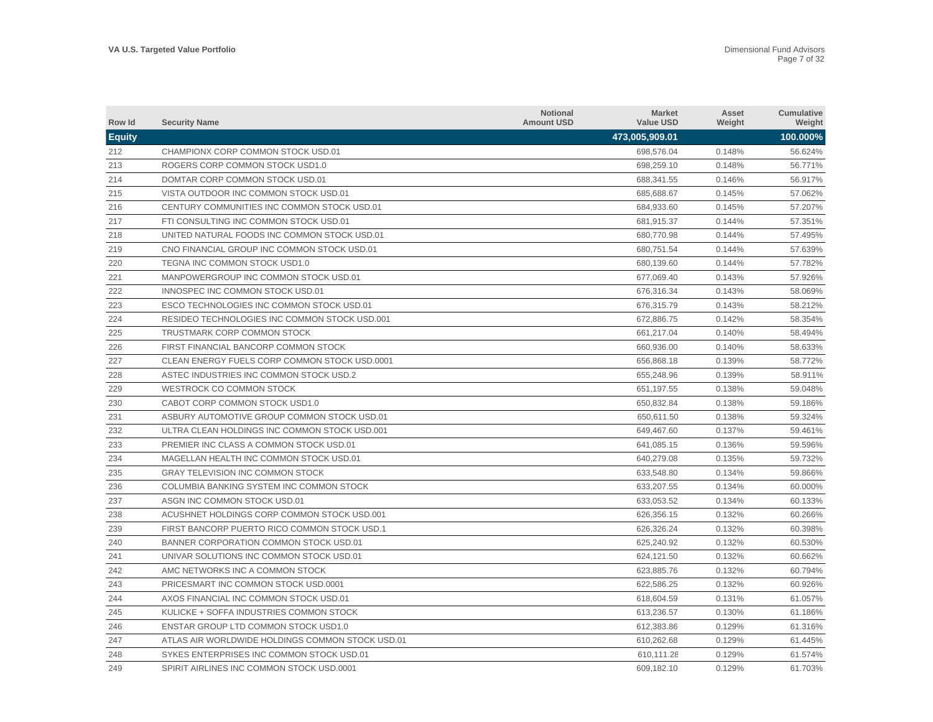| Row Id        | <b>Security Name</b>                             | <b>Notional</b><br><b>Amount USD</b> | <b>Market</b><br><b>Value USD</b> | Asset<br>Weight | Cumulative<br>Weight |
|---------------|--------------------------------------------------|--------------------------------------|-----------------------------------|-----------------|----------------------|
| <b>Equity</b> |                                                  |                                      | 473,005,909.01                    |                 | 100.000%             |
| 212           | CHAMPIONX CORP COMMON STOCK USD.01               |                                      | 698,576.04                        | 0.148%          | 56.624%              |
| 213           | ROGERS CORP COMMON STOCK USD1.0                  |                                      | 698,259.10                        | 0.148%          | 56.771%              |
| 214           | DOMTAR CORP COMMON STOCK USD.01                  |                                      | 688,341.55                        | 0.146%          | 56.917%              |
| 215           | VISTA OUTDOOR INC COMMON STOCK USD.01            |                                      | 685,688.67                        | 0.145%          | 57.062%              |
| 216           | CENTURY COMMUNITIES INC COMMON STOCK USD.01      |                                      | 684,933.60                        | 0.145%          | 57.207%              |
| 217           | FTI CONSULTING INC COMMON STOCK USD.01           |                                      | 681,915.37                        | 0.144%          | 57.351%              |
| 218           | UNITED NATURAL FOODS INC COMMON STOCK USD.01     |                                      | 680,770.98                        | 0.144%          | 57.495%              |
| 219           | CNO FINANCIAL GROUP INC COMMON STOCK USD.01      |                                      | 680,751.54                        | 0.144%          | 57.639%              |
| 220           | TEGNA INC COMMON STOCK USD1.0                    |                                      | 680.139.60                        | 0.144%          | 57.782%              |
| 221           | MANPOWERGROUP INC COMMON STOCK USD.01            |                                      | 677.069.40                        | 0.143%          | 57.926%              |
| 222           | INNOSPEC INC COMMON STOCK USD.01                 |                                      | 676,316.34                        | 0.143%          | 58.069%              |
| 223           | ESCO TECHNOLOGIES INC COMMON STOCK USD.01        |                                      | 676,315.79                        | 0.143%          | 58.212%              |
| 224           | RESIDEO TECHNOLOGIES INC COMMON STOCK USD.001    |                                      | 672,886.75                        | 0.142%          | 58.354%              |
| 225           | TRUSTMARK CORP COMMON STOCK                      |                                      | 661,217.04                        | 0.140%          | 58.494%              |
| 226           | FIRST FINANCIAL BANCORP COMMON STOCK             |                                      | 660,936.00                        | 0.140%          | 58.633%              |
| 227           | CLEAN ENERGY FUELS CORP COMMON STOCK USD.0001    |                                      | 656,868.18                        | 0.139%          | 58.772%              |
| 228           | ASTEC INDUSTRIES INC COMMON STOCK USD.2          |                                      | 655,248.96                        | 0.139%          | 58.911%              |
| 229           | WESTROCK CO COMMON STOCK                         |                                      | 651,197.55                        | 0.138%          | 59.048%              |
| 230           | CABOT CORP COMMON STOCK USD1.0                   |                                      | 650,832.84                        | 0.138%          | 59.186%              |
| 231           | ASBURY AUTOMOTIVE GROUP COMMON STOCK USD.01      |                                      | 650,611.50                        | 0.138%          | 59.324%              |
| 232           | ULTRA CLEAN HOLDINGS INC COMMON STOCK USD.001    |                                      | 649,467.60                        | 0.137%          | 59.461%              |
| 233           | PREMIER INC CLASS A COMMON STOCK USD.01          |                                      | 641.085.15                        | 0.136%          | 59.596%              |
| 234           | MAGELLAN HEALTH INC COMMON STOCK USD.01          |                                      | 640.279.08                        | 0.135%          | 59.732%              |
| 235           | <b>GRAY TELEVISION INC COMMON STOCK</b>          |                                      | 633.548.80                        | 0.134%          | 59.866%              |
| 236           | COLUMBIA BANKING SYSTEM INC COMMON STOCK         |                                      | 633,207.55                        | 0.134%          | 60.000%              |
| 237           | ASGN INC COMMON STOCK USD.01                     |                                      | 633,053.52                        | 0.134%          | 60.133%              |
| 238           | ACUSHNET HOLDINGS CORP COMMON STOCK USD.001      |                                      | 626,356.15                        | 0.132%          | 60.266%              |
| 239           | FIRST BANCORP PUERTO RICO COMMON STOCK USD.1     |                                      | 626,326.24                        | 0.132%          | 60.398%              |
| 240           | BANNER CORPORATION COMMON STOCK USD.01           |                                      | 625,240.92                        | 0.132%          | 60.530%              |
| 241           | UNIVAR SOLUTIONS INC COMMON STOCK USD.01         |                                      | 624,121.50                        | 0.132%          | 60.662%              |
| 242           | AMC NETWORKS INC A COMMON STOCK                  |                                      | 623,885.76                        | 0.132%          | 60.794%              |
| 243           | PRICESMART INC COMMON STOCK USD.0001             |                                      | 622,586.25                        | 0.132%          | 60.926%              |
| 244           | AXOS FINANCIAL INC COMMON STOCK USD.01           |                                      | 618,604.59                        | 0.131%          | 61.057%              |
| 245           | KULICKE + SOFFA INDUSTRIES COMMON STOCK          |                                      | 613,236.57                        | 0.130%          | 61.186%              |
| 246           | <b>ENSTAR GROUP LTD COMMON STOCK USD1.0</b>      |                                      | 612,383.86                        | 0.129%          | 61.316%              |
| 247           | ATLAS AIR WORLDWIDE HOLDINGS COMMON STOCK USD.01 |                                      | 610.262.68                        | 0.129%          | 61.445%              |
| 248           | SYKES ENTERPRISES INC COMMON STOCK USD.01        |                                      | 610.111.28                        | 0.129%          | 61.574%              |
| 249           | SPIRIT AIRLINES INC COMMON STOCK USD.0001        |                                      | 609,182.10                        | 0.129%          | 61.703%              |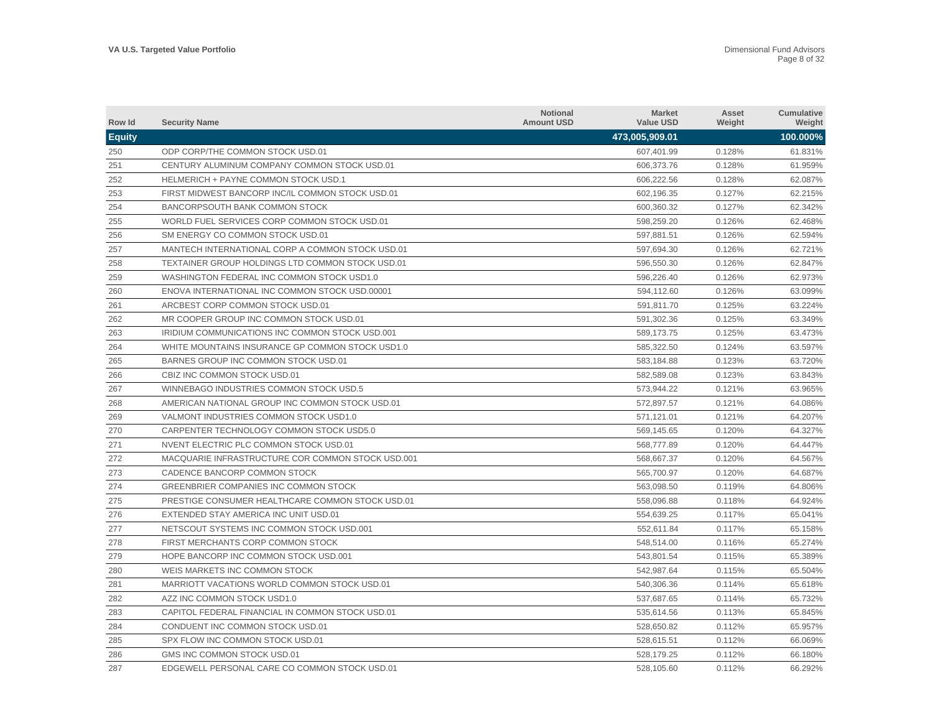| Row Id        | <b>Security Name</b>                              | <b>Notional</b><br><b>Amount USD</b> | <b>Market</b><br><b>Value USD</b> | Asset<br>Weight | Cumulative<br>Weight |
|---------------|---------------------------------------------------|--------------------------------------|-----------------------------------|-----------------|----------------------|
| <b>Equity</b> |                                                   |                                      | 473,005,909.01                    |                 | 100.000%             |
| 250           | ODP CORP/THE COMMON STOCK USD.01                  |                                      | 607,401.99                        | 0.128%          | 61.831%              |
| 251           | CENTURY ALUMINUM COMPANY COMMON STOCK USD.01      |                                      | 606,373.76                        | 0.128%          | 61.959%              |
| 252           | <b>HELMERICH + PAYNE COMMON STOCK USD.1</b>       |                                      | 606,222.56                        | 0.128%          | 62.087%              |
| 253           | FIRST MIDWEST BANCORP INC/IL COMMON STOCK USD.01  |                                      | 602,196.35                        | 0.127%          | 62.215%              |
| 254           | <b>BANCORPSOUTH BANK COMMON STOCK</b>             |                                      | 600,360.32                        | 0.127%          | 62.342%              |
| 255           | WORLD FUEL SERVICES CORP COMMON STOCK USD.01      |                                      | 598,259.20                        | 0.126%          | 62.468%              |
| 256           | SM ENERGY CO COMMON STOCK USD.01                  |                                      | 597,881.51                        | 0.126%          | 62.594%              |
| 257           | MANTECH INTERNATIONAL CORP A COMMON STOCK USD.01  |                                      | 597,694.30                        | 0.126%          | 62.721%              |
| 258           | TEXTAINER GROUP HOLDINGS LTD COMMON STOCK USD.01  |                                      | 596,550.30                        | 0.126%          | 62.847%              |
| 259           | WASHINGTON FEDERAL INC COMMON STOCK USD1.0        |                                      | 596,226.40                        | 0.126%          | 62.973%              |
| 260           | ENOVA INTERNATIONAL INC COMMON STOCK USD.00001    |                                      | 594,112.60                        | 0.126%          | 63.099%              |
| 261           | ARCBEST CORP COMMON STOCK USD.01                  |                                      | 591,811.70                        | 0.125%          | 63.224%              |
| 262           | MR COOPER GROUP INC COMMON STOCK USD.01           |                                      | 591,302.36                        | 0.125%          | 63.349%              |
| 263           | IRIDIUM COMMUNICATIONS INC COMMON STOCK USD.001   |                                      | 589,173.75                        | 0.125%          | 63.473%              |
| 264           | WHITE MOUNTAINS INSURANCE GP COMMON STOCK USD1.0  |                                      | 585,322.50                        | 0.124%          | 63.597%              |
| 265           | BARNES GROUP INC COMMON STOCK USD.01              |                                      | 583,184.88                        | 0.123%          | 63.720%              |
| 266           | CBIZ INC COMMON STOCK USD.01                      |                                      | 582,589.08                        | 0.123%          | 63.843%              |
| 267           | WINNEBAGO INDUSTRIES COMMON STOCK USD.5           |                                      | 573,944.22                        | 0.121%          | 63.965%              |
| 268           | AMERICAN NATIONAL GROUP INC COMMON STOCK USD.01   |                                      | 572,897.57                        | 0.121%          | 64.086%              |
| 269           | VALMONT INDUSTRIES COMMON STOCK USD1.0            |                                      | 571,121.01                        | 0.121%          | 64.207%              |
| 270           | CARPENTER TECHNOLOGY COMMON STOCK USD5.0          |                                      | 569,145.65                        | 0.120%          | 64.327%              |
| 271           | NVENT ELECTRIC PLC COMMON STOCK USD.01            |                                      | 568,777.89                        | 0.120%          | 64.447%              |
| 272           | MACQUARIE INFRASTRUCTURE COR COMMON STOCK USD.001 |                                      | 568,667.37                        | 0.120%          | 64.567%              |
| 273           | CADENCE BANCORP COMMON STOCK                      |                                      | 565,700.97                        | 0.120%          | 64.687%              |
| 274           | <b>GREENBRIER COMPANIES INC COMMON STOCK</b>      |                                      | 563,098.50                        | 0.119%          | 64.806%              |
| 275           | PRESTIGE CONSUMER HEALTHCARE COMMON STOCK USD.01  |                                      | 558,096.88                        | 0.118%          | 64.924%              |
| 276           | EXTENDED STAY AMERICA INC UNIT USD.01             |                                      | 554,639.25                        | 0.117%          | 65.041%              |
| 277           | NETSCOUT SYSTEMS INC COMMON STOCK USD.001         |                                      | 552.611.84                        | 0.117%          | 65.158%              |
| 278           | FIRST MERCHANTS CORP COMMON STOCK                 |                                      | 548,514.00                        | 0.116%          | 65.274%              |
| 279           | HOPE BANCORP INC COMMON STOCK USD.001             |                                      | 543.801.54                        | 0.115%          | 65.389%              |
| 280           | WEIS MARKETS INC COMMON STOCK                     |                                      | 542,987.64                        | 0.115%          | 65.504%              |
| 281           | MARRIOTT VACATIONS WORLD COMMON STOCK USD.01      |                                      | 540,306.36                        | 0.114%          | 65.618%              |
| 282           | AZZ INC COMMON STOCK USD1.0                       |                                      | 537,687.65                        | 0.114%          | 65.732%              |
| 283           | CAPITOL FEDERAL FINANCIAL IN COMMON STOCK USD.01  |                                      | 535,614.56                        | 0.113%          | 65.845%              |
| 284           | CONDUENT INC COMMON STOCK USD.01                  |                                      | 528.650.82                        | 0.112%          | 65.957%              |
| 285           | SPX FLOW INC COMMON STOCK USD.01                  |                                      | 528,615.51                        | 0.112%          | 66.069%              |
| 286           | GMS INC COMMON STOCK USD.01                       |                                      | 528.179.25                        | 0.112%          | 66.180%              |
| 287           | EDGEWELL PERSONAL CARE CO COMMON STOCK USD.01     |                                      | 528,105.60                        | 0.112%          | 66.292%              |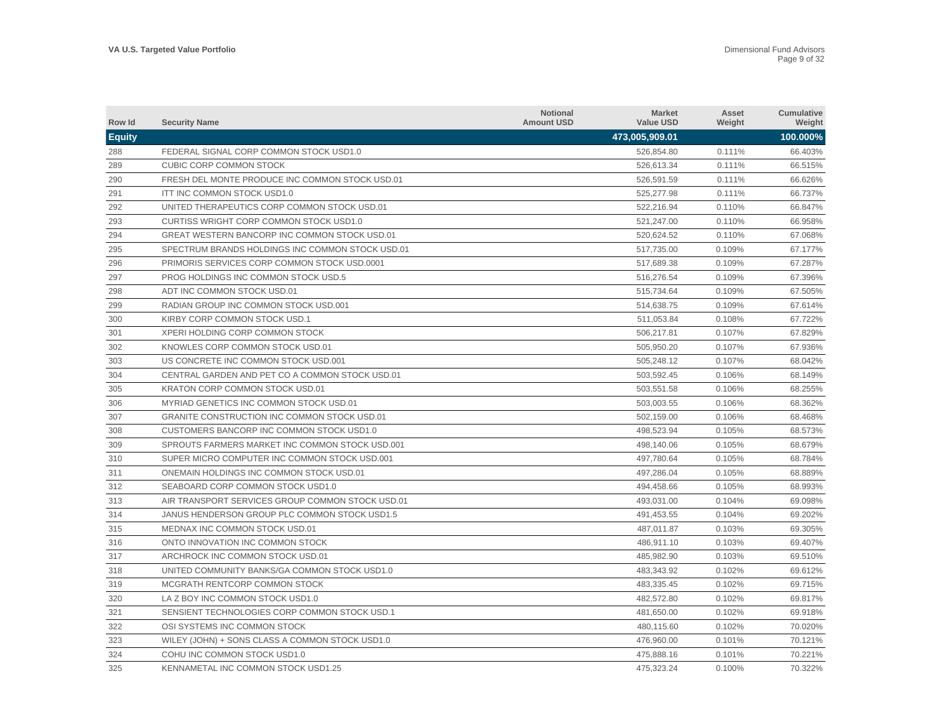| Row Id        | <b>Security Name</b>                                | <b>Notional</b><br><b>Amount USD</b> | <b>Market</b><br><b>Value USD</b> | Asset<br>Weight | Cumulative<br>Weight |
|---------------|-----------------------------------------------------|--------------------------------------|-----------------------------------|-----------------|----------------------|
| <b>Equity</b> |                                                     |                                      | 473,005,909.01                    |                 | 100.000%             |
| 288           | FEDERAL SIGNAL CORP COMMON STOCK USD1.0             |                                      | 526.854.80                        | 0.111%          | 66.403%              |
| 289           | <b>CUBIC CORP COMMON STOCK</b>                      |                                      | 526.613.34                        | 0.111%          | 66.515%              |
| 290           | FRESH DEL MONTE PRODUCE INC COMMON STOCK USD.01     |                                      | 526,591.59                        | 0.111%          | 66.626%              |
| 291           | ITT INC COMMON STOCK USD1.0                         |                                      | 525,277.98                        | 0.111%          | 66.737%              |
| 292           | UNITED THERAPEUTICS CORP COMMON STOCK USD.01        |                                      | 522.216.94                        | 0.110%          | 66.847%              |
| 293           | <b>CURTISS WRIGHT CORP COMMON STOCK USD1.0</b>      |                                      | 521,247.00                        | 0.110%          | 66.958%              |
| 294           | GREAT WESTERN BANCORP INC COMMON STOCK USD.01       |                                      | 520,624.52                        | 0.110%          | 67.068%              |
| 295           | SPECTRUM BRANDS HOLDINGS INC COMMON STOCK USD.01    |                                      | 517,735.00                        | 0.109%          | 67.177%              |
| 296           | PRIMORIS SERVICES CORP COMMON STOCK USD.0001        |                                      | 517,689.38                        | 0.109%          | 67.287%              |
| 297           | PROG HOLDINGS INC COMMON STOCK USD.5                |                                      | 516.276.54                        | 0.109%          | 67.396%              |
| 298           | ADT INC COMMON STOCK USD.01                         |                                      | 515,734.64                        | 0.109%          | 67.505%              |
| 299           | RADIAN GROUP INC COMMON STOCK USD.001               |                                      | 514.638.75                        | 0.109%          | 67.614%              |
| 300           | KIRBY CORP COMMON STOCK USD.1                       |                                      | 511,053.84                        | 0.108%          | 67.722%              |
| 301           | XPERI HOLDING CORP COMMON STOCK                     |                                      | 506,217.81                        | 0.107%          | 67.829%              |
| 302           | KNOWLES CORP COMMON STOCK USD.01                    |                                      | 505,950.20                        | 0.107%          | 67.936%              |
| 303           | US CONCRETE INC COMMON STOCK USD.001                |                                      | 505,248.12                        | 0.107%          | 68.042%              |
| 304           | CENTRAL GARDEN AND PET CO A COMMON STOCK USD.01     |                                      | 503.592.45                        | 0.106%          | 68.149%              |
| 305           | <b>KRATON CORP COMMON STOCK USD.01</b>              |                                      | 503,551.58                        | 0.106%          | 68.255%              |
| 306           | MYRIAD GENETICS INC COMMON STOCK USD.01             |                                      | 503,003.55                        | 0.106%          | 68.362%              |
| 307           | <b>GRANITE CONSTRUCTION INC COMMON STOCK USD.01</b> |                                      | 502,159.00                        | 0.106%          | 68.468%              |
| 308           | CUSTOMERS BANCORP INC COMMON STOCK USD1.0           |                                      | 498.523.94                        | 0.105%          | 68.573%              |
| 309           | SPROUTS FARMERS MARKET INC COMMON STOCK USD.001     |                                      | 498,140.06                        | 0.105%          | 68.679%              |
| 310           | SUPER MICRO COMPUTER INC COMMON STOCK USD.001       |                                      | 497.780.64                        | 0.105%          | 68.784%              |
| 311           | ONEMAIN HOLDINGS INC COMMON STOCK USD.01            |                                      | 497,286.04                        | 0.105%          | 68.889%              |
| 312           | SEABOARD CORP COMMON STOCK USD1.0                   |                                      | 494,458.66                        | 0.105%          | 68.993%              |
| 313           | AIR TRANSPORT SERVICES GROUP COMMON STOCK USD.01    |                                      | 493,031.00                        | 0.104%          | 69.098%              |
| 314           | JANUS HENDERSON GROUP PLC COMMON STOCK USD1.5       |                                      | 491,453.55                        | 0.104%          | 69.202%              |
| 315           | MEDNAX INC COMMON STOCK USD.01                      |                                      | 487,011.87                        | 0.103%          | 69.305%              |
| 316           | ONTO INNOVATION INC COMMON STOCK                    |                                      | 486,911.10                        | 0.103%          | 69.407%              |
| 317           | ARCHROCK INC COMMON STOCK USD.01                    |                                      | 485.982.90                        | 0.103%          | 69.510%              |
| 318           | UNITED COMMUNITY BANKS/GA COMMON STOCK USD1.0       |                                      | 483,343.92                        | 0.102%          | 69.612%              |
| 319           | MCGRATH RENTCORP COMMON STOCK                       |                                      | 483,335.45                        | 0.102%          | 69.715%              |
| 320           | LA Z BOY INC COMMON STOCK USD1.0                    |                                      | 482,572.80                        | 0.102%          | 69.817%              |
| 321           | SENSIENT TECHNOLOGIES CORP COMMON STOCK USD.1       |                                      | 481,650.00                        | 0.102%          | 69.918%              |
| 322           | OSI SYSTEMS INC COMMON STOCK                        |                                      | 480,115.60                        | 0.102%          | 70.020%              |
| 323           | WILEY (JOHN) + SONS CLASS A COMMON STOCK USD1.0     |                                      | 476,960.00                        | 0.101%          | 70.121%              |
| 324           | COHU INC COMMON STOCK USD1.0                        |                                      | 475.888.16                        | 0.101%          | 70.221%              |
| 325           | KENNAMETAL INC COMMON STOCK USD1.25                 |                                      | 475.323.24                        | 0.100%          | 70.322%              |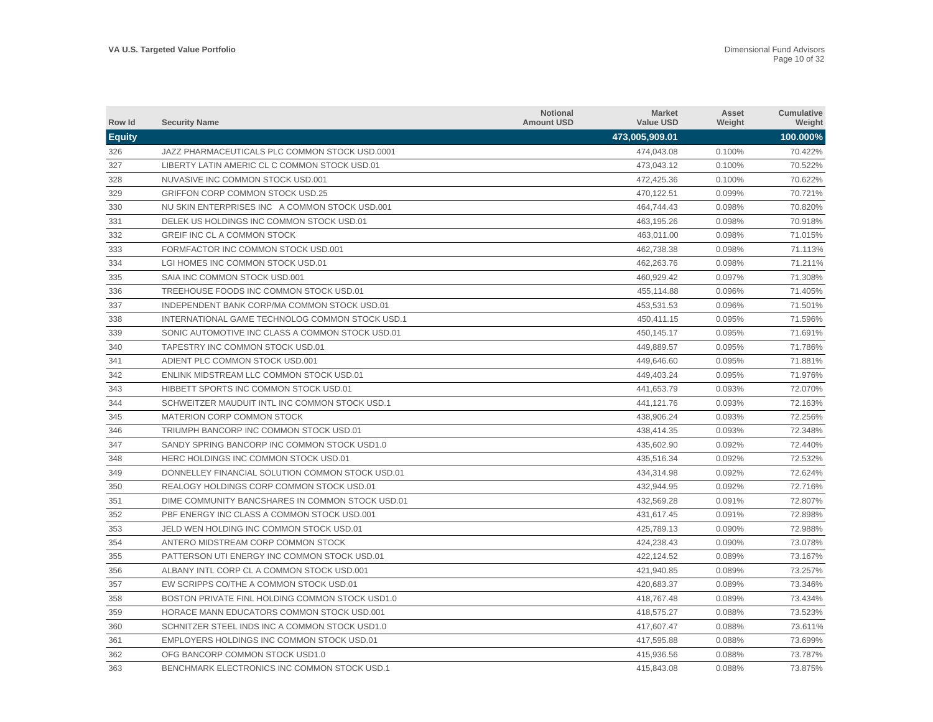| Row Id        | <b>Security Name</b>                             | <b>Notional</b><br><b>Amount USD</b> | <b>Market</b><br><b>Value USD</b> | Asset<br>Weight | <b>Cumulative</b><br>Weight |
|---------------|--------------------------------------------------|--------------------------------------|-----------------------------------|-----------------|-----------------------------|
| <b>Equity</b> |                                                  |                                      | 473,005,909.01                    |                 | 100.000%                    |
| 326           | JAZZ PHARMACEUTICALS PLC COMMON STOCK USD.0001   |                                      | 474.043.08                        | 0.100%          | 70.422%                     |
| 327           | LIBERTY LATIN AMERIC CL C COMMON STOCK USD.01    |                                      | 473,043.12                        | 0.100%          | 70.522%                     |
| 328           | NUVASIVE INC COMMON STOCK USD.001                |                                      | 472,425.36                        | 0.100%          | 70.622%                     |
| 329           | <b>GRIFFON CORP COMMON STOCK USD.25</b>          |                                      | 470,122.51                        | 0.099%          | 70.721%                     |
| 330           | NU SKIN ENTERPRISES INC A COMMON STOCK USD.001   |                                      | 464,744.43                        | 0.098%          | 70.820%                     |
| 331           | DELEK US HOLDINGS INC COMMON STOCK USD.01        |                                      | 463,195.26                        | 0.098%          | 70.918%                     |
| 332           | GREIF INC CL A COMMON STOCK                      |                                      | 463,011.00                        | 0.098%          | 71.015%                     |
| 333           | FORMFACTOR INC COMMON STOCK USD.001              |                                      | 462,738.38                        | 0.098%          | 71.113%                     |
| 334           | LGI HOMES INC COMMON STOCK USD.01                |                                      | 462,263.76                        | 0.098%          | 71.211%                     |
| 335           | SAIA INC COMMON STOCK USD.001                    |                                      | 460,929.42                        | 0.097%          | 71.308%                     |
| 336           | TREEHOUSE FOODS INC COMMON STOCK USD.01          |                                      | 455,114.88                        | 0.096%          | 71.405%                     |
| 337           | INDEPENDENT BANK CORP/MA COMMON STOCK USD.01     |                                      | 453,531.53                        | 0.096%          | 71.501%                     |
| 338           | INTERNATIONAL GAME TECHNOLOG COMMON STOCK USD.1  |                                      | 450.411.15                        | 0.095%          | 71.596%                     |
| 339           | SONIC AUTOMOTIVE INC CLASS A COMMON STOCK USD.01 |                                      | 450,145.17                        | 0.095%          | 71.691%                     |
| 340           | TAPESTRY INC COMMON STOCK USD.01                 |                                      | 449.889.57                        | 0.095%          | 71.786%                     |
| 341           | ADIENT PLC COMMON STOCK USD.001                  |                                      | 449.646.60                        | 0.095%          | 71.881%                     |
| 342           | ENLINK MIDSTREAM LLC COMMON STOCK USD.01         |                                      | 449,403.24                        | 0.095%          | 71.976%                     |
| 343           | HIBBETT SPORTS INC COMMON STOCK USD.01           |                                      | 441,653.79                        | 0.093%          | 72.070%                     |
| 344           | SCHWEITZER MAUDUIT INTL INC COMMON STOCK USD.1   |                                      | 441,121.76                        | 0.093%          | 72.163%                     |
| 345           | MATERION CORP COMMON STOCK                       |                                      | 438,906.24                        | 0.093%          | 72.256%                     |
| 346           | TRIUMPH BANCORP INC COMMON STOCK USD.01          |                                      | 438,414.35                        | 0.093%          | 72.348%                     |
| 347           | SANDY SPRING BANCORP INC COMMON STOCK USD1.0     |                                      | 435,602.90                        | 0.092%          | 72.440%                     |
| 348           | HERC HOLDINGS INC COMMON STOCK USD.01            |                                      | 435.516.34                        | 0.092%          | 72.532%                     |
| 349           | DONNELLEY FINANCIAL SOLUTION COMMON STOCK USD.01 |                                      | 434,314.98                        | 0.092%          | 72.624%                     |
| 350           | REALOGY HOLDINGS CORP COMMON STOCK USD.01        |                                      | 432,944.95                        | 0.092%          | 72.716%                     |
| 351           | DIME COMMUNITY BANCSHARES IN COMMON STOCK USD.01 |                                      | 432,569.28                        | 0.091%          | 72.807%                     |
| 352           | PBF ENERGY INC CLASS A COMMON STOCK USD.001      |                                      | 431,617.45                        | 0.091%          | 72.898%                     |
| 353           | JELD WEN HOLDING INC COMMON STOCK USD.01         |                                      | 425,789.13                        | 0.090%          | 72.988%                     |
| 354           | ANTERO MIDSTREAM CORP COMMON STOCK               |                                      | 424,238.43                        | 0.090%          | 73.078%                     |
| 355           | PATTERSON UTI ENERGY INC COMMON STOCK USD.01     |                                      | 422,124.52                        | 0.089%          | 73.167%                     |
| 356           | ALBANY INTL CORP CL A COMMON STOCK USD.001       |                                      | 421,940.85                        | 0.089%          | 73.257%                     |
| 357           | EW SCRIPPS CO/THE A COMMON STOCK USD.01          |                                      | 420,683.37                        | 0.089%          | 73.346%                     |
| 358           | BOSTON PRIVATE FINL HOLDING COMMON STOCK USD1.0  |                                      | 418,767.48                        | 0.089%          | 73.434%                     |
| 359           | HORACE MANN EDUCATORS COMMON STOCK USD.001       |                                      | 418,575.27                        | 0.088%          | 73.523%                     |
| 360           | SCHNITZER STEEL INDS INC A COMMON STOCK USD1.0   |                                      | 417.607.47                        | 0.088%          | 73.611%                     |
| 361           | EMPLOYERS HOLDINGS INC COMMON STOCK USD.01       |                                      | 417,595.88                        | 0.088%          | 73.699%                     |
| 362           | OFG BANCORP COMMON STOCK USD1.0                  |                                      | 415.936.56                        | 0.088%          | 73.787%                     |
| 363           | BENCHMARK ELECTRONICS INC COMMON STOCK USD.1     |                                      | 415,843.08                        | 0.088%          | 73.875%                     |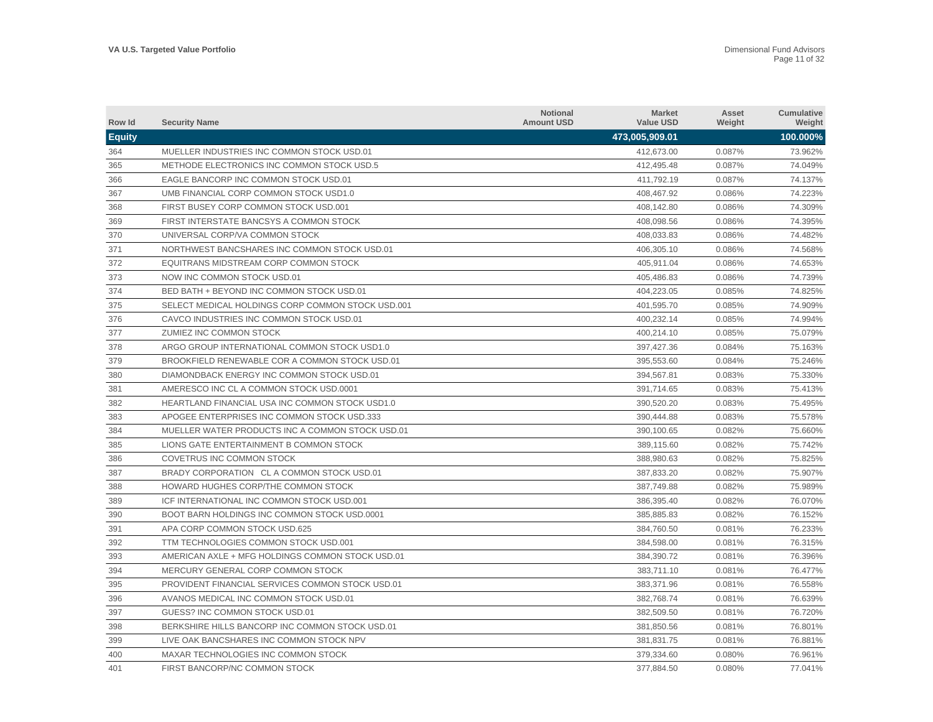| Row Id        | <b>Security Name</b>                              | <b>Notional</b><br><b>Amount USD</b> | <b>Market</b><br><b>Value USD</b> | Asset<br>Weight | <b>Cumulative</b><br>Weight |
|---------------|---------------------------------------------------|--------------------------------------|-----------------------------------|-----------------|-----------------------------|
| <b>Equity</b> |                                                   |                                      | 473,005,909.01                    |                 | 100.000%                    |
| 364           | MUELLER INDUSTRIES INC COMMON STOCK USD.01        |                                      | 412.673.00                        | 0.087%          | 73.962%                     |
| 365           | METHODE ELECTRONICS INC COMMON STOCK USD.5        |                                      | 412,495.48                        | 0.087%          | 74.049%                     |
| 366           | EAGLE BANCORP INC COMMON STOCK USD.01             |                                      | 411,792.19                        | 0.087%          | 74.137%                     |
| 367           | UMB FINANCIAL CORP COMMON STOCK USD1.0            |                                      | 408,467.92                        | 0.086%          | 74.223%                     |
| 368           | FIRST BUSEY CORP COMMON STOCK USD.001             |                                      | 408,142.80                        | 0.086%          | 74.309%                     |
| 369           | FIRST INTERSTATE BANCSYS A COMMON STOCK           |                                      | 408,098.56                        | 0.086%          | 74.395%                     |
| 370           | UNIVERSAL CORP/VA COMMON STOCK                    |                                      | 408,033.83                        | 0.086%          | 74.482%                     |
| 371           | NORTHWEST BANCSHARES INC COMMON STOCK USD.01      |                                      | 406,305.10                        | 0.086%          | 74.568%                     |
| 372           | EQUITRANS MIDSTREAM CORP COMMON STOCK             |                                      | 405,911.04                        | 0.086%          | 74.653%                     |
| 373           | NOW INC COMMON STOCK USD.01                       |                                      | 405,486.83                        | 0.086%          | 74.739%                     |
| 374           | BED BATH + BEYOND INC COMMON STOCK USD.01         |                                      | 404,223.05                        | 0.085%          | 74.825%                     |
| 375           | SELECT MEDICAL HOLDINGS CORP COMMON STOCK USD.001 |                                      | 401,595.70                        | 0.085%          | 74.909%                     |
| 376           | CAVCO INDUSTRIES INC COMMON STOCK USD.01          |                                      | 400.232.14                        | 0.085%          | 74.994%                     |
| 377           | ZUMIEZ INC COMMON STOCK                           |                                      | 400.214.10                        | 0.085%          | 75.079%                     |
| 378           | ARGO GROUP INTERNATIONAL COMMON STOCK USD1.0      |                                      | 397,427.36                        | 0.084%          | 75.163%                     |
| 379           | BROOKFIELD RENEWABLE COR A COMMON STOCK USD.01    |                                      | 395.553.60                        | 0.084%          | 75.246%                     |
| 380           | DIAMONDBACK ENERGY INC COMMON STOCK USD.01        |                                      | 394,567.81                        | 0.083%          | 75.330%                     |
| 381           | AMERESCO INC CL A COMMON STOCK USD.0001           |                                      | 391,714.65                        | 0.083%          | 75.413%                     |
| 382           | HEARTLAND FINANCIAL USA INC COMMON STOCK USD1.0   |                                      | 390,520.20                        | 0.083%          | 75.495%                     |
| 383           | APOGEE ENTERPRISES INC COMMON STOCK USD.333       |                                      | 390,444.88                        | 0.083%          | 75.578%                     |
| 384           | MUELLER WATER PRODUCTS INC A COMMON STOCK USD.01  |                                      | 390,100.65                        | 0.082%          | 75.660%                     |
| 385           | LIONS GATE ENTERTAINMENT B COMMON STOCK           |                                      | 389,115.60                        | 0.082%          | 75.742%                     |
| 386           | COVETRUS INC COMMON STOCK                         |                                      | 388.980.63                        | 0.082%          | 75.825%                     |
| 387           | BRADY CORPORATION CL A COMMON STOCK USD.01        |                                      | 387,833.20                        | 0.082%          | 75.907%                     |
| 388           | HOWARD HUGHES CORP/THE COMMON STOCK               |                                      | 387,749.88                        | 0.082%          | 75.989%                     |
| 389           | ICF INTERNATIONAL INC COMMON STOCK USD.001        |                                      | 386,395.40                        | 0.082%          | 76.070%                     |
| 390           | BOOT BARN HOLDINGS INC COMMON STOCK USD.0001      |                                      | 385,885.83                        | 0.082%          | 76.152%                     |
| 391           | APA CORP COMMON STOCK USD.625                     |                                      | 384,760.50                        | 0.081%          | 76.233%                     |
| 392           | TTM TECHNOLOGIES COMMON STOCK USD.001             |                                      | 384,598.00                        | 0.081%          | 76.315%                     |
| 393           | AMERICAN AXLE + MFG HOLDINGS COMMON STOCK USD.01  |                                      | 384,390.72                        | 0.081%          | 76.396%                     |
| 394           | MERCURY GENERAL CORP COMMON STOCK                 |                                      | 383,711.10                        | 0.081%          | 76.477%                     |
| 395           | PROVIDENT FINANCIAL SERVICES COMMON STOCK USD.01  |                                      | 383,371.96                        | 0.081%          | 76.558%                     |
| 396           | AVANOS MEDICAL INC COMMON STOCK USD.01            |                                      | 382,768.74                        | 0.081%          | 76.639%                     |
| 397           | GUESS? INC COMMON STOCK USD.01                    |                                      | 382,509.50                        | 0.081%          | 76.720%                     |
| 398           | BERKSHIRE HILLS BANCORP INC COMMON STOCK USD.01   |                                      | 381.850.56                        | 0.081%          | 76.801%                     |
| 399           | LIVE OAK BANCSHARES INC COMMON STOCK NPV          |                                      | 381,831.75                        | 0.081%          | 76.881%                     |
| 400           | MAXAR TECHNOLOGIES INC COMMON STOCK               |                                      | 379.334.60                        | 0.080%          | 76.961%                     |
| 401           | FIRST BANCORP/NC COMMON STOCK                     |                                      | 377.884.50                        | 0.080%          | 77.041%                     |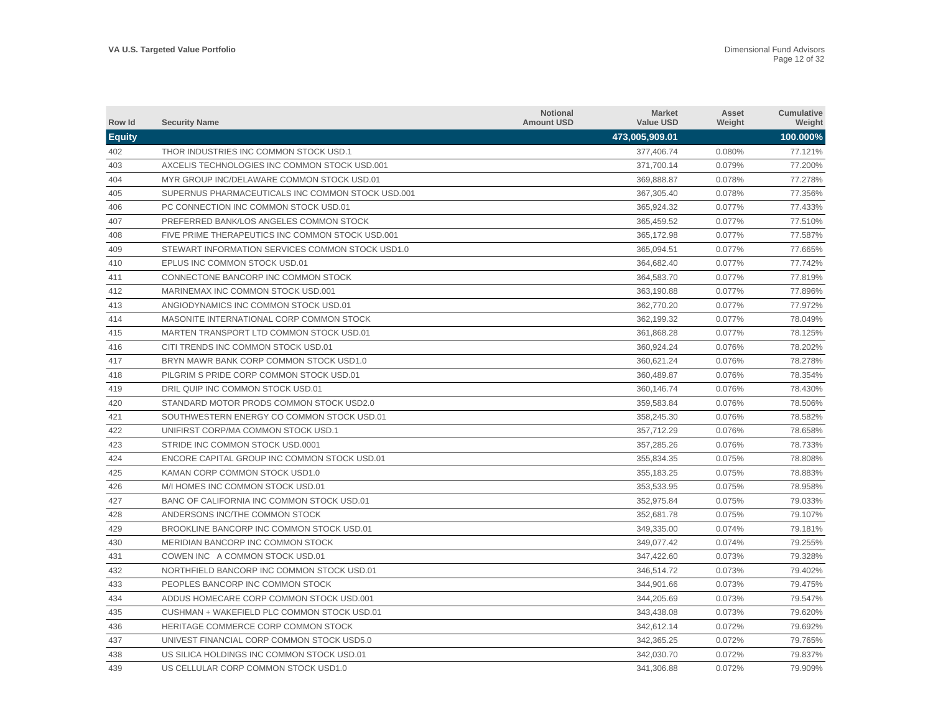| Row Id        | <b>Security Name</b>                              | <b>Notional</b><br><b>Amount USD</b> | <b>Market</b><br><b>Value USD</b> | Asset<br>Weight | <b>Cumulative</b><br>Weight |
|---------------|---------------------------------------------------|--------------------------------------|-----------------------------------|-----------------|-----------------------------|
| <b>Equity</b> |                                                   |                                      | 473,005,909.01                    |                 | 100.000%                    |
| 402           | THOR INDUSTRIES INC COMMON STOCK USD.1            |                                      | 377,406.74                        | 0.080%          | 77.121%                     |
| 403           | AXCELIS TECHNOLOGIES INC COMMON STOCK USD.001     |                                      | 371,700.14                        | 0.079%          | 77.200%                     |
| 404           | MYR GROUP INC/DELAWARE COMMON STOCK USD.01        |                                      | 369.888.87                        | 0.078%          | 77.278%                     |
| 405           | SUPERNUS PHARMACEUTICALS INC COMMON STOCK USD.001 |                                      | 367,305.40                        | 0.078%          | 77.356%                     |
| 406           | PC CONNECTION INC COMMON STOCK USD.01             |                                      | 365,924.32                        | 0.077%          | 77.433%                     |
| 407           | PREFERRED BANK/LOS ANGELES COMMON STOCK           |                                      | 365,459.52                        | 0.077%          | 77.510%                     |
| 408           | FIVE PRIME THERAPEUTICS INC COMMON STOCK USD.001  |                                      | 365,172.98                        | 0.077%          | 77.587%                     |
| 409           | STEWART INFORMATION SERVICES COMMON STOCK USD1.0  |                                      | 365,094.51                        | 0.077%          | 77.665%                     |
| 410           | EPLUS INC COMMON STOCK USD.01                     |                                      | 364,682.40                        | 0.077%          | 77.742%                     |
| 411           | CONNECTONE BANCORP INC COMMON STOCK               |                                      | 364,583.70                        | 0.077%          | 77.819%                     |
| 412           | MARINEMAX INC COMMON STOCK USD.001                |                                      | 363,190.88                        | 0.077%          | 77.896%                     |
| 413           | ANGIODYNAMICS INC COMMON STOCK USD.01             |                                      | 362,770.20                        | 0.077%          | 77.972%                     |
| 414           | MASONITE INTERNATIONAL CORP COMMON STOCK          |                                      | 362.199.32                        | 0.077%          | 78.049%                     |
| 415           | MARTEN TRANSPORT LTD COMMON STOCK USD.01          |                                      | 361,868.28                        | 0.077%          | 78.125%                     |
| 416           | CITI TRENDS INC COMMON STOCK USD.01               |                                      | 360.924.24                        | 0.076%          | 78.202%                     |
| 417           | BRYN MAWR BANK CORP COMMON STOCK USD1.0           |                                      | 360.621.24                        | 0.076%          | 78.278%                     |
| 418           | PILGRIM S PRIDE CORP COMMON STOCK USD.01          |                                      | 360,489.87                        | 0.076%          | 78.354%                     |
| 419           | DRIL QUIP INC COMMON STOCK USD.01                 |                                      | 360,146.74                        | 0.076%          | 78.430%                     |
| 420           | STANDARD MOTOR PRODS COMMON STOCK USD2.0          |                                      | 359,583.84                        | 0.076%          | 78.506%                     |
| 421           | SOUTHWESTERN ENERGY CO COMMON STOCK USD.01        |                                      | 358,245.30                        | 0.076%          | 78.582%                     |
| 422           | UNIFIRST CORP/MA COMMON STOCK USD.1               |                                      | 357,712.29                        | 0.076%          | 78.658%                     |
| 423           | STRIDE INC COMMON STOCK USD.0001                  |                                      | 357,285.26                        | 0.076%          | 78.733%                     |
| 424           | ENCORE CAPITAL GROUP INC COMMON STOCK USD.01      |                                      | 355,834.35                        | 0.075%          | 78.808%                     |
| 425           | KAMAN CORP COMMON STOCK USD1.0                    |                                      | 355,183.25                        | 0.075%          | 78.883%                     |
| 426           | M/I HOMES INC COMMON STOCK USD.01                 |                                      | 353,533.95                        | 0.075%          | 78.958%                     |
| 427           | BANC OF CALIFORNIA INC COMMON STOCK USD.01        |                                      | 352,975.84                        | 0.075%          | 79.033%                     |
| 428           | ANDERSONS INC/THE COMMON STOCK                    |                                      | 352,681.78                        | 0.075%          | 79.107%                     |
| 429           | BROOKLINE BANCORP INC COMMON STOCK USD.01         |                                      | 349,335.00                        | 0.074%          | 79.181%                     |
| 430           | MERIDIAN BANCORP INC COMMON STOCK                 |                                      | 349,077.42                        | 0.074%          | 79.255%                     |
| 431           | COWEN INC A COMMON STOCK USD.01                   |                                      | 347,422.60                        | 0.073%          | 79.328%                     |
| 432           | NORTHFIELD BANCORP INC COMMON STOCK USD.01        |                                      | 346,514.72                        | 0.073%          | 79.402%                     |
| 433           | PEOPLES BANCORP INC COMMON STOCK                  |                                      | 344,901.66                        | 0.073%          | 79.475%                     |
| 434           | ADDUS HOMECARE CORP COMMON STOCK USD.001          |                                      | 344,205.69                        | 0.073%          | 79.547%                     |
| 435           | CUSHMAN + WAKEFIELD PLC COMMON STOCK USD.01       |                                      | 343,438.08                        | 0.073%          | 79.620%                     |
| 436           | HERITAGE COMMERCE CORP COMMON STOCK               |                                      | 342.612.14                        | 0.072%          | 79.692%                     |
| 437           | UNIVEST FINANCIAL CORP COMMON STOCK USD5.0        |                                      | 342,365.25                        | 0.072%          | 79.765%                     |
| 438           | US SILICA HOLDINGS INC COMMON STOCK USD.01        |                                      | 342.030.70                        | 0.072%          | 79.837%                     |
| 439           | US CELLULAR CORP COMMON STOCK USD1.0              |                                      | 341.306.88                        | 0.072%          | 79.909%                     |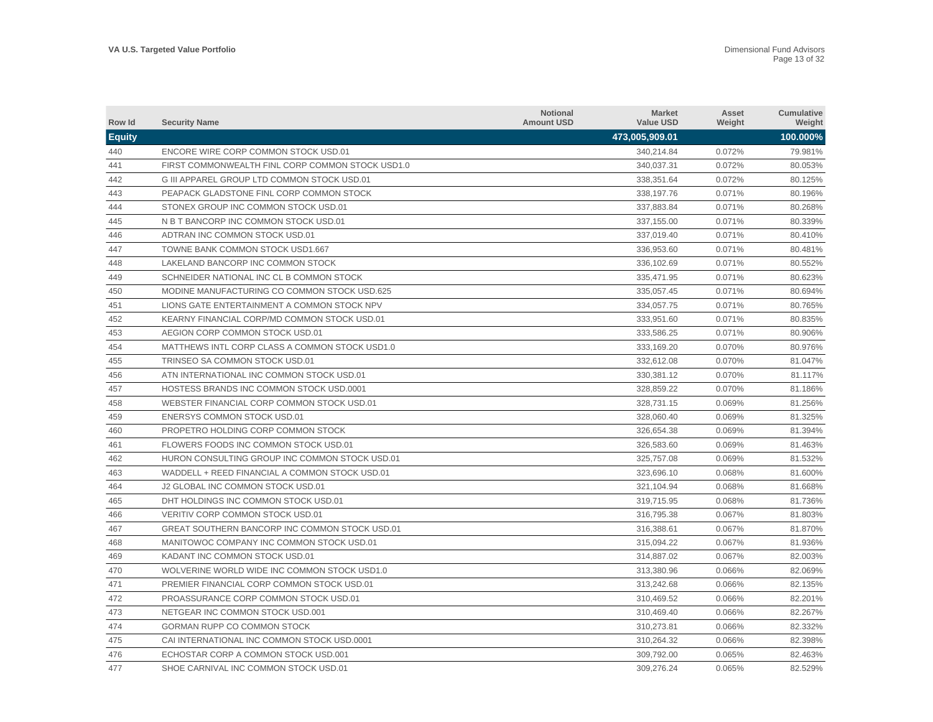| Row Id        | <b>Security Name</b>                             | Notional<br><b>Amount USD</b> | <b>Market</b><br><b>Value USD</b> | Asset<br>Weight | Cumulative<br>Weight |
|---------------|--------------------------------------------------|-------------------------------|-----------------------------------|-----------------|----------------------|
| <b>Equity</b> |                                                  |                               | 473,005,909.01                    |                 | 100.000%             |
| 440           | ENCORE WIRE CORP COMMON STOCK USD.01             |                               | 340,214.84                        | 0.072%          | 79.981%              |
| 441           | FIRST COMMONWEALTH FINL CORP COMMON STOCK USD1.0 |                               | 340,037.31                        | 0.072%          | 80.053%              |
| 442           | G III APPAREL GROUP LTD COMMON STOCK USD.01      |                               | 338,351.64                        | 0.072%          | 80.125%              |
| 443           | PEAPACK GLADSTONE FINL CORP COMMON STOCK         |                               | 338,197.76                        | 0.071%          | 80.196%              |
| 444           | STONEX GROUP INC COMMON STOCK USD.01             |                               | 337.883.84                        | 0.071%          | 80.268%              |
| 445           | N B T BANCORP INC COMMON STOCK USD.01            |                               | 337,155.00                        | 0.071%          | 80.339%              |
| 446           | ADTRAN INC COMMON STOCK USD.01                   |                               | 337,019.40                        | 0.071%          | 80.410%              |
| 447           | TOWNE BANK COMMON STOCK USD1.667                 |                               | 336.953.60                        | 0.071%          | 80.481%              |
| 448           | LAKELAND BANCORP INC COMMON STOCK                |                               | 336,102.69                        | 0.071%          | 80.552%              |
| 449           | SCHNEIDER NATIONAL INC CL B COMMON STOCK         |                               | 335.471.95                        | 0.071%          | 80.623%              |
| 450           | MODINE MANUFACTURING CO COMMON STOCK USD.625     |                               | 335,057.45                        | 0.071%          | 80.694%              |
| 451           | LIONS GATE ENTERTAINMENT A COMMON STOCK NPV      |                               | 334,057.75                        | 0.071%          | 80.765%              |
| 452           | KEARNY FINANCIAL CORP/MD COMMON STOCK USD.01     |                               | 333,951.60                        | 0.071%          | 80.835%              |
| 453           | AEGION CORP COMMON STOCK USD.01                  |                               | 333,586.25                        | 0.071%          | 80.906%              |
| 454           | MATTHEWS INTL CORP CLASS A COMMON STOCK USD1.0   |                               | 333,169.20                        | 0.070%          | 80.976%              |
| 455           | TRINSEO SA COMMON STOCK USD.01                   |                               | 332.612.08                        | 0.070%          | 81.047%              |
| 456           | ATN INTERNATIONAL INC COMMON STOCK USD.01        |                               | 330.381.12                        | 0.070%          | 81.117%              |
| 457           | <b>HOSTESS BRANDS INC COMMON STOCK USD.0001</b>  |                               | 328,859.22                        | 0.070%          | 81.186%              |
| 458           | WEBSTER FINANCIAL CORP COMMON STOCK USD.01       |                               | 328,731.15                        | 0.069%          | 81.256%              |
| 459           | ENERSYS COMMON STOCK USD.01                      |                               | 328,060.40                        | 0.069%          | 81.325%              |
| 460           | PROPETRO HOLDING CORP COMMON STOCK               |                               | 326,654.38                        | 0.069%          | 81.394%              |
| 461           | FLOWERS FOODS INC COMMON STOCK USD.01            |                               | 326,583.60                        | 0.069%          | 81.463%              |
| 462           | HURON CONSULTING GROUP INC COMMON STOCK USD.01   |                               | 325,757.08                        | 0.069%          | 81.532%              |
| 463           | WADDELL + REED FINANCIAL A COMMON STOCK USD.01   |                               | 323,696.10                        | 0.068%          | 81.600%              |
| 464           | J2 GLOBAL INC COMMON STOCK USD.01                |                               | 321,104.94                        | 0.068%          | 81.668%              |
| 465           | DHT HOLDINGS INC COMMON STOCK USD.01             |                               | 319,715.95                        | 0.068%          | 81.736%              |
| 466           | VERITIV CORP COMMON STOCK USD.01                 |                               | 316.795.38                        | 0.067%          | 81.803%              |
| 467           | GREAT SOUTHERN BANCORP INC COMMON STOCK USD.01   |                               | 316,388.61                        | 0.067%          | 81.870%              |
| 468           | MANITOWOC COMPANY INC COMMON STOCK USD.01        |                               | 315,094.22                        | 0.067%          | 81.936%              |
| 469           | KADANT INC COMMON STOCK USD.01                   |                               | 314,887.02                        | 0.067%          | 82.003%              |
| 470           | WOLVERINE WORLD WIDE INC COMMON STOCK USD1.0     |                               | 313,380.96                        | 0.066%          | 82.069%              |
| 471           | PREMIER FINANCIAL CORP COMMON STOCK USD.01       |                               | 313,242.68                        | 0.066%          | 82.135%              |
| 472           | PROASSURANCE CORP COMMON STOCK USD.01            |                               | 310,469.52                        | 0.066%          | 82.201%              |
| 473           | NETGEAR INC COMMON STOCK USD.001                 |                               | 310,469.40                        | 0.066%          | 82.267%              |
| 474           | GORMAN RUPP CO COMMON STOCK                      |                               | 310,273.81                        | 0.066%          | 82.332%              |
| 475           | CAI INTERNATIONAL INC COMMON STOCK USD.0001      |                               | 310,264.32                        | 0.066%          | 82.398%              |
| 476           | ECHOSTAR CORP A COMMON STOCK USD.001             |                               | 309.792.00                        | 0.065%          | 82.463%              |
| 477           | SHOE CARNIVAL INC COMMON STOCK USD.01            |                               | 309,276.24                        | 0.065%          | 82.529%              |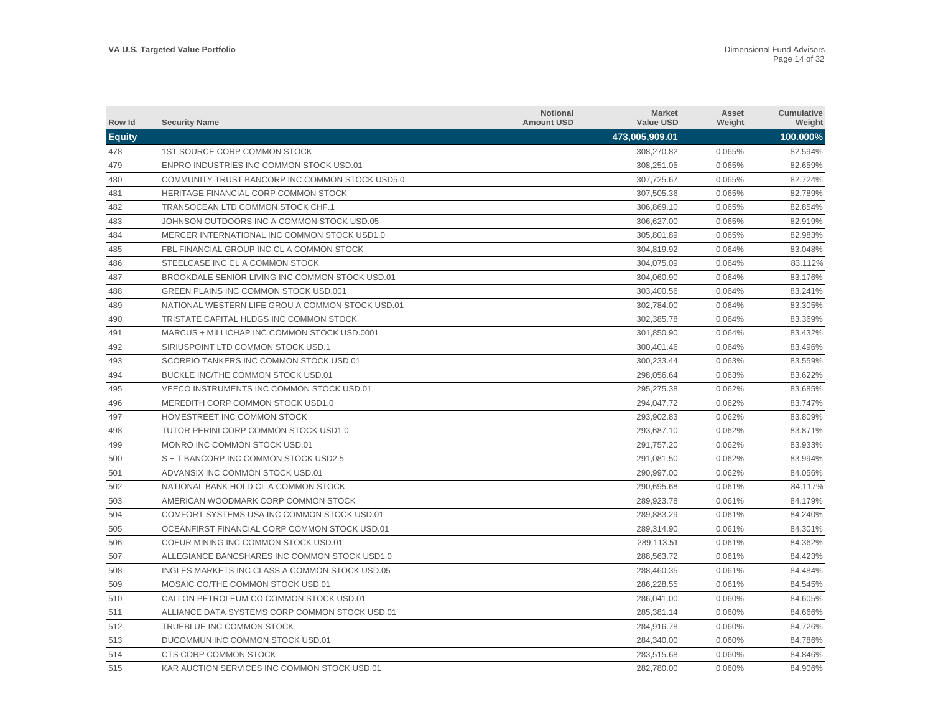| Row Id        | <b>Security Name</b>                             | <b>Notional</b><br><b>Amount USD</b> | <b>Market</b><br><b>Value USD</b> | Asset<br>Weight | <b>Cumulative</b><br>Weight |
|---------------|--------------------------------------------------|--------------------------------------|-----------------------------------|-----------------|-----------------------------|
| <b>Equity</b> |                                                  |                                      | 473,005,909.01                    |                 | 100.000%                    |
| 478           | 1ST SOURCE CORP COMMON STOCK                     |                                      | 308.270.82                        | 0.065%          | 82.594%                     |
| 479           | ENPRO INDUSTRIES INC COMMON STOCK USD.01         |                                      | 308,251.05                        | 0.065%          | 82.659%                     |
| 480           | COMMUNITY TRUST BANCORP INC COMMON STOCK USD5.0  |                                      | 307.725.67                        | 0.065%          | 82.724%                     |
| 481           | <b>HERITAGE FINANCIAL CORP COMMON STOCK</b>      |                                      | 307,505.36                        | 0.065%          | 82.789%                     |
| 482           | TRANSOCEAN LTD COMMON STOCK CHF.1                |                                      | 306,869.10                        | 0.065%          | 82.854%                     |
| 483           | JOHNSON OUTDOORS INC A COMMON STOCK USD.05       |                                      | 306.627.00                        | 0.065%          | 82.919%                     |
| 484           | MERCER INTERNATIONAL INC COMMON STOCK USD1.0     |                                      | 305,801.89                        | 0.065%          | 82.983%                     |
| 485           | FBL FINANCIAL GROUP INC CL A COMMON STOCK        |                                      | 304.819.92                        | 0.064%          | 83.048%                     |
| 486           | STEELCASE INC CL A COMMON STOCK                  |                                      | 304.075.09                        | 0.064%          | 83.112%                     |
| 487           | BROOKDALE SENIOR LIVING INC COMMON STOCK USD.01  |                                      | 304,060.90                        | 0.064%          | 83.176%                     |
| 488           | <b>GREEN PLAINS INC COMMON STOCK USD.001</b>     |                                      | 303,400.56                        | 0.064%          | 83.241%                     |
| 489           | NATIONAL WESTERN LIFE GROU A COMMON STOCK USD.01 |                                      | 302,784.00                        | 0.064%          | 83.305%                     |
| 490           | TRISTATE CAPITAL HLDGS INC COMMON STOCK          |                                      | 302.385.78                        | 0.064%          | 83.369%                     |
| 491           | MARCUS + MILLICHAP INC COMMON STOCK USD.0001     |                                      | 301.850.90                        | 0.064%          | 83.432%                     |
| 492           | SIRIUSPOINT LTD COMMON STOCK USD.1               |                                      | 300,401.46                        | 0.064%          | 83.496%                     |
| 493           | SCORPIO TANKERS INC COMMON STOCK USD.01          |                                      | 300,233.44                        | 0.063%          | 83.559%                     |
| 494           | BUCKLE INC/THE COMMON STOCK USD.01               |                                      | 298,056.64                        | 0.063%          | 83.622%                     |
| 495           | VEECO INSTRUMENTS INC COMMON STOCK USD.01        |                                      | 295,275.38                        | 0.062%          | 83.685%                     |
| 496           | MEREDITH CORP COMMON STOCK USD1.0                |                                      | 294,047.72                        | 0.062%          | 83.747%                     |
| 497           | HOMESTREET INC COMMON STOCK                      |                                      | 293,902.83                        | 0.062%          | 83.809%                     |
| 498           | TUTOR PERINI CORP COMMON STOCK USD1.0            |                                      | 293,687.10                        | 0.062%          | 83.871%                     |
| 499           | MONRO INC COMMON STOCK USD.01                    |                                      | 291,757.20                        | 0.062%          | 83.933%                     |
| 500           | S + T BANCORP INC COMMON STOCK USD2.5            |                                      | 291,081.50                        | 0.062%          | 83.994%                     |
| 501           | ADVANSIX INC COMMON STOCK USD.01                 |                                      | 290,997.00                        | 0.062%          | 84.056%                     |
| 502           | NATIONAL BANK HOLD CL A COMMON STOCK             |                                      | 290,695.68                        | 0.061%          | 84.117%                     |
| 503           | AMERICAN WOODMARK CORP COMMON STOCK              |                                      | 289,923.78                        | 0.061%          | 84.179%                     |
| 504           | COMFORT SYSTEMS USA INC COMMON STOCK USD.01      |                                      | 289,883.29                        | 0.061%          | 84.240%                     |
| 505           | OCEANFIRST FINANCIAL CORP COMMON STOCK USD.01    |                                      | 289,314.90                        | 0.061%          | 84.301%                     |
| 506           | COEUR MINING INC COMMON STOCK USD.01             |                                      | 289.113.51                        | 0.061%          | 84.362%                     |
| 507           | ALLEGIANCE BANCSHARES INC COMMON STOCK USD1.0    |                                      | 288,563.72                        | 0.061%          | 84.423%                     |
| 508           | INGLES MARKETS INC CLASS A COMMON STOCK USD.05   |                                      | 288,460.35                        | 0.061%          | 84.484%                     |
| 509           | MOSAIC CO/THE COMMON STOCK USD.01                |                                      | 286,228.55                        | 0.061%          | 84.545%                     |
| 510           | CALLON PETROLEUM CO COMMON STOCK USD.01          |                                      | 286,041.00                        | 0.060%          | 84.605%                     |
| 511           | ALLIANCE DATA SYSTEMS CORP COMMON STOCK USD.01   |                                      | 285,381.14                        | 0.060%          | 84.666%                     |
| 512           | TRUEBLUE INC COMMON STOCK                        |                                      | 284,916.78                        | 0.060%          | 84.726%                     |
| 513           | DUCOMMUN INC COMMON STOCK USD.01                 |                                      | 284.340.00                        | 0.060%          | 84.786%                     |
| 514           | CTS CORP COMMON STOCK                            |                                      | 283,515.68                        | 0.060%          | 84.846%                     |
| 515           | KAR AUCTION SERVICES INC COMMON STOCK USD.01     |                                      | 282.780.00                        | 0.060%          | 84.906%                     |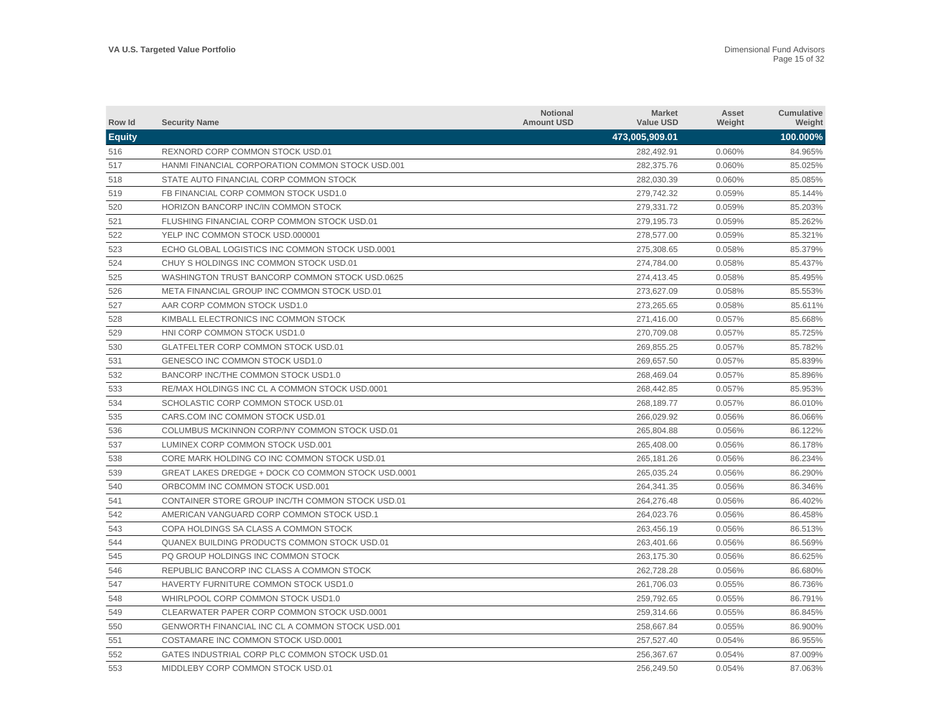| Row Id        | <b>Security Name</b>                                | <b>Notional</b><br><b>Amount USD</b> | <b>Market</b><br><b>Value USD</b> | Asset<br>Weight | <b>Cumulative</b><br>Weight |
|---------------|-----------------------------------------------------|--------------------------------------|-----------------------------------|-----------------|-----------------------------|
| <b>Equity</b> |                                                     |                                      | 473,005,909.01                    |                 | 100.000%                    |
| 516           | REXNORD CORP COMMON STOCK USD.01                    |                                      | 282.492.91                        | 0.060%          | 84.965%                     |
| 517           | HANMI FINANCIAL CORPORATION COMMON STOCK USD.001    |                                      | 282,375.76                        | 0.060%          | 85.025%                     |
| 518           | STATE AUTO FINANCIAL CORP COMMON STOCK              |                                      | 282,030.39                        | 0.060%          | 85.085%                     |
| 519           | FB FINANCIAL CORP COMMON STOCK USD1.0               |                                      | 279,742.32                        | 0.059%          | 85.144%                     |
| 520           | HORIZON BANCORP INC/IN COMMON STOCK                 |                                      | 279,331.72                        | 0.059%          | 85.203%                     |
| 521           | FLUSHING FINANCIAL CORP COMMON STOCK USD.01         |                                      | 279,195.73                        | 0.059%          | 85.262%                     |
| 522           | YELP INC COMMON STOCK USD.000001                    |                                      | 278,577.00                        | 0.059%          | 85.321%                     |
| 523           | ECHO GLOBAL LOGISTICS INC COMMON STOCK USD.0001     |                                      | 275.308.65                        | 0.058%          | 85.379%                     |
| 524           | CHUY S HOLDINGS INC COMMON STOCK USD.01             |                                      | 274,784.00                        | 0.058%          | 85.437%                     |
| 525           | WASHINGTON TRUST BANCORP COMMON STOCK USD.0625      |                                      | 274.413.45                        | 0.058%          | 85.495%                     |
| 526           | META FINANCIAL GROUP INC COMMON STOCK USD.01        |                                      | 273,627.09                        | 0.058%          | 85.553%                     |
| 527           | AAR CORP COMMON STOCK USD1.0                        |                                      | 273,265.65                        | 0.058%          | 85.611%                     |
| 528           | KIMBALL ELECTRONICS INC COMMON STOCK                |                                      | 271,416.00                        | 0.057%          | 85.668%                     |
| 529           | HNI CORP COMMON STOCK USD1.0                        |                                      | 270,709.08                        | 0.057%          | 85.725%                     |
| 530           | <b>GLATFELTER CORP COMMON STOCK USD.01</b>          |                                      | 269,855.25                        | 0.057%          | 85.782%                     |
| 531           | GENESCO INC COMMON STOCK USD1.0                     |                                      | 269,657.50                        | 0.057%          | 85.839%                     |
| 532           | BANCORP INC/THE COMMON STOCK USD1.0                 |                                      | 268,469.04                        | 0.057%          | 85.896%                     |
| 533           | RE/MAX HOLDINGS INC CL A COMMON STOCK USD.0001      |                                      | 268,442.85                        | 0.057%          | 85.953%                     |
| 534           | SCHOLASTIC CORP COMMON STOCK USD.01                 |                                      | 268,189.77                        | 0.057%          | 86.010%                     |
| 535           | CARS.COM INC COMMON STOCK USD.01                    |                                      | 266,029.92                        | 0.056%          | 86.066%                     |
| 536           | COLUMBUS MCKINNON CORP/NY COMMON STOCK USD.01       |                                      | 265.804.88                        | 0.056%          | 86.122%                     |
| 537           | LUMINEX CORP COMMON STOCK USD.001                   |                                      | 265.408.00                        | 0.056%          | 86.178%                     |
| 538           | CORE MARK HOLDING CO INC COMMON STOCK USD.01        |                                      | 265.181.26                        | 0.056%          | 86.234%                     |
| 539           | GREAT LAKES DREDGE + DOCK CO COMMON STOCK USD.0001  |                                      | 265,035.24                        | 0.056%          | 86.290%                     |
| 540           | ORBCOMM INC COMMON STOCK USD.001                    |                                      | 264,341.35                        | 0.056%          | 86.346%                     |
| 541           | CONTAINER STORE GROUP INC/TH COMMON STOCK USD.01    |                                      | 264,276.48                        | 0.056%          | 86.402%                     |
| 542           | AMERICAN VANGUARD CORP COMMON STOCK USD.1           |                                      | 264,023.76                        | 0.056%          | 86.458%                     |
| 543           | COPA HOLDINGS SA CLASS A COMMON STOCK               |                                      | 263,456.19                        | 0.056%          | 86.513%                     |
| 544           | <b>QUANEX BUILDING PRODUCTS COMMON STOCK USD.01</b> |                                      | 263,401.66                        | 0.056%          | 86.569%                     |
| 545           | PQ GROUP HOLDINGS INC COMMON STOCK                  |                                      | 263,175.30                        | 0.056%          | 86.625%                     |
| 546           | REPUBLIC BANCORP INC CLASS A COMMON STOCK           |                                      | 262,728.28                        | 0.056%          | 86.680%                     |
| 547           | HAVERTY FURNITURE COMMON STOCK USD1.0               |                                      | 261,706.03                        | 0.055%          | 86.736%                     |
| 548           | WHIRLPOOL CORP COMMON STOCK USD1.0                  |                                      | 259,792.65                        | 0.055%          | 86.791%                     |
| 549           | CLEARWATER PAPER CORP COMMON STOCK USD.0001         |                                      | 259,314.66                        | 0.055%          | 86.845%                     |
| 550           | GENWORTH FINANCIAL INC CL A COMMON STOCK USD.001    |                                      | 258,667.84                        | 0.055%          | 86.900%                     |
| 551           | COSTAMARE INC COMMON STOCK USD.0001                 |                                      | 257,527.40                        | 0.054%          | 86.955%                     |
| 552           | GATES INDUSTRIAL CORP PLC COMMON STOCK USD.01       |                                      | 256.367.67                        | 0.054%          | 87.009%                     |
| 553           | MIDDLEBY CORP COMMON STOCK USD.01                   |                                      | 256,249.50                        | 0.054%          | 87.063%                     |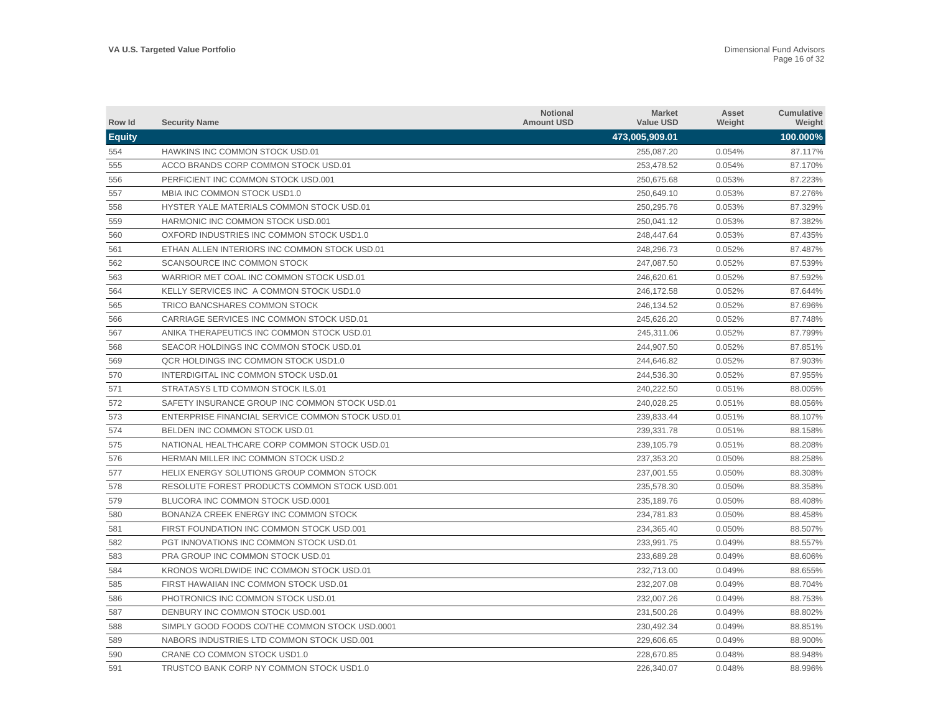| Row Id        | <b>Security Name</b>                             | <b>Notional</b><br><b>Amount USD</b> | <b>Market</b><br><b>Value USD</b> | Asset<br>Weight | <b>Cumulative</b><br>Weight |
|---------------|--------------------------------------------------|--------------------------------------|-----------------------------------|-----------------|-----------------------------|
| <b>Equity</b> |                                                  |                                      | 473,005,909.01                    |                 | 100.000%                    |
| 554           | <b>HAWKINS INC COMMON STOCK USD.01</b>           |                                      | 255.087.20                        | 0.054%          | 87.117%                     |
| 555           | ACCO BRANDS CORP COMMON STOCK USD.01             |                                      | 253,478.52                        | 0.054%          | 87.170%                     |
| 556           | PERFICIENT INC COMMON STOCK USD.001              |                                      | 250,675.68                        | 0.053%          | 87.223%                     |
| 557           | MBIA INC COMMON STOCK USD1.0                     |                                      | 250,649.10                        | 0.053%          | 87.276%                     |
| 558           | HYSTER YALE MATERIALS COMMON STOCK USD.01        |                                      | 250,295.76                        | 0.053%          | 87.329%                     |
| 559           | HARMONIC INC COMMON STOCK USD.001                |                                      | 250,041.12                        | 0.053%          | 87.382%                     |
| 560           | OXFORD INDUSTRIES INC COMMON STOCK USD1.0        |                                      | 248,447.64                        | 0.053%          | 87.435%                     |
| 561           | ETHAN ALLEN INTERIORS INC COMMON STOCK USD.01    |                                      | 248,296.73                        | 0.052%          | 87.487%                     |
| 562           | SCANSOURCE INC COMMON STOCK                      |                                      | 247,087.50                        | 0.052%          | 87.539%                     |
| 563           | WARRIOR MET COAL INC COMMON STOCK USD.01         |                                      | 246,620.61                        | 0.052%          | 87.592%                     |
| 564           | KELLY SERVICES INC A COMMON STOCK USD1.0         |                                      | 246,172.58                        | 0.052%          | 87.644%                     |
| 565           | TRICO BANCSHARES COMMON STOCK                    |                                      | 246,134.52                        | 0.052%          | 87.696%                     |
| 566           | CARRIAGE SERVICES INC COMMON STOCK USD.01        |                                      | 245.626.20                        | 0.052%          | 87.748%                     |
| 567           | ANIKA THERAPEUTICS INC COMMON STOCK USD.01       |                                      | 245,311.06                        | 0.052%          | 87.799%                     |
| 568           | SEACOR HOLDINGS INC COMMON STOCK USD.01          |                                      | 244.907.50                        | 0.052%          | 87.851%                     |
| 569           | QCR HOLDINGS INC COMMON STOCK USD1.0             |                                      | 244.646.82                        | 0.052%          | 87.903%                     |
| 570           | INTERDIGITAL INC COMMON STOCK USD.01             |                                      | 244,536.30                        | 0.052%          | 87.955%                     |
| 571           | STRATASYS LTD COMMON STOCK ILS.01                |                                      | 240,222.50                        | 0.051%          | 88.005%                     |
| 572           | SAFETY INSURANCE GROUP INC COMMON STOCK USD.01   |                                      | 240,028.25                        | 0.051%          | 88.056%                     |
| 573           | ENTERPRISE FINANCIAL SERVICE COMMON STOCK USD.01 |                                      | 239,833.44                        | 0.051%          | 88.107%                     |
| 574           | BELDEN INC COMMON STOCK USD.01                   |                                      | 239,331.78                        | 0.051%          | 88.158%                     |
| 575           | NATIONAL HEALTHCARE CORP COMMON STOCK USD.01     |                                      | 239,105.79                        | 0.051%          | 88.208%                     |
| 576           | <b>HERMAN MILLER INC COMMON STOCK USD.2</b>      |                                      | 237,353.20                        | 0.050%          | 88.258%                     |
| 577           | HELIX ENERGY SOLUTIONS GROUP COMMON STOCK        |                                      | 237,001.55                        | 0.050%          | 88.308%                     |
| 578           | RESOLUTE FOREST PRODUCTS COMMON STOCK USD.001    |                                      | 235,578.30                        | 0.050%          | 88.358%                     |
| 579           | BLUCORA INC COMMON STOCK USD.0001                |                                      | 235,189.76                        | 0.050%          | 88.408%                     |
| 580           | BONANZA CREEK ENERGY INC COMMON STOCK            |                                      | 234,781.83                        | 0.050%          | 88.458%                     |
| 581           | FIRST FOUNDATION INC COMMON STOCK USD.001        |                                      | 234,365.40                        | 0.050%          | 88.507%                     |
| 582           | PGT INNOVATIONS INC COMMON STOCK USD.01          |                                      | 233,991.75                        | 0.049%          | 88.557%                     |
| 583           | PRA GROUP INC COMMON STOCK USD.01                |                                      | 233,689.28                        | 0.049%          | 88.606%                     |
| 584           | KRONOS WORLDWIDE INC COMMON STOCK USD.01         |                                      | 232,713.00                        | 0.049%          | 88.655%                     |
| 585           | FIRST HAWAIIAN INC COMMON STOCK USD.01           |                                      | 232,207.08                        | 0.049%          | 88.704%                     |
| 586           | PHOTRONICS INC COMMON STOCK USD.01               |                                      | 232.007.26                        | 0.049%          | 88.753%                     |
| 587           | DENBURY INC COMMON STOCK USD.001                 |                                      | 231,500.26                        | 0.049%          | 88.802%                     |
| 588           | SIMPLY GOOD FOODS CO/THE COMMON STOCK USD.0001   |                                      | 230.492.34                        | 0.049%          | 88.851%                     |
| 589           | NABORS INDUSTRIES LTD COMMON STOCK USD.001       |                                      | 229,606.65                        | 0.049%          | 88.900%                     |
| 590           | CRANE CO COMMON STOCK USD1.0                     |                                      | 228.670.85                        | 0.048%          | 88.948%                     |
| 591           | TRUSTCO BANK CORP NY COMMON STOCK USD1.0         |                                      | 226,340.07                        | 0.048%          | 88.996%                     |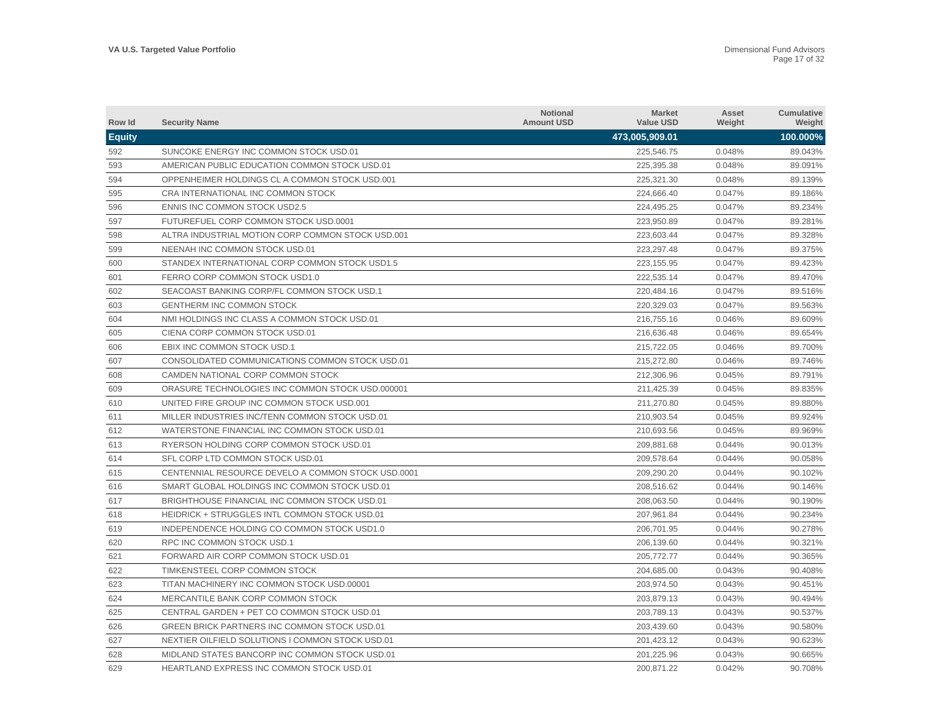| <b>Row Id</b> | <b>Security Name</b>                               | <b>Notional</b><br><b>Amount USD</b> | <b>Market</b><br><b>Value USD</b> | Asset<br>Weight | Cumulative<br>Weight |
|---------------|----------------------------------------------------|--------------------------------------|-----------------------------------|-----------------|----------------------|
| <b>Equity</b> |                                                    |                                      | 473,005,909.01                    |                 | 100.000%             |
| 592           | SUNCOKE ENERGY INC COMMON STOCK USD.01             |                                      | 225,546.75                        | 0.048%          | 89.043%              |
| 593           | AMERICAN PUBLIC EDUCATION COMMON STOCK USD.01      |                                      | 225,395.38                        | 0.048%          | 89.091%              |
| 594           | OPPENHEIMER HOLDINGS CL A COMMON STOCK USD.001     |                                      | 225,321.30                        | 0.048%          | 89.139%              |
| 595           | CRA INTERNATIONAL INC COMMON STOCK                 |                                      | 224,666.40                        | 0.047%          | 89.186%              |
| 596           | <b>ENNIS INC COMMON STOCK USD2.5</b>               |                                      | 224,495.25                        | 0.047%          | 89.234%              |
| 597           | FUTUREFUEL CORP COMMON STOCK USD.0001              |                                      | 223,950.89                        | 0.047%          | 89.281%              |
| 598           | ALTRA INDUSTRIAL MOTION CORP COMMON STOCK USD.001  |                                      | 223,603.44                        | 0.047%          | 89.328%              |
| 599           | NEENAH INC COMMON STOCK USD.01                     |                                      | 223.297.48                        | 0.047%          | 89.375%              |
| 600           | STANDEX INTERNATIONAL CORP COMMON STOCK USD1.5     |                                      | 223,155.95                        | 0.047%          | 89.423%              |
| 601           | FERRO CORP COMMON STOCK USD1.0                     |                                      | 222.535.14                        | 0.047%          | 89.470%              |
| 602           | SEACOAST BANKING CORP/FL COMMON STOCK USD.1        |                                      | 220,484.16                        | 0.047%          | 89.516%              |
| 603           | <b>GENTHERM INC COMMON STOCK</b>                   |                                      | 220,329.03                        | 0.047%          | 89.563%              |
| 604           | NMI HOLDINGS INC CLASS A COMMON STOCK USD.01       |                                      | 216,755.16                        | 0.046%          | 89.609%              |
| 605           | CIENA CORP COMMON STOCK USD.01                     |                                      | 216,636.48                        | 0.046%          | 89.654%              |
| 606           | EBIX INC COMMON STOCK USD.1                        |                                      | 215,722.05                        | 0.046%          | 89.700%              |
| 607           | CONSOLIDATED COMMUNICATIONS COMMON STOCK USD.01    |                                      | 215,272.80                        | 0.046%          | 89.746%              |
| 608           | CAMDEN NATIONAL CORP COMMON STOCK                  |                                      | 212.306.96                        | 0.045%          | 89.791%              |
| 609           | ORASURE TECHNOLOGIES INC COMMON STOCK USD.000001   |                                      | 211,425.39                        | 0.045%          | 89.835%              |
| 610           | UNITED FIRE GROUP INC COMMON STOCK USD.001         |                                      | 211,270.80                        | 0.045%          | 89.880%              |
| 611           | MILLER INDUSTRIES INC/TENN COMMON STOCK USD.01     |                                      | 210,903.54                        | 0.045%          | 89.924%              |
| 612           | WATERSTONE FINANCIAL INC COMMON STOCK USD.01       |                                      | 210,693.56                        | 0.045%          | 89.969%              |
| 613           | RYERSON HOLDING CORP COMMON STOCK USD.01           |                                      | 209,881.68                        | 0.044%          | 90.013%              |
| 614           | SFL CORP LTD COMMON STOCK USD.01                   |                                      | 209,578.64                        | 0.044%          | 90.058%              |
| 615           | CENTENNIAL RESOURCE DEVELO A COMMON STOCK USD.0001 |                                      | 209,290.20                        | 0.044%          | 90.102%              |
| 616           | SMART GLOBAL HOLDINGS INC COMMON STOCK USD.01      |                                      | 208,516.62                        | 0.044%          | 90.146%              |
| 617           | BRIGHTHOUSE FINANCIAL INC COMMON STOCK USD.01      |                                      | 208,063.50                        | 0.044%          | 90.190%              |
| 618           | HEIDRICK + STRUGGLES INTL COMMON STOCK USD.01      |                                      | 207.961.84                        | 0.044%          | 90.234%              |
| 619           | INDEPENDENCE HOLDING CO COMMON STOCK USD1.0        |                                      | 206.701.95                        | 0.044%          | 90.278%              |
| 620           | RPC INC COMMON STOCK USD.1                         |                                      | 206,139.60                        | 0.044%          | 90.321%              |
| 621           | FORWARD AIR CORP COMMON STOCK USD.01               |                                      | 205,772.77                        | 0.044%          | 90.365%              |
| 622           | TIMKENSTEEL CORP COMMON STOCK                      |                                      | 204,685.00                        | 0.043%          | 90.408%              |
| 623           | TITAN MACHINERY INC COMMON STOCK USD.00001         |                                      | 203,974.50                        | 0.043%          | 90.451%              |
| 624           | MERCANTILE BANK CORP COMMON STOCK                  |                                      | 203,879.13                        | 0.043%          | 90.494%              |
| 625           | CENTRAL GARDEN + PET CO COMMON STOCK USD.01        |                                      | 203,789.13                        | 0.043%          | 90.537%              |
| 626           | GREEN BRICK PARTNERS INC COMMON STOCK USD.01       |                                      | 203,439.60                        | 0.043%          | 90.580%              |
| 627           | NEXTIER OILFIELD SOLUTIONS I COMMON STOCK USD.01   |                                      | 201,423.12                        | 0.043%          | 90.623%              |
| 628           | MIDLAND STATES BANCORP INC COMMON STOCK USD.01     |                                      | 201.225.96                        | 0.043%          | 90.665%              |
| 629           | <b>HEARTLAND EXPRESS INC COMMON STOCK USD.01</b>   |                                      | 200,871.22                        | 0.042%          | 90.708%              |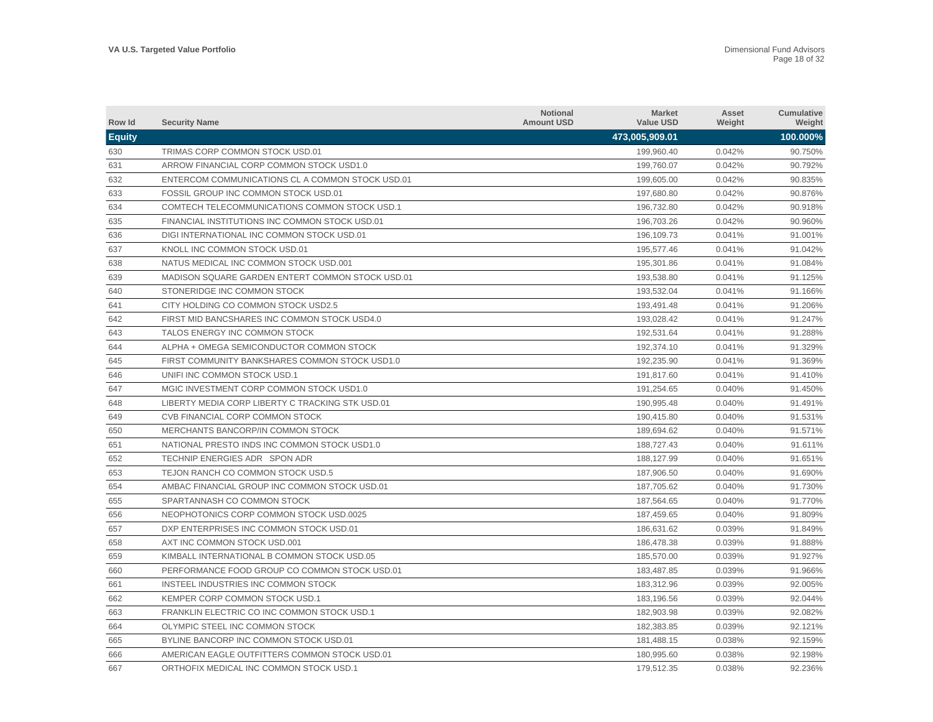| Row Id        | <b>Security Name</b>                             | <b>Notional</b><br><b>Amount USD</b> | <b>Market</b><br><b>Value USD</b> | Asset<br>Weight | Cumulative<br>Weight |
|---------------|--------------------------------------------------|--------------------------------------|-----------------------------------|-----------------|----------------------|
| <b>Equity</b> |                                                  |                                      | 473,005,909.01                    |                 | 100.000%             |
| 630           | TRIMAS CORP COMMON STOCK USD.01                  |                                      | 199,960.40                        | 0.042%          | 90.750%              |
| 631           | ARROW FINANCIAL CORP COMMON STOCK USD1.0         |                                      | 199,760.07                        | 0.042%          | 90.792%              |
| 632           | ENTERCOM COMMUNICATIONS CL A COMMON STOCK USD.01 |                                      | 199,605.00                        | 0.042%          | 90.835%              |
| 633           | FOSSIL GROUP INC COMMON STOCK USD.01             |                                      | 197,680.80                        | 0.042%          | 90.876%              |
| 634           | COMTECH TELECOMMUNICATIONS COMMON STOCK USD.1    |                                      | 196,732.80                        | 0.042%          | 90.918%              |
| 635           | FINANCIAL INSTITUTIONS INC COMMON STOCK USD.01   |                                      | 196,703.26                        | 0.042%          | 90.960%              |
| 636           | DIGI INTERNATIONAL INC COMMON STOCK USD.01       |                                      | 196,109.73                        | 0.041%          | 91.001%              |
| 637           | KNOLL INC COMMON STOCK USD.01                    |                                      | 195,577.46                        | 0.041%          | 91.042%              |
| 638           | NATUS MEDICAL INC COMMON STOCK USD.001           |                                      | 195,301.86                        | 0.041%          | 91.084%              |
| 639           | MADISON SQUARE GARDEN ENTERT COMMON STOCK USD.01 |                                      | 193.538.80                        | 0.041%          | 91.125%              |
| 640           | STONERIDGE INC COMMON STOCK                      |                                      | 193,532.04                        | 0.041%          | 91.166%              |
| 641           | CITY HOLDING CO COMMON STOCK USD2.5              |                                      | 193,491.48                        | 0.041%          | 91.206%              |
| 642           | FIRST MID BANCSHARES INC COMMON STOCK USD4.0     |                                      | 193,028.42                        | 0.041%          | 91.247%              |
| 643           | TALOS ENERGY INC COMMON STOCK                    |                                      | 192,531.64                        | 0.041%          | 91.288%              |
| 644           | ALPHA + OMEGA SEMICONDUCTOR COMMON STOCK         |                                      | 192,374.10                        | 0.041%          | 91.329%              |
| 645           | FIRST COMMUNITY BANKSHARES COMMON STOCK USD1.0   |                                      | 192.235.90                        | 0.041%          | 91.369%              |
| 646           | UNIFI INC COMMON STOCK USD.1                     |                                      | 191.817.60                        | 0.041%          | 91.410%              |
| 647           | MGIC INVESTMENT CORP COMMON STOCK USD1.0         |                                      | 191,254.65                        | 0.040%          | 91.450%              |
| 648           | LIBERTY MEDIA CORP LIBERTY C TRACKING STK USD.01 |                                      | 190,995.48                        | 0.040%          | 91.491%              |
| 649           | CVB FINANCIAL CORP COMMON STOCK                  |                                      | 190,415.80                        | 0.040%          | 91.531%              |
| 650           | MERCHANTS BANCORP/IN COMMON STOCK                |                                      | 189,694.62                        | 0.040%          | 91.571%              |
| 651           | NATIONAL PRESTO INDS INC COMMON STOCK USD1.0     |                                      | 188,727.43                        | 0.040%          | 91.611%              |
| 652           | TECHNIP ENERGIES ADR SPON ADR                    |                                      | 188,127.99                        | 0.040%          | 91.651%              |
| 653           | TEJON RANCH CO COMMON STOCK USD.5                |                                      | 187,906.50                        | 0.040%          | 91.690%              |
| 654           | AMBAC FINANCIAL GROUP INC COMMON STOCK USD.01    |                                      | 187,705.62                        | 0.040%          | 91.730%              |
| 655           | SPARTANNASH CO COMMON STOCK                      |                                      | 187,564.65                        | 0.040%          | 91.770%              |
| 656           | NEOPHOTONICS CORP COMMON STOCK USD.0025          |                                      | 187,459.65                        | 0.040%          | 91.809%              |
| 657           | DXP ENTERPRISES INC COMMON STOCK USD.01          |                                      | 186.631.62                        | 0.039%          | 91.849%              |
| 658           | AXT INC COMMON STOCK USD.001                     |                                      | 186,478.38                        | 0.039%          | 91.888%              |
| 659           | KIMBALL INTERNATIONAL B COMMON STOCK USD.05      |                                      | 185,570.00                        | 0.039%          | 91.927%              |
| 660           | PERFORMANCE FOOD GROUP CO COMMON STOCK USD.01    |                                      | 183,487.85                        | 0.039%          | 91.966%              |
| 661           | INSTEEL INDUSTRIES INC COMMON STOCK              |                                      | 183,312.96                        | 0.039%          | 92.005%              |
| 662           | KEMPER CORP COMMON STOCK USD.1                   |                                      | 183,196.56                        | 0.039%          | 92.044%              |
| 663           | FRANKLIN ELECTRIC CO INC COMMON STOCK USD.1      |                                      | 182,903.98                        | 0.039%          | 92.082%              |
| 664           | OLYMPIC STEEL INC COMMON STOCK                   |                                      | 182,383.85                        | 0.039%          | 92.121%              |
| 665           | BYLINE BANCORP INC COMMON STOCK USD.01           |                                      | 181,488.15                        | 0.038%          | 92.159%              |
| 666           | AMERICAN EAGLE OUTFITTERS COMMON STOCK USD.01    |                                      | 180.995.60                        | 0.038%          | 92.198%              |
| 667           | ORTHOFIX MEDICAL INC COMMON STOCK USD.1          |                                      | 179,512.35                        | 0.038%          | 92.236%              |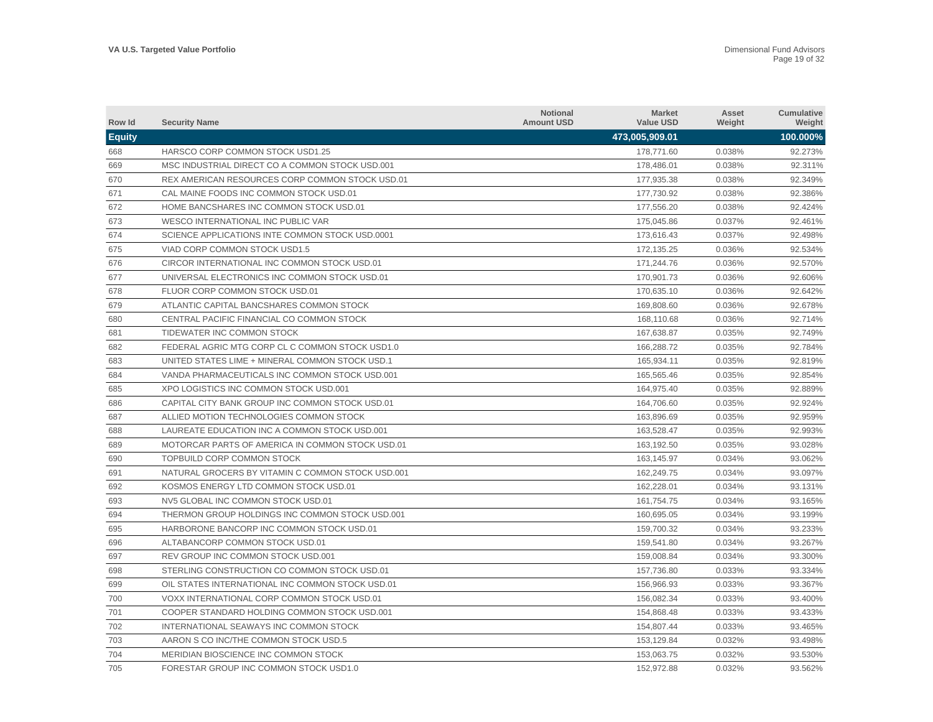| Row Id        | <b>Security Name</b>                              | <b>Notional</b><br><b>Amount USD</b> | <b>Market</b><br><b>Value USD</b> | Asset<br>Weight | <b>Cumulative</b><br>Weight |
|---------------|---------------------------------------------------|--------------------------------------|-----------------------------------|-----------------|-----------------------------|
| <b>Equity</b> |                                                   |                                      | 473,005,909.01                    |                 | 100.000%                    |
| 668           | HARSCO CORP COMMON STOCK USD1.25                  |                                      | 178,771.60                        | 0.038%          | 92.273%                     |
| 669           | MSC INDUSTRIAL DIRECT CO A COMMON STOCK USD.001   |                                      | 178,486.01                        | 0.038%          | 92.311%                     |
| 670           | REX AMERICAN RESOURCES CORP COMMON STOCK USD.01   |                                      | 177,935.38                        | 0.038%          | 92.349%                     |
| 671           | CAL MAINE FOODS INC COMMON STOCK USD.01           |                                      | 177,730.92                        | 0.038%          | 92.386%                     |
| 672           | HOME BANCSHARES INC COMMON STOCK USD.01           |                                      | 177,556.20                        | 0.038%          | 92.424%                     |
| 673           | WESCO INTERNATIONAL INC PUBLIC VAR                |                                      | 175,045.86                        | 0.037%          | 92.461%                     |
| 674           | SCIENCE APPLICATIONS INTE COMMON STOCK USD.0001   |                                      | 173,616.43                        | 0.037%          | 92.498%                     |
| 675           | VIAD CORP COMMON STOCK USD1.5                     |                                      | 172.135.25                        | 0.036%          | 92.534%                     |
| 676           | CIRCOR INTERNATIONAL INC COMMON STOCK USD.01      |                                      | 171,244.76                        | 0.036%          | 92.570%                     |
| 677           | UNIVERSAL ELECTRONICS INC COMMON STOCK USD.01     |                                      | 170.901.73                        | 0.036%          | 92.606%                     |
| 678           | FLUOR CORP COMMON STOCK USD.01                    |                                      | 170,635.10                        | 0.036%          | 92.642%                     |
| 679           | ATLANTIC CAPITAL BANCSHARES COMMON STOCK          |                                      | 169,808.60                        | 0.036%          | 92.678%                     |
| 680           | CENTRAL PACIFIC FINANCIAL CO COMMON STOCK         |                                      | 168,110.68                        | 0.036%          | 92.714%                     |
| 681           | TIDEWATER INC COMMON STOCK                        |                                      | 167,638.87                        | 0.035%          | 92.749%                     |
| 682           | FEDERAL AGRIC MTG CORP CL C COMMON STOCK USD1.0   |                                      | 166,288.72                        | 0.035%          | 92.784%                     |
| 683           | UNITED STATES LIME + MINERAL COMMON STOCK USD.1   |                                      | 165.934.11                        | 0.035%          | 92.819%                     |
| 684           | VANDA PHARMACEUTICALS INC COMMON STOCK USD.001    |                                      | 165.565.46                        | 0.035%          | 92.854%                     |
| 685           | XPO LOGISTICS INC COMMON STOCK USD.001            |                                      | 164,975.40                        | 0.035%          | 92.889%                     |
| 686           | CAPITAL CITY BANK GROUP INC COMMON STOCK USD.01   |                                      | 164,706.60                        | 0.035%          | 92.924%                     |
| 687           | ALLIED MOTION TECHNOLOGIES COMMON STOCK           |                                      | 163,896.69                        | 0.035%          | 92.959%                     |
| 688           | LAUREATE EDUCATION INC A COMMON STOCK USD.001     |                                      | 163,528.47                        | 0.035%          | 92.993%                     |
| 689           | MOTORCAR PARTS OF AMERICA IN COMMON STOCK USD.01  |                                      | 163,192.50                        | 0.035%          | 93.028%                     |
| 690           | TOPBUILD CORP COMMON STOCK                        |                                      | 163,145.97                        | 0.034%          | 93.062%                     |
| 691           | NATURAL GROCERS BY VITAMIN C COMMON STOCK USD.001 |                                      | 162,249.75                        | 0.034%          | 93.097%                     |
| 692           | KOSMOS ENERGY LTD COMMON STOCK USD.01             |                                      | 162,228.01                        | 0.034%          | 93.131%                     |
| 693           | NV5 GLOBAL INC COMMON STOCK USD.01                |                                      | 161,754.75                        | 0.034%          | 93.165%                     |
| 694           | THERMON GROUP HOLDINGS INC COMMON STOCK USD.001   |                                      | 160,695.05                        | 0.034%          | 93.199%                     |
| 695           | HARBORONE BANCORP INC COMMON STOCK USD.01         |                                      | 159,700.32                        | 0.034%          | 93.233%                     |
| 696           | ALTABANCORP COMMON STOCK USD.01                   |                                      | 159,541.80                        | 0.034%          | 93.267%                     |
| 697           | REV GROUP INC COMMON STOCK USD.001                |                                      | 159,008.84                        | 0.034%          | 93.300%                     |
| 698           | STERLING CONSTRUCTION CO COMMON STOCK USD.01      |                                      | 157,736.80                        | 0.033%          | 93.334%                     |
| 699           | OIL STATES INTERNATIONAL INC COMMON STOCK USD.01  |                                      | 156,966.93                        | 0.033%          | 93.367%                     |
| 700           | VOXX INTERNATIONAL CORP COMMON STOCK USD.01       |                                      | 156,082.34                        | 0.033%          | 93.400%                     |
| 701           | COOPER STANDARD HOLDING COMMON STOCK USD.001      |                                      | 154,868.48                        | 0.033%          | 93.433%                     |
| 702           | INTERNATIONAL SEAWAYS INC COMMON STOCK            |                                      | 154,807.44                        | 0.033%          | 93.465%                     |
| 703           | AARON S CO INC/THE COMMON STOCK USD.5             |                                      | 153,129.84                        | 0.032%          | 93.498%                     |
| 704           | MERIDIAN BIOSCIENCE INC COMMON STOCK              |                                      | 153.063.75                        | 0.032%          | 93.530%                     |
| 705           | FORESTAR GROUP INC COMMON STOCK USD1.0            |                                      | 152,972.88                        | 0.032%          | 93.562%                     |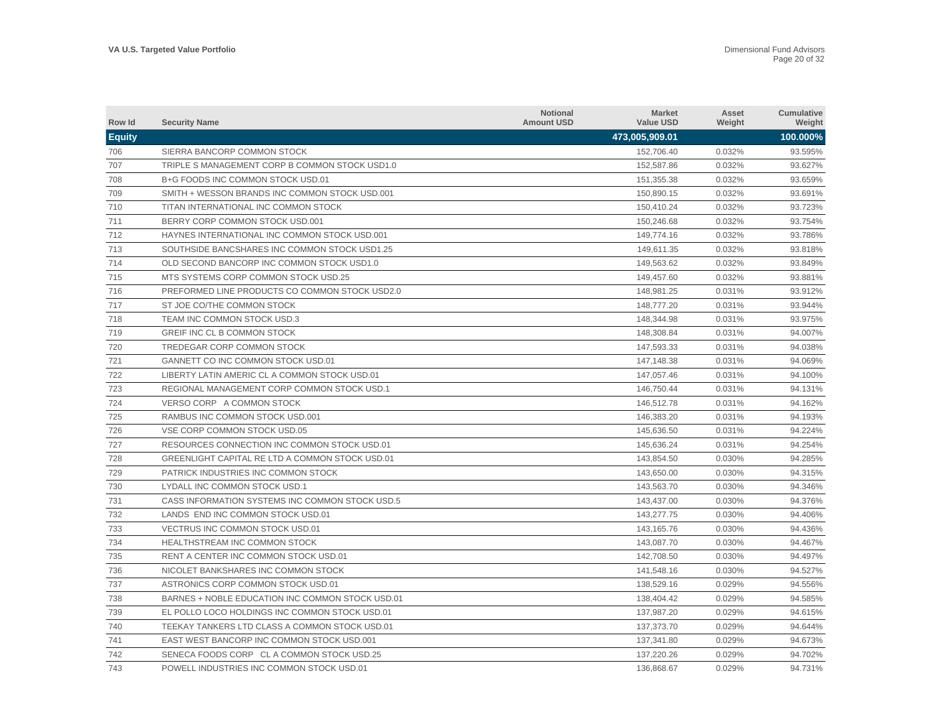| Row Id        | <b>Security Name</b>                             | <b>Notional</b><br><b>Amount USD</b> | <b>Market</b><br><b>Value USD</b> | Asset<br>Weight | Cumulative<br>Weight |
|---------------|--------------------------------------------------|--------------------------------------|-----------------------------------|-----------------|----------------------|
| <b>Equity</b> |                                                  |                                      | 473,005,909.01                    |                 | 100.000%             |
| 706           | SIERRA BANCORP COMMON STOCK                      |                                      | 152,706.40                        | 0.032%          | 93.595%              |
| 707           | TRIPLE S MANAGEMENT CORP B COMMON STOCK USD1.0   |                                      | 152,587.86                        | 0.032%          | 93.627%              |
| 708           | B+G FOODS INC COMMON STOCK USD.01                |                                      | 151,355.38                        | 0.032%          | 93.659%              |
| 709           | SMITH + WESSON BRANDS INC COMMON STOCK USD.001   |                                      | 150,890.15                        | 0.032%          | 93.691%              |
| 710           | TITAN INTERNATIONAL INC COMMON STOCK             |                                      | 150,410.24                        | 0.032%          | 93.723%              |
| 711           | BERRY CORP COMMON STOCK USD.001                  |                                      | 150,246.68                        | 0.032%          | 93.754%              |
| 712           | HAYNES INTERNATIONAL INC COMMON STOCK USD.001    |                                      | 149,774.16                        | 0.032%          | 93.786%              |
| 713           | SOUTHSIDE BANCSHARES INC COMMON STOCK USD1.25    |                                      | 149,611.35                        | 0.032%          | 93.818%              |
| 714           | OLD SECOND BANCORP INC COMMON STOCK USD1.0       |                                      | 149,563.62                        | 0.032%          | 93.849%              |
| 715           | MTS SYSTEMS CORP COMMON STOCK USD.25             |                                      | 149.457.60                        | 0.032%          | 93.881%              |
| 716           | PREFORMED LINE PRODUCTS CO COMMON STOCK USD2.0   |                                      | 148,981.25                        | 0.031%          | 93.912%              |
| 717           | ST JOE CO/THE COMMON STOCK                       |                                      | 148,777.20                        | 0.031%          | 93.944%              |
| 718           | TEAM INC COMMON STOCK USD.3                      |                                      | 148,344.98                        | 0.031%          | 93.975%              |
| 719           | GREIF INC CL B COMMON STOCK                      |                                      | 148,308.84                        | 0.031%          | 94.007%              |
| 720           | TREDEGAR CORP COMMON STOCK                       |                                      | 147,593.33                        | 0.031%          | 94.038%              |
| 721           | GANNETT CO INC COMMON STOCK USD.01               |                                      | 147,148.38                        | 0.031%          | 94.069%              |
| 722           | LIBERTY LATIN AMERIC CL A COMMON STOCK USD.01    |                                      | 147,057.46                        | 0.031%          | 94.100%              |
| 723           | REGIONAL MANAGEMENT CORP COMMON STOCK USD.1      |                                      | 146,750.44                        | 0.031%          | 94.131%              |
| 724           | VERSO CORP A COMMON STOCK                        |                                      | 146,512.78                        | 0.031%          | 94.162%              |
| 725           | RAMBUS INC COMMON STOCK USD.001                  |                                      | 146,383.20                        | 0.031%          | 94.193%              |
| 726           | VSE CORP COMMON STOCK USD.05                     |                                      | 145,636.50                        | 0.031%          | 94.224%              |
| 727           | RESOURCES CONNECTION INC COMMON STOCK USD.01     |                                      | 145,636.24                        | 0.031%          | 94.254%              |
| 728           | GREENLIGHT CAPITAL RE LTD A COMMON STOCK USD.01  |                                      | 143,854.50                        | 0.030%          | 94.285%              |
| 729           | PATRICK INDUSTRIES INC COMMON STOCK              |                                      | 143,650.00                        | 0.030%          | 94.315%              |
| 730           | LYDALL INC COMMON STOCK USD.1                    |                                      | 143,563.70                        | 0.030%          | 94.346%              |
| 731           | CASS INFORMATION SYSTEMS INC COMMON STOCK USD.5  |                                      | 143,437.00                        | 0.030%          | 94.376%              |
| 732           | LANDS END INC COMMON STOCK USD.01                |                                      | 143,277.75                        | 0.030%          | 94.406%              |
| 733           | VECTRUS INC COMMON STOCK USD.01                  |                                      | 143.165.76                        | 0.030%          | 94.436%              |
| 734           | HEALTHSTREAM INC COMMON STOCK                    |                                      | 143,087.70                        | 0.030%          | 94.467%              |
| 735           | RENT A CENTER INC COMMON STOCK USD.01            |                                      | 142.708.50                        | 0.030%          | 94.497%              |
| 736           | NICOLET BANKSHARES INC COMMON STOCK              |                                      | 141,548.16                        | 0.030%          | 94.527%              |
| 737           | ASTRONICS CORP COMMON STOCK USD.01               |                                      | 138,529.16                        | 0.029%          | 94.556%              |
| 738           | BARNES + NOBLE EDUCATION INC COMMON STOCK USD.01 |                                      | 138,404.42                        | 0.029%          | 94.585%              |
| 739           | EL POLLO LOCO HOLDINGS INC COMMON STOCK USD.01   |                                      | 137,987.20                        | 0.029%          | 94.615%              |
| 740           | TEEKAY TANKERS LTD CLASS A COMMON STOCK USD.01   |                                      | 137,373.70                        | 0.029%          | 94.644%              |
| 741           | EAST WEST BANCORP INC COMMON STOCK USD.001       |                                      | 137,341.80                        | 0.029%          | 94.673%              |
| 742           | SENECA FOODS CORP CL A COMMON STOCK USD.25       |                                      | 137.220.26                        | 0.029%          | 94.702%              |
| 743           | POWELL INDUSTRIES INC COMMON STOCK USD.01        |                                      | 136,868.67                        | 0.029%          | 94.731%              |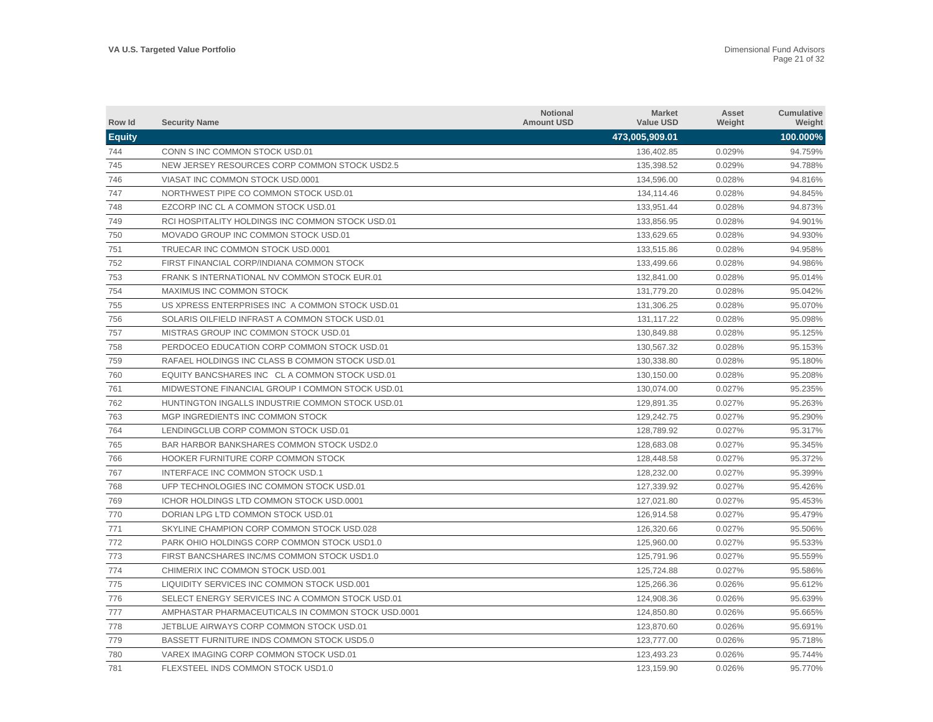| Row Id        | <b>Security Name</b>                               | <b>Notional</b><br><b>Amount USD</b> | <b>Market</b><br><b>Value USD</b> | Asset<br>Weight | Cumulative<br>Weight |
|---------------|----------------------------------------------------|--------------------------------------|-----------------------------------|-----------------|----------------------|
| <b>Equity</b> |                                                    |                                      | 473,005,909.01                    |                 | 100.000%             |
| 744           | CONN S INC COMMON STOCK USD.01                     |                                      | 136,402.85                        | 0.029%          | 94.759%              |
| 745           | NEW JERSEY RESOURCES CORP COMMON STOCK USD2.5      |                                      | 135,398.52                        | 0.029%          | 94.788%              |
| 746           | VIASAT INC COMMON STOCK USD.0001                   |                                      | 134,596.00                        | 0.028%          | 94.816%              |
| 747           | NORTHWEST PIPE CO COMMON STOCK USD.01              |                                      | 134,114.46                        | 0.028%          | 94.845%              |
| 748           | EZCORP INC CL A COMMON STOCK USD.01                |                                      | 133,951.44                        | 0.028%          | 94.873%              |
| 749           | RCI HOSPITALITY HOLDINGS INC COMMON STOCK USD.01   |                                      | 133,856.95                        | 0.028%          | 94.901%              |
| 750           | MOVADO GROUP INC COMMON STOCK USD.01               |                                      | 133,629.65                        | 0.028%          | 94.930%              |
| 751           | TRUECAR INC COMMON STOCK USD.0001                  |                                      | 133,515.86                        | 0.028%          | 94.958%              |
| 752           | FIRST FINANCIAL CORP/INDIANA COMMON STOCK          |                                      | 133.499.66                        | 0.028%          | 94.986%              |
| 753           | FRANK SINTERNATIONAL NV COMMON STOCK EUR.01        |                                      | 132.841.00                        | 0.028%          | 95.014%              |
| 754           | <b>MAXIMUS INC COMMON STOCK</b>                    |                                      | 131,779.20                        | 0.028%          | 95.042%              |
| 755           | US XPRESS ENTERPRISES INC A COMMON STOCK USD.01    |                                      | 131,306.25                        | 0.028%          | 95.070%              |
| 756           | SOLARIS OILFIELD INFRAST A COMMON STOCK USD.01     |                                      | 131,117.22                        | 0.028%          | 95.098%              |
| 757           | MISTRAS GROUP INC COMMON STOCK USD.01              |                                      | 130,849.88                        | 0.028%          | 95.125%              |
| 758           | PERDOCEO EDUCATION CORP COMMON STOCK USD.01        |                                      | 130,567.32                        | 0.028%          | 95.153%              |
| 759           | RAFAEL HOLDINGS INC CLASS B COMMON STOCK USD.01    |                                      | 130,338.80                        | 0.028%          | 95.180%              |
| 760           | EQUITY BANCSHARES INC CLA COMMON STOCK USD.01      |                                      | 130,150.00                        | 0.028%          | 95.208%              |
| 761           | MIDWESTONE FINANCIAL GROUP I COMMON STOCK USD.01   |                                      | 130,074.00                        | 0.027%          | 95.235%              |
| 762           | HUNTINGTON INGALLS INDUSTRIE COMMON STOCK USD.01   |                                      | 129,891.35                        | 0.027%          | 95.263%              |
| 763           | MGP INGREDIENTS INC COMMON STOCK                   |                                      | 129,242.75                        | 0.027%          | 95.290%              |
| 764           | LENDINGCLUB CORP COMMON STOCK USD.01               |                                      | 128,789.92                        | 0.027%          | 95.317%              |
| 765           | BAR HARBOR BANKSHARES COMMON STOCK USD2.0          |                                      | 128.683.08                        | 0.027%          | 95.345%              |
| 766           | HOOKER FURNITURE CORP COMMON STOCK                 |                                      | 128,448.58                        | 0.027%          | 95.372%              |
| 767           | INTERFACE INC COMMON STOCK USD.1                   |                                      | 128.232.00                        | 0.027%          | 95.399%              |
| 768           | UFP TECHNOLOGIES INC COMMON STOCK USD.01           |                                      | 127,339.92                        | 0.027%          | 95.426%              |
| 769           | ICHOR HOLDINGS LTD COMMON STOCK USD.0001           |                                      | 127,021.80                        | 0.027%          | 95.453%              |
| 770           | DORIAN LPG LTD COMMON STOCK USD.01                 |                                      | 126,914.58                        | 0.027%          | 95.479%              |
| 771           | SKYLINE CHAMPION CORP COMMON STOCK USD.028         |                                      | 126,320.66                        | 0.027%          | 95.506%              |
| 772           | PARK OHIO HOLDINGS CORP COMMON STOCK USD1.0        |                                      | 125,960.00                        | 0.027%          | 95.533%              |
| 773           | FIRST BANCSHARES INC/MS COMMON STOCK USD1.0        |                                      | 125,791.96                        | 0.027%          | 95.559%              |
| 774           | CHIMERIX INC COMMON STOCK USD.001                  |                                      | 125,724.88                        | 0.027%          | 95.586%              |
| 775           | LIQUIDITY SERVICES INC COMMON STOCK USD.001        |                                      | 125,266.36                        | 0.026%          | 95.612%              |
| 776           | SELECT ENERGY SERVICES INC A COMMON STOCK USD.01   |                                      | 124,908.36                        | 0.026%          | 95.639%              |
| 777           | AMPHASTAR PHARMACEUTICALS IN COMMON STOCK USD.0001 |                                      | 124,850.80                        | 0.026%          | 95.665%              |
| 778           | JETBLUE AIRWAYS CORP COMMON STOCK USD.01           |                                      | 123,870.60                        | 0.026%          | 95.691%              |
| 779           | BASSETT FURNITURE INDS COMMON STOCK USD5.0         |                                      | 123.777.00                        | 0.026%          | 95.718%              |
| 780           | VAREX IMAGING CORP COMMON STOCK USD.01             |                                      | 123,493.23                        | 0.026%          | 95.744%              |
| 781           | FLEXSTEEL INDS COMMON STOCK USD1.0                 |                                      | 123,159.90                        | 0.026%          | 95.770%              |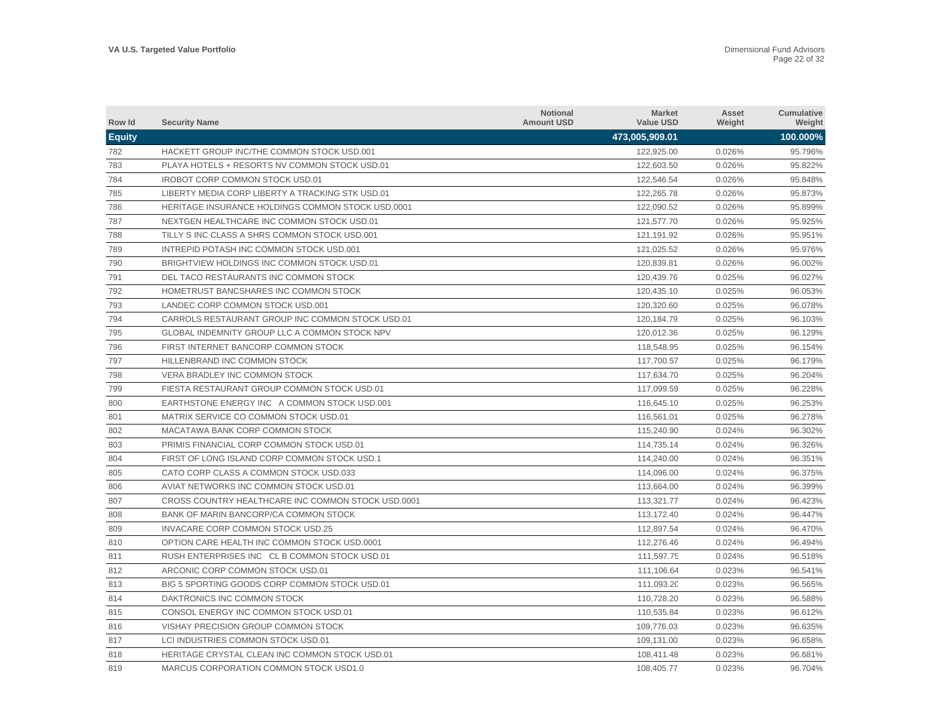| Row Id        | <b>Security Name</b>                               | <b>Notional</b><br><b>Amount USD</b> | <b>Market</b><br><b>Value USD</b> | Asset<br>Weight | <b>Cumulative</b><br>Weight |
|---------------|----------------------------------------------------|--------------------------------------|-----------------------------------|-----------------|-----------------------------|
| <b>Equity</b> |                                                    |                                      | 473,005,909.01                    |                 | 100.000%                    |
| 782           | HACKETT GROUP INC/THE COMMON STOCK USD.001         |                                      | 122.925.00                        | 0.026%          | 95.796%                     |
| 783           | PLAYA HOTELS + RESORTS NV COMMON STOCK USD.01      |                                      | 122,603.50                        | 0.026%          | 95.822%                     |
| 784           | <b>IROBOT CORP COMMON STOCK USD.01</b>             |                                      | 122,546.54                        | 0.026%          | 95.848%                     |
| 785           | LIBERTY MEDIA CORP LIBERTY A TRACKING STK USD.01   |                                      | 122,265.78                        | 0.026%          | 95.873%                     |
| 786           | HERITAGE INSURANCE HOLDINGS COMMON STOCK USD.0001  |                                      | 122,090.52                        | 0.026%          | 95.899%                     |
| 787           | NEXTGEN HEALTHCARE INC COMMON STOCK USD.01         |                                      | 121,577.70                        | 0.026%          | 95.925%                     |
| 788           | TILLY S INC CLASS A SHRS COMMON STOCK USD.001      |                                      | 121,191.92                        | 0.026%          | 95.951%                     |
| 789           | INTREPID POTASH INC COMMON STOCK USD.001           |                                      | 121,025.52                        | 0.026%          | 95.976%                     |
| 790           | BRIGHTVIEW HOLDINGS INC COMMON STOCK USD.01        |                                      | 120,839.81                        | 0.026%          | 96.002%                     |
| 791           | DEL TACO RESTAURANTS INC COMMON STOCK              |                                      | 120,439.76                        | 0.025%          | 96.027%                     |
| 792           | HOMETRUST BANCSHARES INC COMMON STOCK              |                                      | 120,435.10                        | 0.025%          | 96.053%                     |
| 793           | LANDEC CORP COMMON STOCK USD.001                   |                                      | 120,320.60                        | 0.025%          | 96.078%                     |
| 794           | CARROLS RESTAURANT GROUP INC COMMON STOCK USD.01   |                                      | 120.184.79                        | 0.025%          | 96.103%                     |
| 795           | GLOBAL INDEMNITY GROUP LLC A COMMON STOCK NPV      |                                      | 120,012.36                        | 0.025%          | 96.129%                     |
| 796           | FIRST INTERNET BANCORP COMMON STOCK                |                                      | 118,548.95                        | 0.025%          | 96.154%                     |
| 797           | HILLENBRAND INC COMMON STOCK                       |                                      | 117,700.57                        | 0.025%          | 96.179%                     |
| 798           | VERA BRADLEY INC COMMON STOCK                      |                                      | 117,634.70                        | 0.025%          | 96.204%                     |
| 799           | FIESTA RESTAURANT GROUP COMMON STOCK USD.01        |                                      | 117,099.59                        | 0.025%          | 96.228%                     |
| 800           | EARTHSTONE ENERGY INC A COMMON STOCK USD.001       |                                      | 116,645.10                        | 0.025%          | 96.253%                     |
| 801           | MATRIX SERVICE CO COMMON STOCK USD.01              |                                      | 116,561.01                        | 0.025%          | 96.278%                     |
| 802           | MACATAWA BANK CORP COMMON STOCK                    |                                      | 115,240.90                        | 0.024%          | 96.302%                     |
| 803           | PRIMIS FINANCIAL CORP COMMON STOCK USD.01          |                                      | 114,735.14                        | 0.024%          | 96.326%                     |
| 804           | FIRST OF LONG ISLAND CORP COMMON STOCK USD.1       |                                      | 114,240.00                        | 0.024%          | 96.351%                     |
| 805           | CATO CORP CLASS A COMMON STOCK USD.033             |                                      | 114,096.00                        | 0.024%          | 96.375%                     |
| 806           | AVIAT NETWORKS INC COMMON STOCK USD.01             |                                      | 113,664.00                        | 0.024%          | 96.399%                     |
| 807           | CROSS COUNTRY HEALTHCARE INC COMMON STOCK USD.0001 |                                      | 113,321.77                        | 0.024%          | 96.423%                     |
| 808           | BANK OF MARIN BANCORP/CA COMMON STOCK              |                                      | 113,172.40                        | 0.024%          | 96.447%                     |
| 809           | INVACARE CORP COMMON STOCK USD.25                  |                                      | 112,897.54                        | 0.024%          | 96.470%                     |
| 810           | OPTION CARE HEALTH INC COMMON STOCK USD.0001       |                                      | 112,276.46                        | 0.024%          | 96.494%                     |
| 811           | RUSH ENTERPRISES INC CL B COMMON STOCK USD.01      |                                      | 111,597.75                        | 0.024%          | 96.518%                     |
| 812           | ARCONIC CORP COMMON STOCK USD.01                   |                                      | 111,106.64                        | 0.023%          | 96.541%                     |
| 813           | BIG 5 SPORTING GOODS CORP COMMON STOCK USD.01      |                                      | 111,093.20                        | 0.023%          | 96.565%                     |
| 814           | DAKTRONICS INC COMMON STOCK                        |                                      | 110,728.20                        | 0.023%          | 96.588%                     |
| 815           | CONSOL ENERGY INC COMMON STOCK USD.01              |                                      | 110,535.84                        | 0.023%          | 96.612%                     |
| 816           | VISHAY PRECISION GROUP COMMON STOCK                |                                      | 109.776.03                        | 0.023%          | 96.635%                     |
| 817           | LCI INDUSTRIES COMMON STOCK USD.01                 |                                      | 109,131.00                        | 0.023%          | 96.658%                     |
| 818           | HERITAGE CRYSTAL CLEAN INC COMMON STOCK USD.01     |                                      | 108.411.48                        | 0.023%          | 96.681%                     |
| 819           | MARCUS CORPORATION COMMON STOCK USD1.0             |                                      | 108,405.77                        | 0.023%          | 96.704%                     |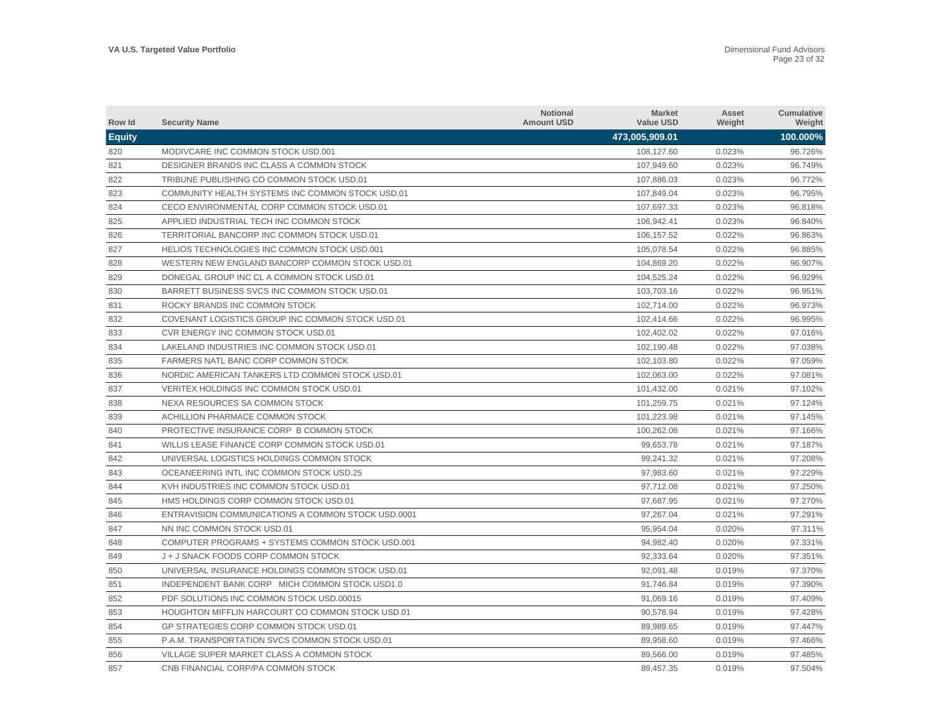| Row Id        | <b>Security Name</b>                               | <b>Notional</b><br><b>Amount USD</b> | <b>Market</b><br><b>Value USD</b> | Asset<br>Weight | <b>Cumulative</b><br>Weight |
|---------------|----------------------------------------------------|--------------------------------------|-----------------------------------|-----------------|-----------------------------|
| <b>Equity</b> |                                                    |                                      | 473,005,909.01                    |                 | 100.000%                    |
| 820           | MODIVCARE INC COMMON STOCK USD.001                 |                                      | 108,127.60                        | 0.023%          | 96.726%                     |
| 821           | DESIGNER BRANDS INC CLASS A COMMON STOCK           |                                      | 107,949.60                        | 0.023%          | 96.749%                     |
| 822           | TRIBUNE PUBLISHING CO COMMON STOCK USD.01          |                                      | 107,886.03                        | 0.023%          | 96.772%                     |
| 823           | COMMUNITY HEALTH SYSTEMS INC COMMON STOCK USD.01   |                                      | 107,849.04                        | 0.023%          | 96.795%                     |
| 824           | CECO ENVIRONMENTAL CORP COMMON STOCK USD.01        |                                      | 107,697.33                        | 0.023%          | 96.818%                     |
| 825           | APPLIED INDUSTRIAL TECH INC COMMON STOCK           |                                      | 106,942.41                        | 0.023%          | 96.840%                     |
| 826           | TERRITORIAL BANCORP INC COMMON STOCK USD.01        |                                      | 106,157.52                        | 0.022%          | 96.863%                     |
| 827           | HELIOS TECHNOLOGIES INC COMMON STOCK USD.001       |                                      | 105.078.54                        | 0.022%          | 96.885%                     |
| 828           | WESTERN NEW ENGLAND BANCORP COMMON STOCK USD.01    |                                      | 104,869.20                        | 0.022%          | 96.907%                     |
| 829           | DONEGAL GROUP INC CL A COMMON STOCK USD.01         |                                      | 104,525.24                        | 0.022%          | 96.929%                     |
| 830           | BARRETT BUSINESS SVCS INC COMMON STOCK USD.01      |                                      | 103,703.16                        | 0.022%          | 96.951%                     |
| 831           | ROCKY BRANDS INC COMMON STOCK                      |                                      | 102,714.00                        | 0.022%          | 96.973%                     |
| 832           | COVENANT LOGISTICS GROUP INC COMMON STOCK USD.01   |                                      | 102,414.66                        | 0.022%          | 96.995%                     |
| 833           | CVR ENERGY INC COMMON STOCK USD.01                 |                                      | 102,402.02                        | 0.022%          | 97.016%                     |
| 834           | LAKELAND INDUSTRIES INC COMMON STOCK USD.01        |                                      | 102,190.48                        | 0.022%          | 97.038%                     |
| 835           | <b>FARMERS NATL BANC CORP COMMON STOCK</b>         |                                      | 102,103.80                        | 0.022%          | 97.059%                     |
| 836           | NORDIC AMERICAN TANKERS LTD COMMON STOCK USD.01    |                                      | 102.063.00                        | 0.022%          | 97.081%                     |
| 837           | VERITEX HOLDINGS INC COMMON STOCK USD.01           |                                      | 101,432.00                        | 0.021%          | 97.102%                     |
| 838           | NEXA RESOURCES SA COMMON STOCK                     |                                      | 101,259.75                        | 0.021%          | 97.124%                     |
| 839           | ACHILLION PHARMACE COMMON STOCK                    |                                      | 101,223.98                        | 0.021%          | 97.145%                     |
| 840           | PROTECTIVE INSURANCE CORP B COMMON STOCK           |                                      | 100,262.08                        | 0.021%          | 97.166%                     |
| 841           | WILLIS LEASE FINANCE CORP COMMON STOCK USD.01      |                                      | 99,653.78                         | 0.021%          | 97.187%                     |
| 842           | UNIVERSAL LOGISTICS HOLDINGS COMMON STOCK          |                                      | 99,241.32                         | 0.021%          | 97.208%                     |
| 843           | OCEANEERING INTL INC COMMON STOCK USD.25           |                                      | 97,983.60                         | 0.021%          | 97.229%                     |
| 844           | KVH INDUSTRIES INC COMMON STOCK USD.01             |                                      | 97,712.08                         | 0.021%          | 97.250%                     |
| 845           | HMS HOLDINGS CORP COMMON STOCK USD.01              |                                      | 97,687.95                         | 0.021%          | 97.270%                     |
| 846           | ENTRAVISION COMMUNICATIONS A COMMON STOCK USD.0001 |                                      | 97.267.04                         | 0.021%          | 97.291%                     |
| 847           | NN INC COMMON STOCK USD.01                         |                                      | 95,954.04                         | 0.020%          | 97.311%                     |
| 848           | COMPUTER PROGRAMS + SYSTEMS COMMON STOCK USD.001   |                                      | 94,982.40                         | 0.020%          | 97.331%                     |
| 849           | J + J SNACK FOODS CORP COMMON STOCK                |                                      | 92,333.64                         | 0.020%          | 97.351%                     |
| 850           | UNIVERSAL INSURANCE HOLDINGS COMMON STOCK USD.01   |                                      | 92,091.48                         | 0.019%          | 97.370%                     |
| 851           | INDEPENDENT BANK CORP MICH COMMON STOCK USD1.0     |                                      | 91,746.84                         | 0.019%          | 97.390%                     |
| 852           | PDF SOLUTIONS INC COMMON STOCK USD.00015           |                                      | 91,069.16                         | 0.019%          | 97.409%                     |
| 853           | HOUGHTON MIFFLIN HARCOURT CO COMMON STOCK USD.01   |                                      | 90,578.94                         | 0.019%          | 97.428%                     |
| 854           | GP STRATEGIES CORP COMMON STOCK USD.01             |                                      | 89,989.65                         | 0.019%          | 97.447%                     |
| 855           | P.A.M. TRANSPORTATION SVCS COMMON STOCK USD.01     |                                      | 89,958.60                         | 0.019%          | 97.466%                     |
| 856           | VILLAGE SUPER MARKET CLASS A COMMON STOCK          |                                      | 89.566.00                         | 0.019%          | 97.485%                     |
| 857           | CNB FINANCIAL CORP/PA COMMON STOCK                 |                                      | 89,457.35                         | 0.019%          | 97.504%                     |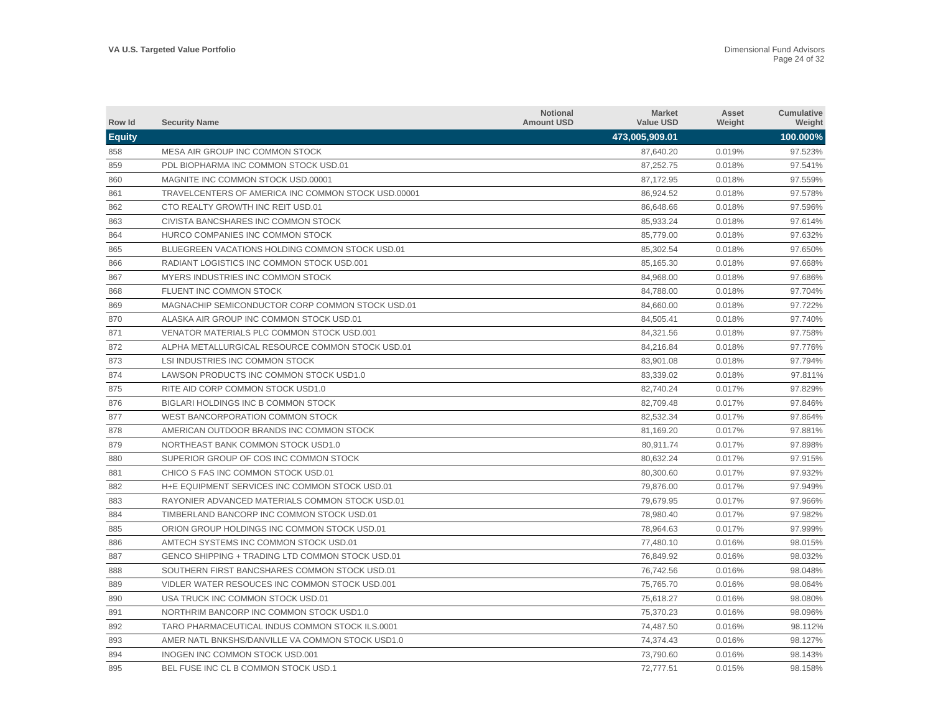| Row Id        | <b>Security Name</b>                                | <b>Notional</b><br><b>Amount USD</b> | <b>Market</b><br><b>Value USD</b> | Asset<br>Weight | Cumulative<br>Weight |
|---------------|-----------------------------------------------------|--------------------------------------|-----------------------------------|-----------------|----------------------|
| <b>Equity</b> |                                                     |                                      | 473,005,909.01                    |                 | 100.000%             |
| 858           | MESA AIR GROUP INC COMMON STOCK                     |                                      | 87,640.20                         | 0.019%          | 97.523%              |
| 859           | PDL BIOPHARMA INC COMMON STOCK USD.01               |                                      | 87,252.75                         | 0.018%          | 97.541%              |
| 860           | MAGNITE INC COMMON STOCK USD.00001                  |                                      | 87,172.95                         | 0.018%          | 97.559%              |
| 861           | TRAVELCENTERS OF AMERICA INC COMMON STOCK USD.00001 |                                      | 86,924.52                         | 0.018%          | 97.578%              |
| 862           | CTO REALTY GROWTH INC REIT USD.01                   |                                      | 86,648.66                         | 0.018%          | 97.596%              |
| 863           | CIVISTA BANCSHARES INC COMMON STOCK                 |                                      | 85,933.24                         | 0.018%          | 97.614%              |
| 864           | HURCO COMPANIES INC COMMON STOCK                    |                                      | 85,779.00                         | 0.018%          | 97.632%              |
| 865           | BLUEGREEN VACATIONS HOLDING COMMON STOCK USD.01     |                                      | 85,302.54                         | 0.018%          | 97.650%              |
| 866           | RADIANT LOGISTICS INC COMMON STOCK USD.001          |                                      | 85,165.30                         | 0.018%          | 97.668%              |
| 867           | MYERS INDUSTRIES INC COMMON STOCK                   |                                      | 84,968.00                         | 0.018%          | 97.686%              |
| 868           | FLUENT INC COMMON STOCK                             |                                      | 84,788.00                         | 0.018%          | 97.704%              |
| 869           | MAGNACHIP SEMICONDUCTOR CORP COMMON STOCK USD.01    |                                      | 84,660.00                         | 0.018%          | 97.722%              |
| 870           | ALASKA AIR GROUP INC COMMON STOCK USD.01            |                                      | 84,505.41                         | 0.018%          | 97.740%              |
| 871           | VENATOR MATERIALS PLC COMMON STOCK USD.001          |                                      | 84,321.56                         | 0.018%          | 97.758%              |
| 872           | ALPHA METALLURGICAL RESOURCE COMMON STOCK USD.01    |                                      | 84,216.84                         | 0.018%          | 97.776%              |
| 873           | LSI INDUSTRIES INC COMMON STOCK                     |                                      | 83,901.08                         | 0.018%          | 97.794%              |
| 874           | LAWSON PRODUCTS INC COMMON STOCK USD1.0             |                                      | 83,339.02                         | 0.018%          | 97.811%              |
| 875           | RITE AID CORP COMMON STOCK USD1.0                   |                                      | 82,740.24                         | 0.017%          | 97.829%              |
| 876           | BIGLARI HOLDINGS INC B COMMON STOCK                 |                                      | 82,709.48                         | 0.017%          | 97.846%              |
| 877           | WEST BANCORPORATION COMMON STOCK                    |                                      | 82,532.34                         | 0.017%          | 97.864%              |
| 878           | AMERICAN OUTDOOR BRANDS INC COMMON STOCK            |                                      | 81,169.20                         | 0.017%          | 97.881%              |
| 879           | NORTHEAST BANK COMMON STOCK USD1.0                  |                                      | 80,911.74                         | 0.017%          | 97.898%              |
| 880           | SUPERIOR GROUP OF COS INC COMMON STOCK              |                                      | 80,632.24                         | 0.017%          | 97.915%              |
| 881           | CHICO S FAS INC COMMON STOCK USD.01                 |                                      | 80,300.60                         | 0.017%          | 97.932%              |
| 882           | H+E EQUIPMENT SERVICES INC COMMON STOCK USD.01      |                                      | 79,876.00                         | 0.017%          | 97.949%              |
| 883           | RAYONIER ADVANCED MATERIALS COMMON STOCK USD.01     |                                      | 79,679.95                         | 0.017%          | 97.966%              |
| 884           | TIMBERLAND BANCORP INC COMMON STOCK USD.01          |                                      | 78,980.40                         | 0.017%          | 97.982%              |
| 885           | ORION GROUP HOLDINGS INC COMMON STOCK USD.01        |                                      | 78.964.63                         | 0.017%          | 97.999%              |
| 886           | AMTECH SYSTEMS INC COMMON STOCK USD.01              |                                      | 77,480.10                         | 0.016%          | 98.015%              |
| 887           | GENCO SHIPPING + TRADING LTD COMMON STOCK USD.01    |                                      | 76.849.92                         | 0.016%          | 98.032%              |
| 888           | SOUTHERN FIRST BANCSHARES COMMON STOCK USD.01       |                                      | 76,742.56                         | 0.016%          | 98.048%              |
| 889           | VIDLER WATER RESOUCES INC COMMON STOCK USD.001      |                                      | 75,765.70                         | 0.016%          | 98.064%              |
| 890           | USA TRUCK INC COMMON STOCK USD.01                   |                                      | 75,618.27                         | 0.016%          | 98.080%              |
| 891           | NORTHRIM BANCORP INC COMMON STOCK USD1.0            |                                      | 75,370.23                         | 0.016%          | 98.096%              |
| 892           | TARO PHARMACEUTICAL INDUS COMMON STOCK ILS.0001     |                                      | 74,487.50                         | 0.016%          | 98.112%              |
| 893           | AMER NATL BNKSHS/DANVILLE VA COMMON STOCK USD1.0    |                                      | 74,374.43                         | 0.016%          | 98.127%              |
| 894           | INOGEN INC COMMON STOCK USD.001                     |                                      | 73.790.60                         | 0.016%          | 98.143%              |
| 895           | BEL FUSE INC CL B COMMON STOCK USD.1                |                                      | 72.777.51                         | 0.015%          | 98.158%              |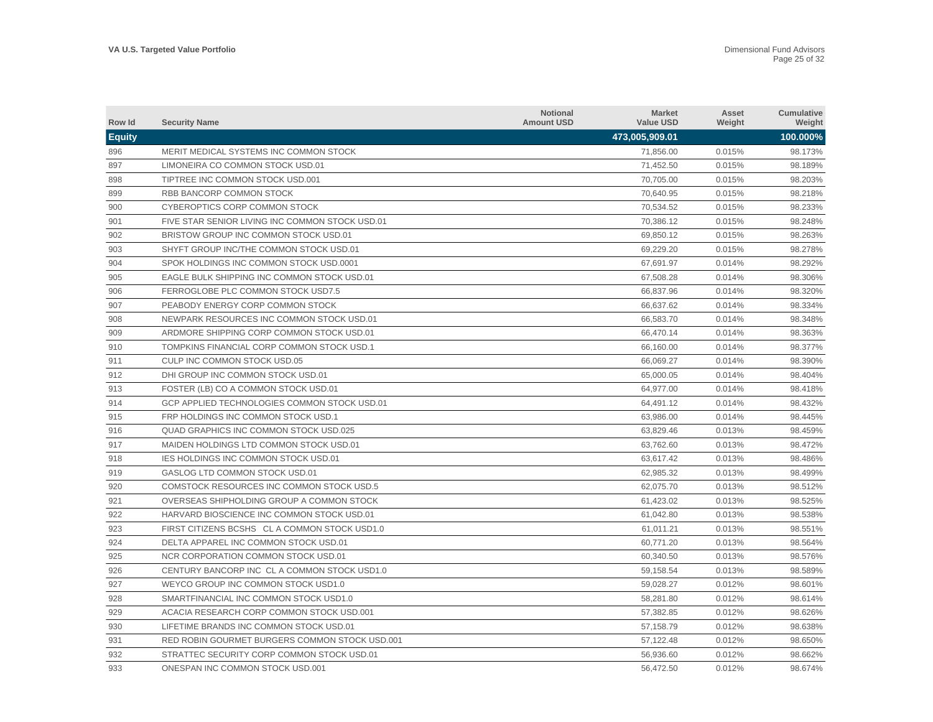| Row Id        | <b>Security Name</b>                            | <b>Notional</b><br><b>Amount USD</b> | <b>Market</b><br><b>Value USD</b> | Asset<br>Weight | <b>Cumulative</b><br>Weight |
|---------------|-------------------------------------------------|--------------------------------------|-----------------------------------|-----------------|-----------------------------|
| <b>Equity</b> |                                                 |                                      | 473,005,909.01                    |                 | 100.000%                    |
| 896           | MERIT MEDICAL SYSTEMS INC COMMON STOCK          |                                      | 71,856.00                         | 0.015%          | 98.173%                     |
| 897           | LIMONEIRA CO COMMON STOCK USD.01                |                                      | 71,452.50                         | 0.015%          | 98.189%                     |
| 898           | TIPTREE INC COMMON STOCK USD.001                |                                      | 70,705.00                         | 0.015%          | 98.203%                     |
| 899           | RBB BANCORP COMMON STOCK                        |                                      | 70,640.95                         | 0.015%          | 98.218%                     |
| 900           | CYBEROPTICS CORP COMMON STOCK                   |                                      | 70,534.52                         | 0.015%          | 98.233%                     |
| 901           | FIVE STAR SENIOR LIVING INC COMMON STOCK USD.01 |                                      | 70,386.12                         | 0.015%          | 98.248%                     |
| 902           | BRISTOW GROUP INC COMMON STOCK USD.01           |                                      | 69,850.12                         | 0.015%          | 98.263%                     |
| 903           | SHYFT GROUP INC/THE COMMON STOCK USD.01         |                                      | 69,229.20                         | 0.015%          | 98.278%                     |
| 904           | SPOK HOLDINGS INC COMMON STOCK USD.0001         |                                      | 67,691.97                         | 0.014%          | 98.292%                     |
| 905           | EAGLE BULK SHIPPING INC COMMON STOCK USD.01     |                                      | 67,508.28                         | 0.014%          | 98.306%                     |
| 906           | FERROGLOBE PLC COMMON STOCK USD7.5              |                                      | 66,837.96                         | 0.014%          | 98.320%                     |
| 907           | PEABODY ENERGY CORP COMMON STOCK                |                                      | 66,637.62                         | 0.014%          | 98.334%                     |
| 908           | NEWPARK RESOURCES INC COMMON STOCK USD.01       |                                      | 66.583.70                         | 0.014%          | 98.348%                     |
| 909           | ARDMORE SHIPPING CORP COMMON STOCK USD.01       |                                      | 66,470.14                         | 0.014%          | 98.363%                     |
| 910           | TOMPKINS FINANCIAL CORP COMMON STOCK USD.1      |                                      | 66,160.00                         | 0.014%          | 98.377%                     |
| 911           | CULP INC COMMON STOCK USD.05                    |                                      | 66,069.27                         | 0.014%          | 98.390%                     |
| 912           | DHI GROUP INC COMMON STOCK USD.01               |                                      | 65,000.05                         | 0.014%          | 98.404%                     |
| 913           | FOSTER (LB) CO A COMMON STOCK USD.01            |                                      | 64,977.00                         | 0.014%          | 98.418%                     |
| 914           | GCP APPLIED TECHNOLOGIES COMMON STOCK USD.01    |                                      | 64,491.12                         | 0.014%          | 98.432%                     |
| 915           | FRP HOLDINGS INC COMMON STOCK USD.1             |                                      | 63,986.00                         | 0.014%          | 98.445%                     |
| 916           | <b>QUAD GRAPHICS INC COMMON STOCK USD.025</b>   |                                      | 63,829.46                         | 0.013%          | 98.459%                     |
| 917           | MAIDEN HOLDINGS LTD COMMON STOCK USD.01         |                                      | 63,762.60                         | 0.013%          | 98.472%                     |
| 918           | <b>IES HOLDINGS INC COMMON STOCK USD.01</b>     |                                      | 63,617.42                         | 0.013%          | 98.486%                     |
| 919           | GASLOG LTD COMMON STOCK USD.01                  |                                      | 62,985.32                         | 0.013%          | 98.499%                     |
| 920           | COMSTOCK RESOURCES INC COMMON STOCK USD.5       |                                      | 62,075.70                         | 0.013%          | 98.512%                     |
| 921           | OVERSEAS SHIPHOLDING GROUP A COMMON STOCK       |                                      | 61,423.02                         | 0.013%          | 98.525%                     |
| 922           | HARVARD BIOSCIENCE INC COMMON STOCK USD.01      |                                      | 61,042.80                         | 0.013%          | 98.538%                     |
| 923           | FIRST CITIZENS BCSHS CLA COMMON STOCK USD1.0    |                                      | 61,011.21                         | 0.013%          | 98.551%                     |
| 924           | DELTA APPAREL INC COMMON STOCK USD.01           |                                      | 60,771.20                         | 0.013%          | 98.564%                     |
| 925           | NCR CORPORATION COMMON STOCK USD.01             |                                      | 60,340.50                         | 0.013%          | 98.576%                     |
| 926           | CENTURY BANCORP INC CL A COMMON STOCK USD1.0    |                                      | 59,158.54                         | 0.013%          | 98.589%                     |
| 927           | WEYCO GROUP INC COMMON STOCK USD1.0             |                                      | 59,028.27                         | 0.012%          | 98.601%                     |
| 928           | SMARTFINANCIAL INC COMMON STOCK USD1.0          |                                      | 58,281.80                         | 0.012%          | 98.614%                     |
| 929           | ACACIA RESEARCH CORP COMMON STOCK USD.001       |                                      | 57,382.85                         | 0.012%          | 98.626%                     |
| 930           | LIFETIME BRANDS INC COMMON STOCK USD.01         |                                      | 57,158.79                         | 0.012%          | 98.638%                     |
| 931           | RED ROBIN GOURMET BURGERS COMMON STOCK USD.001  |                                      | 57,122.48                         | 0.012%          | 98.650%                     |
| 932           | STRATTEC SECURITY CORP COMMON STOCK USD.01      |                                      | 56.936.60                         | 0.012%          | 98.662%                     |
| 933           | ONESPAN INC COMMON STOCK USD.001                |                                      | 56,472.50                         | 0.012%          | 98.674%                     |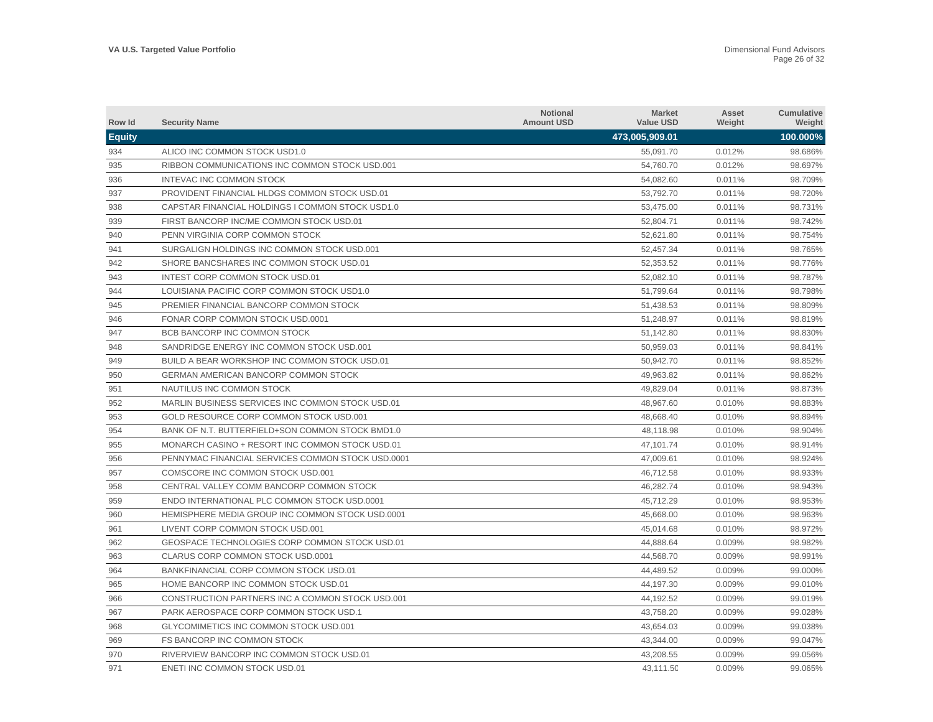| Row Id        | <b>Security Name</b>                              | <b>Notional</b><br><b>Amount USD</b> | <b>Market</b><br><b>Value USD</b> | Asset<br>Weight | Cumulative<br>Weight |
|---------------|---------------------------------------------------|--------------------------------------|-----------------------------------|-----------------|----------------------|
| <b>Equity</b> |                                                   |                                      | 473,005,909.01                    |                 | 100.000%             |
| 934           | ALICO INC COMMON STOCK USD1.0                     |                                      | 55,091.70                         | 0.012%          | 98.686%              |
| 935           | RIBBON COMMUNICATIONS INC COMMON STOCK USD.001    |                                      | 54,760.70                         | 0.012%          | 98.697%              |
| 936           | INTEVAC INC COMMON STOCK                          |                                      | 54,082.60                         | 0.011%          | 98.709%              |
| 937           | PROVIDENT FINANCIAL HLDGS COMMON STOCK USD.01     |                                      | 53,792.70                         | 0.011%          | 98.720%              |
| 938           | CAPSTAR FINANCIAL HOLDINGS I COMMON STOCK USD1.0  |                                      | 53,475.00                         | 0.011%          | 98.731%              |
| 939           | FIRST BANCORP INC/ME COMMON STOCK USD.01          |                                      | 52,804.71                         | 0.011%          | 98.742%              |
| 940           | PENN VIRGINIA CORP COMMON STOCK                   |                                      | 52,621.80                         | 0.011%          | 98.754%              |
| 941           | SURGALIGN HOLDINGS INC COMMON STOCK USD.001       |                                      | 52,457.34                         | 0.011%          | 98.765%              |
| 942           | SHORE BANCSHARES INC COMMON STOCK USD.01          |                                      | 52,353.52                         | 0.011%          | 98.776%              |
| 943           | INTEST CORP COMMON STOCK USD.01                   |                                      | 52,082.10                         | 0.011%          | 98.787%              |
| 944           | LOUISIANA PACIFIC CORP COMMON STOCK USD1.0        |                                      | 51,799.64                         | 0.011%          | 98.798%              |
| 945           | PREMIER FINANCIAL BANCORP COMMON STOCK            |                                      | 51,438.53                         | 0.011%          | 98.809%              |
| 946           | FONAR CORP COMMON STOCK USD.0001                  |                                      | 51,248.97                         | 0.011%          | 98.819%              |
| 947           | BCB BANCORP INC COMMON STOCK                      |                                      | 51,142.80                         | 0.011%          | 98.830%              |
| 948           | SANDRIDGE ENERGY INC COMMON STOCK USD.001         |                                      | 50,959.03                         | 0.011%          | 98.841%              |
| 949           | BUILD A BEAR WORKSHOP INC COMMON STOCK USD.01     |                                      | 50,942.70                         | 0.011%          | 98.852%              |
| 950           | <b>GERMAN AMERICAN BANCORP COMMON STOCK</b>       |                                      | 49,963.82                         | 0.011%          | 98.862%              |
| 951           | NAUTILUS INC COMMON STOCK                         |                                      | 49,829.04                         | 0.011%          | 98.873%              |
| 952           | MARLIN BUSINESS SERVICES INC COMMON STOCK USD.01  |                                      | 48,967.60                         | 0.010%          | 98.883%              |
| 953           | GOLD RESOURCE CORP COMMON STOCK USD.001           |                                      | 48,668.40                         | 0.010%          | 98.894%              |
| 954           | BANK OF N.T. BUTTERFIELD+SON COMMON STOCK BMD1.0  |                                      | 48,118.98                         | 0.010%          | 98.904%              |
| 955           | MONARCH CASINO + RESORT INC COMMON STOCK USD.01   |                                      | 47,101.74                         | 0.010%          | 98.914%              |
| 956           | PENNYMAC FINANCIAL SERVICES COMMON STOCK USD.0001 |                                      | 47,009.61                         | 0.010%          | 98.924%              |
| 957           | COMSCORE INC COMMON STOCK USD.001                 |                                      | 46,712.58                         | 0.010%          | 98.933%              |
| 958           | CENTRAL VALLEY COMM BANCORP COMMON STOCK          |                                      | 46,282.74                         | 0.010%          | 98.943%              |
| 959           | ENDO INTERNATIONAL PLC COMMON STOCK USD.0001      |                                      | 45,712.29                         | 0.010%          | 98.953%              |
| 960           | HEMISPHERE MEDIA GROUP INC COMMON STOCK USD.0001  |                                      | 45,668.00                         | 0.010%          | 98.963%              |
| 961           | LIVENT CORP COMMON STOCK USD.001                  |                                      | 45.014.68                         | 0.010%          | 98.972%              |
| 962           | GEOSPACE TECHNOLOGIES CORP COMMON STOCK USD.01    |                                      | 44,888.64                         | 0.009%          | 98.982%              |
| 963           | <b>CLARUS CORP COMMON STOCK USD.0001</b>          |                                      | 44.568.70                         | 0.009%          | 98.991%              |
| 964           | BANKFINANCIAL CORP COMMON STOCK USD.01            |                                      | 44,489.52                         | 0.009%          | 99.000%              |
| 965           | HOME BANCORP INC COMMON STOCK USD.01              |                                      | 44,197.30                         | 0.009%          | 99.010%              |
| 966           | CONSTRUCTION PARTNERS INC A COMMON STOCK USD.001  |                                      | 44,192.52                         | 0.009%          | 99.019%              |
| 967           | PARK AEROSPACE CORP COMMON STOCK USD.1            |                                      | 43,758.20                         | 0.009%          | 99.028%              |
| 968           | <b>GLYCOMIMETICS INC COMMON STOCK USD.001</b>     |                                      | 43,654.03                         | 0.009%          | 99.038%              |
| 969           | FS BANCORP INC COMMON STOCK                       |                                      | 43,344.00                         | 0.009%          | 99.047%              |
| 970           | RIVERVIEW BANCORP INC COMMON STOCK USD.01         |                                      | 43.208.55                         | 0.009%          | 99.056%              |
| 971           | ENETI INC COMMON STOCK USD.01                     |                                      | 43.111.50                         | 0.009%          | 99.065%              |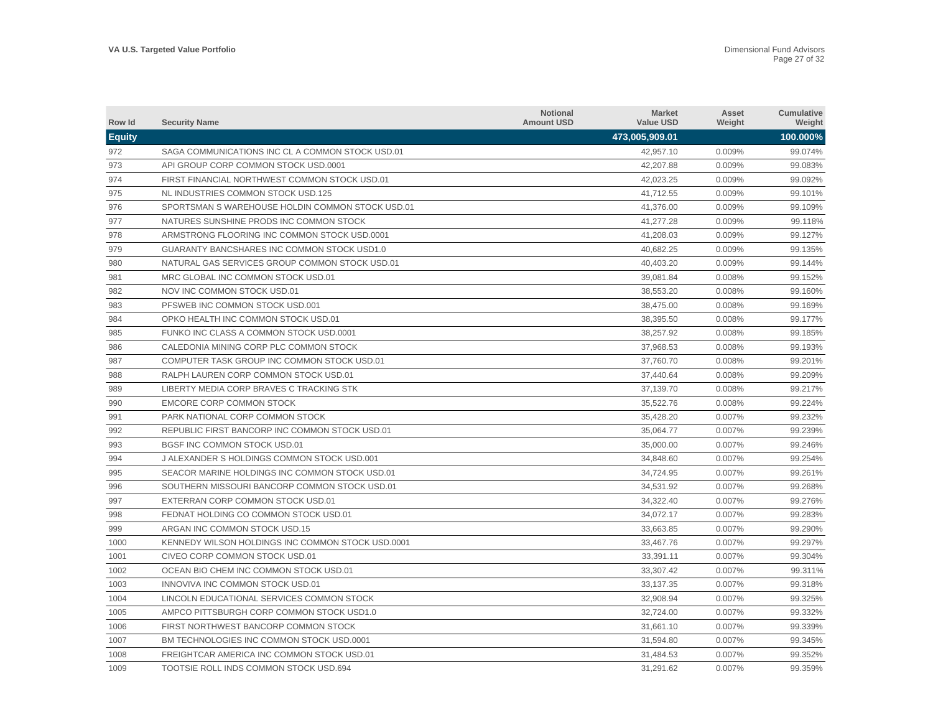| Row Id        | <b>Security Name</b>                               | <b>Notional</b><br><b>Amount USD</b> | <b>Market</b><br><b>Value USD</b> | Asset<br>Weight | Cumulative<br>Weight |
|---------------|----------------------------------------------------|--------------------------------------|-----------------------------------|-----------------|----------------------|
| <b>Equity</b> |                                                    |                                      | 473,005,909.01                    |                 | 100.000%             |
| 972           | SAGA COMMUNICATIONS INC CL A COMMON STOCK USD.01   |                                      | 42,957.10                         | 0.009%          | 99.074%              |
| 973           | API GROUP CORP COMMON STOCK USD.0001               |                                      | 42,207.88                         | 0.009%          | 99.083%              |
| 974           | FIRST FINANCIAL NORTHWEST COMMON STOCK USD.01      |                                      | 42,023.25                         | 0.009%          | 99.092%              |
| 975           | NL INDUSTRIES COMMON STOCK USD.125                 |                                      | 41,712.55                         | 0.009%          | 99.101%              |
| 976           | SPORTSMAN S WAREHOUSE HOLDIN COMMON STOCK USD.01   |                                      | 41,376.00                         | 0.009%          | 99.109%              |
| 977           | NATURES SUNSHINE PRODS INC COMMON STOCK            |                                      | 41,277.28                         | 0.009%          | 99.118%              |
| 978           | ARMSTRONG FLOORING INC COMMON STOCK USD.0001       |                                      | 41,208.03                         | 0.009%          | 99.127%              |
| 979           | <b>GUARANTY BANCSHARES INC COMMON STOCK USD1.0</b> |                                      | 40.682.25                         | 0.009%          | 99.135%              |
| 980           | NATURAL GAS SERVICES GROUP COMMON STOCK USD.01     |                                      | 40,403.20                         | 0.009%          | 99.144%              |
| 981           | MRC GLOBAL INC COMMON STOCK USD.01                 |                                      | 39,081.84                         | 0.008%          | 99.152%              |
| 982           | NOV INC COMMON STOCK USD.01                        |                                      | 38,553.20                         | 0.008%          | 99.160%              |
| 983           | PFSWEB INC COMMON STOCK USD.001                    |                                      | 38,475.00                         | 0.008%          | 99.169%              |
| 984           | OPKO HEALTH INC COMMON STOCK USD.01                |                                      | 38,395.50                         | 0.008%          | 99.177%              |
| 985           | FUNKO INC CLASS A COMMON STOCK USD.0001            |                                      | 38,257.92                         | 0.008%          | 99.185%              |
| 986           | CALEDONIA MINING CORP PLC COMMON STOCK             |                                      | 37,968.53                         | 0.008%          | 99.193%              |
| 987           | COMPUTER TASK GROUP INC COMMON STOCK USD.01        |                                      | 37,760.70                         | 0.008%          | 99.201%              |
| 988           | RALPH LAUREN CORP COMMON STOCK USD.01              |                                      | 37,440.64                         | 0.008%          | 99.209%              |
| 989           | LIBERTY MEDIA CORP BRAVES C TRACKING STK           |                                      | 37,139.70                         | 0.008%          | 99.217%              |
| 990           | <b>EMCORE CORP COMMON STOCK</b>                    |                                      | 35,522.76                         | 0.008%          | 99.224%              |
| 991           | PARK NATIONAL CORP COMMON STOCK                    |                                      | 35,428.20                         | 0.007%          | 99.232%              |
| 992           | REPUBLIC FIRST BANCORP INC COMMON STOCK USD.01     |                                      | 35,064.77                         | 0.007%          | 99.239%              |
| 993           | BGSF INC COMMON STOCK USD.01                       |                                      | 35,000.00                         | 0.007%          | 99.246%              |
| 994           | J ALEXANDER S HOLDINGS COMMON STOCK USD.001        |                                      | 34,848.60                         | 0.007%          | 99.254%              |
| 995           | SEACOR MARINE HOLDINGS INC COMMON STOCK USD.01     |                                      | 34,724.95                         | 0.007%          | 99.261%              |
| 996           | SOUTHERN MISSOURI BANCORP COMMON STOCK USD.01      |                                      | 34,531.92                         | 0.007%          | 99.268%              |
| 997           | EXTERRAN CORP COMMON STOCK USD.01                  |                                      | 34,322.40                         | 0.007%          | 99.276%              |
| 998           | FEDNAT HOLDING CO COMMON STOCK USD.01              |                                      | 34,072.17                         | 0.007%          | 99.283%              |
| 999           | ARGAN INC COMMON STOCK USD.15                      |                                      | 33.663.85                         | 0.007%          | 99.290%              |
| 1000          | KENNEDY WILSON HOLDINGS INC COMMON STOCK USD.0001  |                                      | 33,467.76                         | 0.007%          | 99.297%              |
| 1001          | CIVEO CORP COMMON STOCK USD.01                     |                                      | 33,391.11                         | 0.007%          | 99.304%              |
| 1002          | OCEAN BIO CHEM INC COMMON STOCK USD.01             |                                      | 33,307.42                         | 0.007%          | 99.311%              |
| 1003          | INNOVIVA INC COMMON STOCK USD.01                   |                                      | 33,137.35                         | 0.007%          | 99.318%              |
| 1004          | LINCOLN EDUCATIONAL SERVICES COMMON STOCK          |                                      | 32,908.94                         | 0.007%          | 99.325%              |
| 1005          | AMPCO PITTSBURGH CORP COMMON STOCK USD1.0          |                                      | 32,724.00                         | 0.007%          | 99.332%              |
| 1006          | FIRST NORTHWEST BANCORP COMMON STOCK               |                                      | 31,661.10                         | 0.007%          | 99.339%              |
| 1007          | BM TECHNOLOGIES INC COMMON STOCK USD.0001          |                                      | 31,594.80                         | 0.007%          | 99.345%              |
| 1008          | FREIGHTCAR AMERICA INC COMMON STOCK USD.01         |                                      | 31.484.53                         | 0.007%          | 99.352%              |
| 1009          | TOOTSIE ROLL INDS COMMON STOCK USD.694             |                                      | 31,291.62                         | 0.007%          | 99.359%              |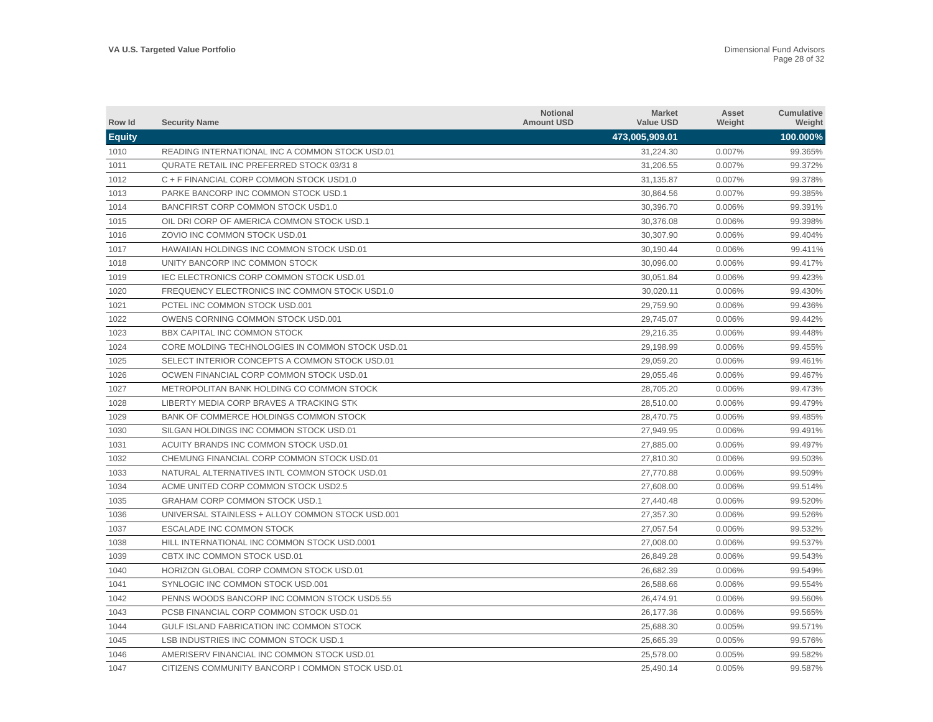| Row Id        | <b>Security Name</b>                             | <b>Notional</b><br><b>Amount USD</b> | <b>Market</b><br><b>Value USD</b> | Asset<br>Weight | Cumulative<br>Weight |
|---------------|--------------------------------------------------|--------------------------------------|-----------------------------------|-----------------|----------------------|
| <b>Equity</b> |                                                  |                                      | 473,005,909.01                    |                 | 100.000%             |
| 1010          | READING INTERNATIONAL INC A COMMON STOCK USD.01  |                                      | 31,224.30                         | 0.007%          | 99.365%              |
| 1011          | QURATE RETAIL INC PREFERRED STOCK 03/31 8        |                                      | 31,206.55                         | 0.007%          | 99.372%              |
| 1012          | C + F FINANCIAL CORP COMMON STOCK USD1.0         |                                      | 31,135.87                         | 0.007%          | 99.378%              |
| 1013          | PARKE BANCORP INC COMMON STOCK USD.1             |                                      | 30,864.56                         | 0.007%          | 99.385%              |
| 1014          | BANCFIRST CORP COMMON STOCK USD1.0               |                                      | 30,396.70                         | 0.006%          | 99.391%              |
| 1015          | OIL DRI CORP OF AMERICA COMMON STOCK USD.1       |                                      | 30,376.08                         | 0.006%          | 99.398%              |
| 1016          | ZOVIO INC COMMON STOCK USD.01                    |                                      | 30,307.90                         | 0.006%          | 99.404%              |
| 1017          | <b>HAWAIIAN HOLDINGS INC COMMON STOCK USD.01</b> |                                      | 30,190.44                         | 0.006%          | 99.411%              |
| 1018          | UNITY BANCORP INC COMMON STOCK                   |                                      | 30,096.00                         | 0.006%          | 99.417%              |
| 1019          | <b>IEC ELECTRONICS CORP COMMON STOCK USD.01</b>  |                                      | 30.051.84                         | 0.006%          | 99.423%              |
| 1020          | FREQUENCY ELECTRONICS INC COMMON STOCK USD1.0    |                                      | 30,020.11                         | 0.006%          | 99.430%              |
| 1021          | PCTEL INC COMMON STOCK USD.001                   |                                      | 29,759.90                         | 0.006%          | 99.436%              |
| 1022          | OWENS CORNING COMMON STOCK USD.001               |                                      | 29,745.07                         | 0.006%          | 99.442%              |
| 1023          | BBX CAPITAL INC COMMON STOCK                     |                                      | 29,216.35                         | 0.006%          | 99.448%              |
| 1024          | CORE MOLDING TECHNOLOGIES IN COMMON STOCK USD.01 |                                      | 29,198.99                         | 0.006%          | 99.455%              |
| 1025          | SELECT INTERIOR CONCEPTS A COMMON STOCK USD.01   |                                      | 29,059.20                         | 0.006%          | 99.461%              |
| 1026          | OCWEN FINANCIAL CORP COMMON STOCK USD.01         |                                      | 29,055.46                         | 0.006%          | 99.467%              |
| 1027          | METROPOLITAN BANK HOLDING CO COMMON STOCK        |                                      | 28,705.20                         | 0.006%          | 99.473%              |
| 1028          | LIBERTY MEDIA CORP BRAVES A TRACKING STK         |                                      | 28,510.00                         | 0.006%          | 99.479%              |
| 1029          | BANK OF COMMERCE HOLDINGS COMMON STOCK           |                                      | 28,470.75                         | 0.006%          | 99.485%              |
| 1030          | SILGAN HOLDINGS INC COMMON STOCK USD.01          |                                      | 27,949.95                         | 0.006%          | 99.491%              |
| 1031          | ACUITY BRANDS INC COMMON STOCK USD.01            |                                      | 27.885.00                         | 0.006%          | 99.497%              |
| 1032          | CHEMUNG FINANCIAL CORP COMMON STOCK USD.01       |                                      | 27,810.30                         | 0.006%          | 99.503%              |
| 1033          | NATURAL ALTERNATIVES INTL COMMON STOCK USD.01    |                                      | 27.770.88                         | 0.006%          | 99.509%              |
| 1034          | ACME UNITED CORP COMMON STOCK USD2.5             |                                      | 27,608.00                         | 0.006%          | 99.514%              |
| 1035          | <b>GRAHAM CORP COMMON STOCK USD.1</b>            |                                      | 27,440.48                         | 0.006%          | 99.520%              |
| 1036          | UNIVERSAL STAINLESS + ALLOY COMMON STOCK USD.001 |                                      | 27,357.30                         | 0.006%          | 99.526%              |
| 1037          | ESCALADE INC COMMON STOCK                        |                                      | 27,057.54                         | 0.006%          | 99.532%              |
| 1038          | HILL INTERNATIONAL INC COMMON STOCK USD.0001     |                                      | 27,008.00                         | 0.006%          | 99.537%              |
| 1039          | CBTX INC COMMON STOCK USD.01                     |                                      | 26,849.28                         | 0.006%          | 99.543%              |
| 1040          | <b>HORIZON GLOBAL CORP COMMON STOCK USD.01</b>   |                                      | 26,682.39                         | 0.006%          | 99.549%              |
| 1041          | SYNLOGIC INC COMMON STOCK USD.001                |                                      | 26,588.66                         | 0.006%          | 99.554%              |
| 1042          | PENNS WOODS BANCORP INC COMMON STOCK USD5.55     |                                      | 26,474.91                         | 0.006%          | 99.560%              |
| 1043          | PCSB FINANCIAL CORP COMMON STOCK USD.01          |                                      | 26,177.36                         | 0.006%          | 99.565%              |
| 1044          | GULF ISLAND FABRICATION INC COMMON STOCK         |                                      | 25,688.30                         | 0.005%          | 99.571%              |
| 1045          | LSB INDUSTRIES INC COMMON STOCK USD.1            |                                      | 25.665.39                         | 0.005%          | 99.576%              |
| 1046          | AMERISERV FINANCIAL INC COMMON STOCK USD.01      |                                      | 25.578.00                         | 0.005%          | 99.582%              |
| 1047          | CITIZENS COMMUNITY BANCORP I COMMON STOCK USD.01 |                                      | 25.490.14                         | 0.005%          | 99.587%              |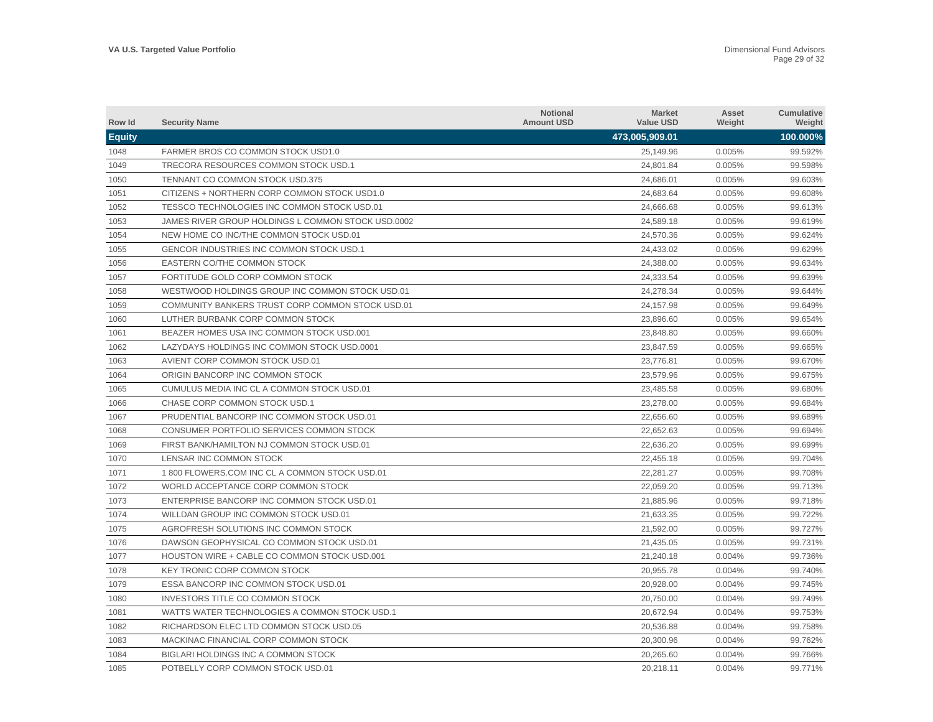| Row Id        | <b>Security Name</b>                               | <b>Notional</b><br><b>Amount USD</b> | <b>Market</b><br><b>Value USD</b> | Asset<br>Weight | <b>Cumulative</b><br>Weight |
|---------------|----------------------------------------------------|--------------------------------------|-----------------------------------|-----------------|-----------------------------|
| <b>Equity</b> |                                                    |                                      | 473,005,909.01                    |                 | 100.000%                    |
| 1048          | FARMER BROS CO COMMON STOCK USD1.0                 |                                      | 25.149.96                         | 0.005%          | 99.592%                     |
| 1049          | TRECORA RESOURCES COMMON STOCK USD.1               |                                      | 24,801.84                         | 0.005%          | 99.598%                     |
| 1050          | <b>TENNANT CO COMMON STOCK USD.375</b>             |                                      | 24,686.01                         | 0.005%          | 99.603%                     |
| 1051          | CITIZENS + NORTHERN CORP COMMON STOCK USD1.0       |                                      | 24,683.64                         | 0.005%          | 99.608%                     |
| 1052          | TESSCO TECHNOLOGIES INC COMMON STOCK USD.01        |                                      | 24,666.68                         | 0.005%          | 99.613%                     |
| 1053          | JAMES RIVER GROUP HOLDINGS L COMMON STOCK USD.0002 |                                      | 24,589.18                         | 0.005%          | 99.619%                     |
| 1054          | NEW HOME CO INC/THE COMMON STOCK USD.01            |                                      | 24,570.36                         | 0.005%          | 99.624%                     |
| 1055          | <b>GENCOR INDUSTRIES INC COMMON STOCK USD.1</b>    |                                      | 24,433.02                         | 0.005%          | 99.629%                     |
| 1056          | EASTERN CO/THE COMMON STOCK                        |                                      | 24,388.00                         | 0.005%          | 99.634%                     |
| 1057          | FORTITUDE GOLD CORP COMMON STOCK                   |                                      | 24,333.54                         | 0.005%          | 99.639%                     |
| 1058          | WESTWOOD HOLDINGS GROUP INC COMMON STOCK USD.01    |                                      | 24,278.34                         | 0.005%          | 99.644%                     |
| 1059          | COMMUNITY BANKERS TRUST CORP COMMON STOCK USD.01   |                                      | 24,157.98                         | 0.005%          | 99.649%                     |
| 1060          | LUTHER BURBANK CORP COMMON STOCK                   |                                      | 23.896.60                         | 0.005%          | 99.654%                     |
| 1061          | BEAZER HOMES USA INC COMMON STOCK USD.001          |                                      | 23,848.80                         | 0.005%          | 99.660%                     |
| 1062          | LAZYDAYS HOLDINGS INC COMMON STOCK USD.0001        |                                      | 23,847.59                         | 0.005%          | 99.665%                     |
| 1063          | AVIENT CORP COMMON STOCK USD.01                    |                                      | 23,776.81                         | 0.005%          | 99.670%                     |
| 1064          | ORIGIN BANCORP INC COMMON STOCK                    |                                      | 23,579.96                         | 0.005%          | 99.675%                     |
| 1065          | CUMULUS MEDIA INC CL A COMMON STOCK USD.01         |                                      | 23,485.58                         | 0.005%          | 99.680%                     |
| 1066          | CHASE CORP COMMON STOCK USD.1                      |                                      | 23,278.00                         | 0.005%          | 99.684%                     |
| 1067          | PRUDENTIAL BANCORP INC COMMON STOCK USD.01         |                                      | 22,656.60                         | 0.005%          | 99.689%                     |
| 1068          | CONSUMER PORTFOLIO SERVICES COMMON STOCK           |                                      | 22,652.63                         | 0.005%          | 99.694%                     |
| 1069          | FIRST BANK/HAMILTON NJ COMMON STOCK USD.01         |                                      | 22,636.20                         | 0.005%          | 99.699%                     |
| 1070          | LENSAR INC COMMON STOCK                            |                                      | 22,455.18                         | 0.005%          | 99.704%                     |
| 1071          | 1800 FLOWERS.COM INC CLA COMMON STOCK USD.01       |                                      | 22,281.27                         | 0.005%          | 99.708%                     |
| 1072          | WORLD ACCEPTANCE CORP COMMON STOCK                 |                                      | 22,059.20                         | 0.005%          | 99.713%                     |
| 1073          | ENTERPRISE BANCORP INC COMMON STOCK USD.01         |                                      | 21,885.96                         | 0.005%          | 99.718%                     |
| 1074          | WILLDAN GROUP INC COMMON STOCK USD.01              |                                      | 21,633.35                         | 0.005%          | 99.722%                     |
| 1075          | AGROFRESH SOLUTIONS INC COMMON STOCK               |                                      | 21,592.00                         | 0.005%          | 99.727%                     |
| 1076          | DAWSON GEOPHYSICAL CO COMMON STOCK USD.01          |                                      | 21,435.05                         | 0.005%          | 99.731%                     |
| 1077          | HOUSTON WIRE + CABLE CO COMMON STOCK USD.001       |                                      | 21,240.18                         | 0.004%          | 99.736%                     |
| 1078          | KEY TRONIC CORP COMMON STOCK                       |                                      | 20,955.78                         | 0.004%          | 99.740%                     |
| 1079          | ESSA BANCORP INC COMMON STOCK USD.01               |                                      | 20,928.00                         | 0.004%          | 99.745%                     |
| 1080          | INVESTORS TITLE CO COMMON STOCK                    |                                      | 20,750.00                         | 0.004%          | 99.749%                     |
| 1081          | WATTS WATER TECHNOLOGIES A COMMON STOCK USD.1      |                                      | 20,672.94                         | 0.004%          | 99.753%                     |
| 1082          | RICHARDSON ELEC LTD COMMON STOCK USD.05            |                                      | 20,536.88                         | 0.004%          | 99.758%                     |
| 1083          | MACKINAC FINANCIAL CORP COMMON STOCK               |                                      | 20,300.96                         | 0.004%          | 99.762%                     |
| 1084          | BIGLARI HOLDINGS INC A COMMON STOCK                |                                      | 20.265.60                         | 0.004%          | 99.766%                     |
| 1085          | POTBELLY CORP COMMON STOCK USD.01                  |                                      | 20,218.11                         | 0.004%          | 99.771%                     |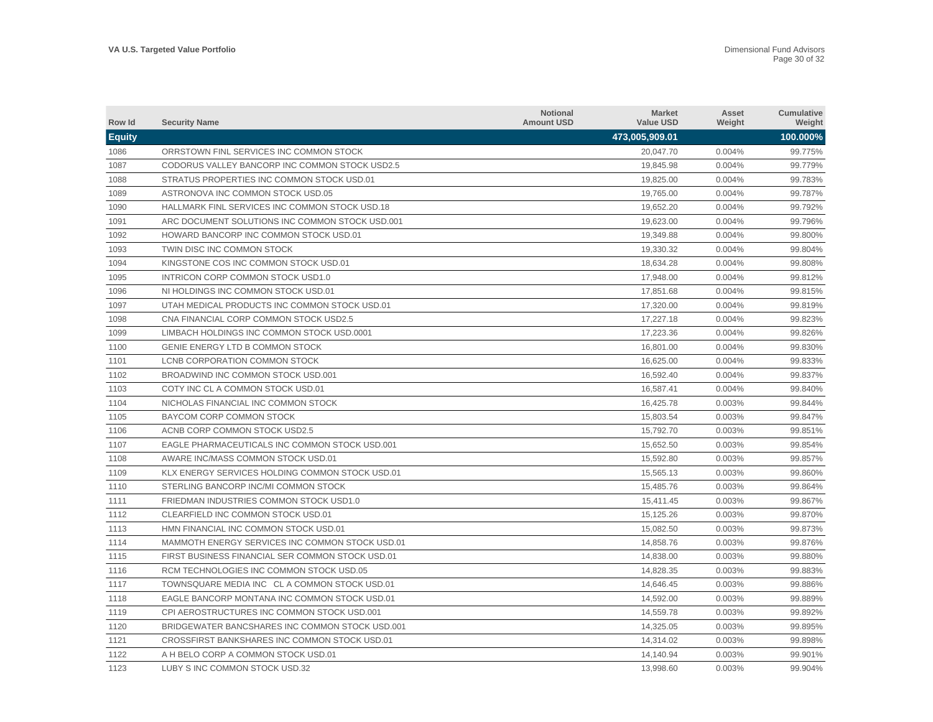| Row Id        | <b>Security Name</b>                             | <b>Notional</b><br><b>Amount USD</b> | <b>Market</b><br><b>Value USD</b> | Asset<br>Weight | <b>Cumulative</b><br>Weight |
|---------------|--------------------------------------------------|--------------------------------------|-----------------------------------|-----------------|-----------------------------|
| <b>Equity</b> |                                                  |                                      | 473,005,909.01                    |                 | 100.000%                    |
| 1086          | ORRSTOWN FINL SERVICES INC COMMON STOCK          |                                      | 20,047.70                         | 0.004%          | 99.775%                     |
| 1087          | CODORUS VALLEY BANCORP INC COMMON STOCK USD2.5   |                                      | 19,845.98                         | 0.004%          | 99.779%                     |
| 1088          | STRATUS PROPERTIES INC COMMON STOCK USD.01       |                                      | 19,825.00                         | 0.004%          | 99.783%                     |
| 1089          | ASTRONOVA INC COMMON STOCK USD.05                |                                      | 19,765.00                         | 0.004%          | 99.787%                     |
| 1090          | HALLMARK FINL SERVICES INC COMMON STOCK USD.18   |                                      | 19,652.20                         | 0.004%          | 99.792%                     |
| 1091          | ARC DOCUMENT SOLUTIONS INC COMMON STOCK USD.001  |                                      | 19,623.00                         | 0.004%          | 99.796%                     |
| 1092          | HOWARD BANCORP INC COMMON STOCK USD.01           |                                      | 19,349.88                         | 0.004%          | 99.800%                     |
| 1093          | TWIN DISC INC COMMON STOCK                       |                                      | 19.330.32                         | 0.004%          | 99.804%                     |
| 1094          | KINGSTONE COS INC COMMON STOCK USD.01            |                                      | 18,634.28                         | 0.004%          | 99.808%                     |
| 1095          | INTRICON CORP COMMON STOCK USD1.0                |                                      | 17.948.00                         | 0.004%          | 99.812%                     |
| 1096          | NI HOLDINGS INC COMMON STOCK USD.01              |                                      | 17,851.68                         | 0.004%          | 99.815%                     |
| 1097          | UTAH MEDICAL PRODUCTS INC COMMON STOCK USD.01    |                                      | 17,320.00                         | 0.004%          | 99.819%                     |
| 1098          | CNA FINANCIAL CORP COMMON STOCK USD2.5           |                                      | 17,227.18                         | 0.004%          | 99.823%                     |
| 1099          | LIMBACH HOLDINGS INC COMMON STOCK USD.0001       |                                      | 17,223.36                         | 0.004%          | 99.826%                     |
| 1100          | GENIE ENERGY LTD B COMMON STOCK                  |                                      | 16,801.00                         | 0.004%          | 99.830%                     |
| 1101          | LCNB CORPORATION COMMON STOCK                    |                                      | 16,625.00                         | 0.004%          | 99.833%                     |
| 1102          | BROADWIND INC COMMON STOCK USD.001               |                                      | 16,592.40                         | 0.004%          | 99.837%                     |
| 1103          | COTY INC CL A COMMON STOCK USD.01                |                                      | 16,587.41                         | 0.004%          | 99.840%                     |
| 1104          | NICHOLAS FINANCIAL INC COMMON STOCK              |                                      | 16,425.78                         | 0.003%          | 99.844%                     |
| 1105          | BAYCOM CORP COMMON STOCK                         |                                      | 15,803.54                         | 0.003%          | 99.847%                     |
| 1106          | ACNB CORP COMMON STOCK USD2.5                    |                                      | 15.792.70                         | 0.003%          | 99.851%                     |
| 1107          | EAGLE PHARMACEUTICALS INC COMMON STOCK USD.001   |                                      | 15.652.50                         | 0.003%          | 99.854%                     |
| 1108          | AWARE INC/MASS COMMON STOCK USD.01               |                                      | 15.592.80                         | 0.003%          | 99.857%                     |
| 1109          | KLX ENERGY SERVICES HOLDING COMMON STOCK USD.01  |                                      | 15,565.13                         | 0.003%          | 99.860%                     |
| 1110          | STERLING BANCORP INC/MI COMMON STOCK             |                                      | 15,485.76                         | 0.003%          | 99.864%                     |
| 1111          | FRIEDMAN INDUSTRIES COMMON STOCK USD1.0          |                                      | 15,411.45                         | 0.003%          | 99.867%                     |
| 1112          | CLEARFIELD INC COMMON STOCK USD.01               |                                      | 15,125.26                         | 0.003%          | 99.870%                     |
| 1113          | HMN FINANCIAL INC COMMON STOCK USD.01            |                                      | 15,082.50                         | 0.003%          | 99.873%                     |
| 1114          | MAMMOTH ENERGY SERVICES INC COMMON STOCK USD.01  |                                      | 14,858.76                         | 0.003%          | 99.876%                     |
| 1115          | FIRST BUSINESS FINANCIAL SER COMMON STOCK USD.01 |                                      | 14,838.00                         | 0.003%          | 99.880%                     |
| 1116          | RCM TECHNOLOGIES INC COMMON STOCK USD.05         |                                      | 14,828.35                         | 0.003%          | 99.883%                     |
| 1117          | TOWNSQUARE MEDIA INC CLA COMMON STOCK USD.01     |                                      | 14,646.45                         | 0.003%          | 99.886%                     |
| 1118          | EAGLE BANCORP MONTANA INC COMMON STOCK USD.01    |                                      | 14,592.00                         | 0.003%          | 99.889%                     |
| 1119          | CPI AEROSTRUCTURES INC COMMON STOCK USD.001      |                                      | 14,559.78                         | 0.003%          | 99.892%                     |
| 1120          | BRIDGEWATER BANCSHARES INC COMMON STOCK USD.001  |                                      | 14,325.05                         | 0.003%          | 99.895%                     |
| 1121          | CROSSFIRST BANKSHARES INC COMMON STOCK USD.01    |                                      | 14,314.02                         | 0.003%          | 99.898%                     |
| 1122          | A H BELO CORP A COMMON STOCK USD.01              |                                      | 14.140.94                         | 0.003%          | 99.901%                     |
| 1123          | LUBY S INC COMMON STOCK USD.32                   |                                      | 13,998.60                         | 0.003%          | 99.904%                     |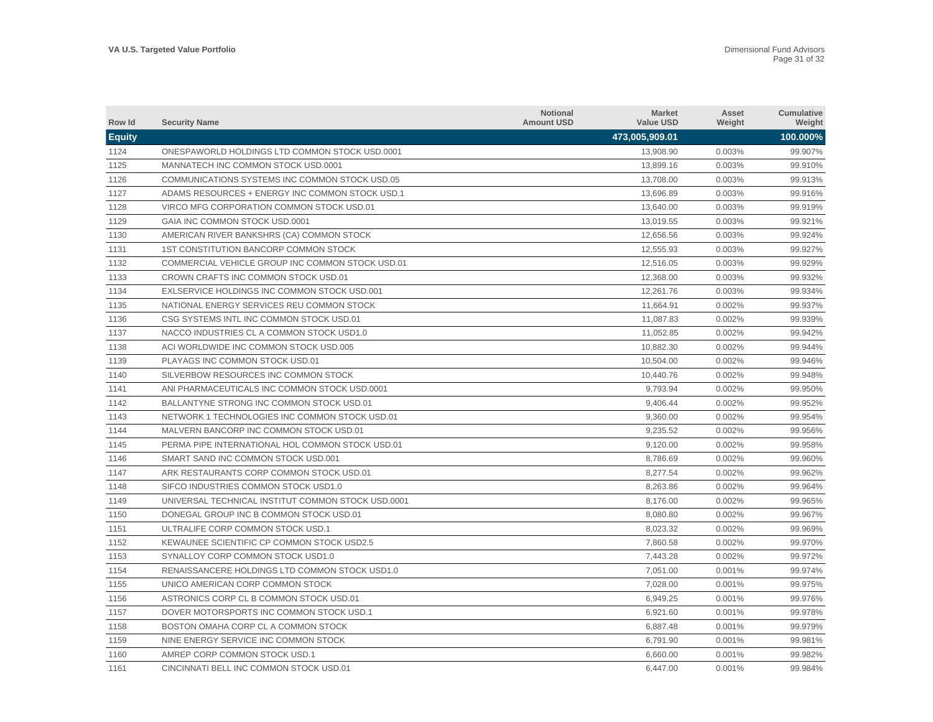| Row Id        | <b>Security Name</b>                               | <b>Notional</b><br><b>Amount USD</b> | <b>Market</b><br><b>Value USD</b> | Asset<br>Weight | <b>Cumulative</b><br>Weight |
|---------------|----------------------------------------------------|--------------------------------------|-----------------------------------|-----------------|-----------------------------|
| <b>Equity</b> |                                                    |                                      | 473,005,909.01                    |                 | 100.000%                    |
| 1124          | ONESPAWORLD HOLDINGS LTD COMMON STOCK USD.0001     |                                      | 13,908.90                         | 0.003%          | 99.907%                     |
| 1125          | MANNATECH INC COMMON STOCK USD.0001                |                                      | 13,899.16                         | 0.003%          | 99.910%                     |
| 1126          | COMMUNICATIONS SYSTEMS INC COMMON STOCK USD.05     |                                      | 13,708.00                         | 0.003%          | 99.913%                     |
| 1127          | ADAMS RESOURCES + ENERGY INC COMMON STOCK USD.1    |                                      | 13,696.89                         | 0.003%          | 99.916%                     |
| 1128          | VIRCO MFG CORPORATION COMMON STOCK USD.01          |                                      | 13,640.00                         | 0.003%          | 99.919%                     |
| 1129          | GAIA INC COMMON STOCK USD.0001                     |                                      | 13,019.55                         | 0.003%          | 99.921%                     |
| 1130          | AMERICAN RIVER BANKSHRS (CA) COMMON STOCK          |                                      | 12,656.56                         | 0.003%          | 99.924%                     |
| 1131          | <b>1ST CONSTITUTION BANCORP COMMON STOCK</b>       |                                      | 12.555.93                         | 0.003%          | 99.927%                     |
| 1132          | COMMERCIAL VEHICLE GROUP INC COMMON STOCK USD.01   |                                      | 12,516.05                         | 0.003%          | 99.929%                     |
| 1133          | CROWN CRAFTS INC COMMON STOCK USD.01               |                                      | 12,368.00                         | 0.003%          | 99.932%                     |
| 1134          | EXLSERVICE HOLDINGS INC COMMON STOCK USD.001       |                                      | 12,261.76                         | 0.003%          | 99.934%                     |
| 1135          | NATIONAL ENERGY SERVICES REU COMMON STOCK          |                                      | 11,664.91                         | 0.002%          | 99.937%                     |
| 1136          | CSG SYSTEMS INTL INC COMMON STOCK USD.01           |                                      | 11,087.83                         | 0.002%          | 99.939%                     |
| 1137          | NACCO INDUSTRIES CL A COMMON STOCK USD1.0          |                                      | 11,052.85                         | 0.002%          | 99.942%                     |
| 1138          | ACI WORLDWIDE INC COMMON STOCK USD.005             |                                      | 10,882.30                         | 0.002%          | 99.944%                     |
| 1139          | PLAYAGS INC COMMON STOCK USD.01                    |                                      | 10,504.00                         | 0.002%          | 99.946%                     |
| 1140          | SILVERBOW RESOURCES INC COMMON STOCK               |                                      | 10,440.76                         | 0.002%          | 99.948%                     |
| 1141          | ANI PHARMACEUTICALS INC COMMON STOCK USD.0001      |                                      | 9,793.94                          | 0.002%          | 99.950%                     |
| 1142          | BALLANTYNE STRONG INC COMMON STOCK USD.01          |                                      | 9,406.44                          | 0.002%          | 99.952%                     |
| 1143          | NETWORK 1 TECHNOLOGIES INC COMMON STOCK USD.01     |                                      | 9,360.00                          | 0.002%          | 99.954%                     |
| 1144          | MALVERN BANCORP INC COMMON STOCK USD.01            |                                      | 9,235.52                          | 0.002%          | 99.956%                     |
| 1145          | PERMA PIPE INTERNATIONAL HOL COMMON STOCK USD.01   |                                      | 9,120.00                          | 0.002%          | 99.958%                     |
| 1146          | SMART SAND INC COMMON STOCK USD.001                |                                      | 8,786.69                          | 0.002%          | 99.960%                     |
| 1147          | ARK RESTAURANTS CORP COMMON STOCK USD.01           |                                      | 8,277.54                          | 0.002%          | 99.962%                     |
| 1148          | SIFCO INDUSTRIES COMMON STOCK USD1.0               |                                      | 8,263.86                          | 0.002%          | 99.964%                     |
| 1149          | UNIVERSAL TECHNICAL INSTITUT COMMON STOCK USD.0001 |                                      | 8,176.00                          | 0.002%          | 99.965%                     |
| 1150          | DONEGAL GROUP INC B COMMON STOCK USD.01            |                                      | 8,080.80                          | 0.002%          | 99.967%                     |
| 1151          | ULTRALIFE CORP COMMON STOCK USD.1                  |                                      | 8,023.32                          | 0.002%          | 99.969%                     |
| 1152          | KEWAUNEE SCIENTIFIC CP COMMON STOCK USD2.5         |                                      | 7.860.58                          | 0.002%          | 99.970%                     |
| 1153          | SYNALLOY CORP COMMON STOCK USD1.0                  |                                      | 7,443.28                          | 0.002%          | 99.972%                     |
| 1154          | RENAISSANCERE HOLDINGS LTD COMMON STOCK USD1.0     |                                      | 7,051.00                          | 0.001%          | 99.974%                     |
| 1155          | UNICO AMERICAN CORP COMMON STOCK                   |                                      | 7,028.00                          | 0.001%          | 99.975%                     |
| 1156          | ASTRONICS CORP CL B COMMON STOCK USD.01            |                                      | 6,949.25                          | 0.001%          | 99.976%                     |
| 1157          | DOVER MOTORSPORTS INC COMMON STOCK USD.1           |                                      | 6,921.60                          | 0.001%          | 99.978%                     |
| 1158          | BOSTON OMAHA CORP CL A COMMON STOCK                |                                      | 6,887.48                          | 0.001%          | 99.979%                     |
| 1159          | NINE ENERGY SERVICE INC COMMON STOCK               |                                      | 6,791.90                          | 0.001%          | 99.981%                     |
| 1160          | AMREP CORP COMMON STOCK USD.1                      |                                      | 6,660.00                          | 0.001%          | 99.982%                     |
| 1161          | CINCINNATI BELL INC COMMON STOCK USD.01            |                                      | 6,447.00                          | 0.001%          | 99.984%                     |